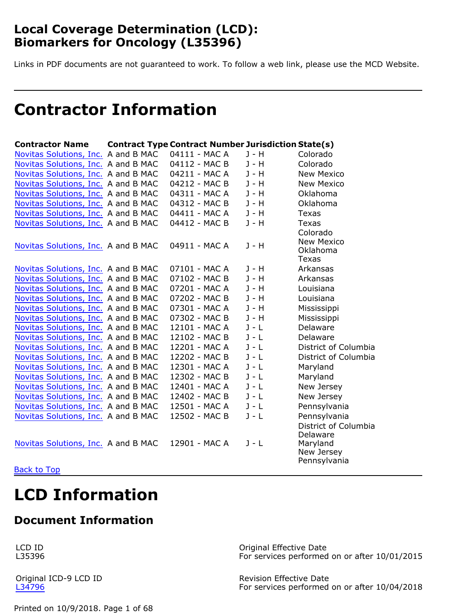# <span id="page-0-0"></span>**Local Coverage Determination (LCD): Biomarkers for Oncology (L35396)**

Links in PDF documents are not guaranteed to work. To follow a web link, please use the MCD Website.

# **Contractor Information**

| <b>Contractor Name</b>              | <b>Contract Type Contract Number Jurisdiction State(s)</b> |         |                                                                            |
|-------------------------------------|------------------------------------------------------------|---------|----------------------------------------------------------------------------|
| Novitas Solutions, Inc. A and B MAC | 04111 - MAC A                                              | $J - H$ | Colorado                                                                   |
| Novitas Solutions, Inc. A and B MAC | 04112 - MAC B                                              | J - H   | Colorado                                                                   |
| Novitas Solutions, Inc. A and B MAC | 04211 - MAC A                                              | J - H   | <b>New Mexico</b>                                                          |
| Novitas Solutions, Inc. A and B MAC | 04212 - MAC B                                              | $J - H$ | <b>New Mexico</b>                                                          |
| Novitas Solutions, Inc. A and B MAC | 04311 - MAC A                                              | J - H   | Oklahoma                                                                   |
| Novitas Solutions, Inc. A and B MAC | 04312 - MAC B                                              | J - H   | Oklahoma                                                                   |
| Novitas Solutions, Inc. A and B MAC | 04411 - MAC A                                              | $J - H$ | Texas                                                                      |
| Novitas Solutions, Inc. A and B MAC | 04412 - MAC B                                              | $J - H$ | Texas                                                                      |
| Novitas Solutions, Inc. A and B MAC | 04911 - MAC A                                              | $J - H$ | Colorado<br><b>New Mexico</b><br>Oklahoma<br>Texas                         |
| Novitas Solutions, Inc. A and B MAC | 07101 - MAC A                                              | J - H   | Arkansas                                                                   |
| Novitas Solutions, Inc. A and B MAC | 07102 - MAC B                                              | $J - H$ | Arkansas                                                                   |
| Novitas Solutions, Inc. A and B MAC | 07201 - MAC A                                              | $J - H$ | Louisiana                                                                  |
| Novitas Solutions, Inc. A and B MAC | 07202 - MAC B                                              | J - H   | Louisiana                                                                  |
| Novitas Solutions, Inc. A and B MAC | 07301 - MAC A                                              | $J - H$ | Mississippi                                                                |
| Novitas Solutions, Inc. A and B MAC | 07302 - MAC B                                              | $J - H$ | Mississippi                                                                |
| Novitas Solutions, Inc. A and B MAC | 12101 - MAC A                                              | $J - L$ | Delaware                                                                   |
| Novitas Solutions, Inc. A and B MAC | 12102 - MAC B                                              | $J - L$ | Delaware                                                                   |
| Novitas Solutions, Inc. A and B MAC | 12201 - MAC A                                              | $J - L$ | District of Columbia                                                       |
| Novitas Solutions, Inc. A and B MAC | 12202 - MAC B                                              | $J - L$ | District of Columbia                                                       |
| Novitas Solutions, Inc. A and B MAC | 12301 - MAC A                                              | $J - L$ | Maryland                                                                   |
| Novitas Solutions, Inc. A and B MAC | 12302 - MAC B                                              | $J - L$ | Maryland                                                                   |
| Novitas Solutions, Inc. A and B MAC | 12401 - MAC A                                              | $J - L$ | New Jersey                                                                 |
| Novitas Solutions, Inc. A and B MAC | 12402 - MAC B                                              | $J - L$ | New Jersey                                                                 |
| Novitas Solutions, Inc. A and B MAC | 12501 - MAC A                                              | $J - L$ | Pennsylvania                                                               |
| Novitas Solutions, Inc. A and B MAC | 12502 - MAC B                                              | $J - L$ | Pennsylvania                                                               |
| Novitas Solutions, Inc. A and B MAC | 12901 - MAC A                                              | $J - L$ | District of Columbia<br>Delaware<br>Maryland<br>New Jersey<br>Pennsylvania |

**[Back to Top](#page-0-0)** 

# **LCD Information**

# **Document Information**

LCD ID L35396

Original ICD-9 LCD ID [L34796](http://localcoverage.cms.gov/mcd_archive/m_d.asp?id=34796)

Original Effective Date For services performed on or after 10/01/2015

Revision Effective Date For services performed on or after 10/04/2018

Printed on 10/9/2018. Page 1 of 68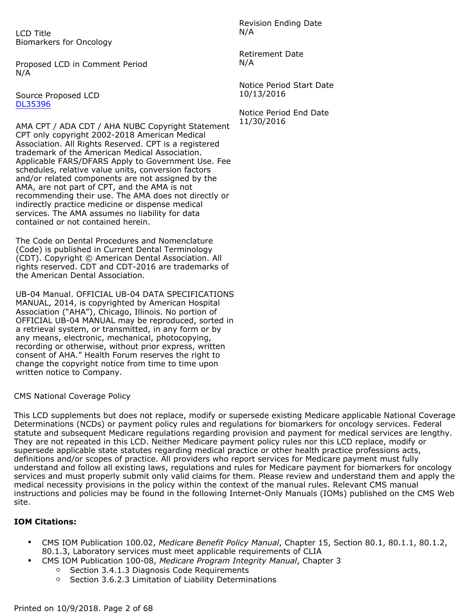LCD Title Biomarkers for Oncology

Proposed LCD in Comment Period N/A

Source Proposed LCD [DL35396](http://localcoverage.cms.gov/mcd_archive/m_d.asp?id=36739)

AMA CPT / ADA CDT / AHA NUBC Copyright Statement CPT only copyright 2002-2018 American Medical Association. All Rights Reserved. CPT is a registered trademark of the American Medical Association. Applicable FARS/DFARS Apply to Government Use. Fee schedules, relative value units, conversion factors and/or related components are not assigned by the AMA, are not part of CPT, and the AMA is not recommending their use. The AMA does not directly or indirectly practice medicine or dispense medical services. The AMA assumes no liability for data contained or not contained herein.

The Code on Dental Procedures and Nomenclature (Code) is published in Current Dental Terminology (CDT). Copyright © American Dental Association. All rights reserved. CDT and CDT-2016 are trademarks of the American Dental Association.

UB-04 Manual. OFFICIAL UB-04 DATA SPECIFICATIONS MANUAL, 2014, is copyrighted by American Hospital Association ("AHA"), Chicago, Illinois. No portion of OFFICIAL UB-04 MANUAL may be reproduced, sorted in a retrieval system, or transmitted, in any form or by any means, electronic, mechanical, photocopying, recording or otherwise, without prior express, written consent of AHA." Health Forum reserves the right to change the copyright notice from time to time upon written notice to Company.

CMS National Coverage Policy

This LCD supplements but does not replace, modify or supersede existing Medicare applicable National Coverage Determinations (NCDs) or payment policy rules and regulations for biomarkers for oncology services. Federal statute and subsequent Medicare regulations regarding provision and payment for medical services are lengthy. They are not repeated in this LCD. Neither Medicare payment policy rules nor this LCD replace, modify or supersede applicable state statutes regarding medical practice or other health practice professions acts, definitions and/or scopes of practice. All providers who report services for Medicare payment must fully understand and follow all existing laws, regulations and rules for Medicare payment for biomarkers for oncology services and must properly submit only valid claims for them. Please review and understand them and apply the medical necessity provisions in the policy within the context of the manual rules. Relevant CMS manual instructions and policies may be found in the following Internet-Only Manuals (IOMs) published on the CMS Web site.

#### **IOM Citations:**

- CMS IOM Publication 100.02, *Medicare Benefit Policy Manual*, Chapter 15, Section 80.1, 80.1.1, 80.1.2, 80.1.3, Laboratory services must meet applicable requirements of CLIA
	- CMS IOM Publication 100-08, *Medicare Program Integrity Manual*, Chapter 3
		- Section 3.4.1.3 Diagnosis Code Requirements
		- Section 3.6.2.3 Limitation of Liability Determinations

Revision Ending Date N/A

Retirement Date N/A

Notice Period Start Date 10/13/2016

Notice Period End Date 11/30/2016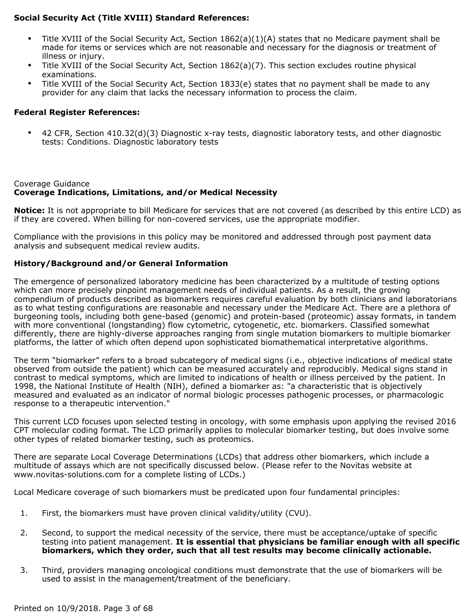#### **Social Security Act (Title XVIII) Standard References:**

- Title XVIII of the Social Security Act, Section 1862(a)(1)(A) states that no Medicare payment shall be made for items or services which are not reasonable and necessary for the diagnosis or treatment of illness or injury.
- Title XVIII of the Social Security Act, Section 1862(a)(7). This section excludes routine physical examinations.
- Title XVIII of the Social Security Act, Section 1833(e) states that no payment shall be made to any provider for any claim that lacks the necessary information to process the claim.

#### **Federal Register References:**

• 42 CFR, Section 410.32(d)(3) Diagnostic x-ray tests, diagnostic laboratory tests, and other diagnostic tests: Conditions. Diagnostic laboratory tests

#### Coverage Guidance **Coverage Indications, Limitations, and/or Medical Necessity**

**Notice:** It is not appropriate to bill Medicare for services that are not covered (as described by this entire LCD) as if they are covered. When billing for non-covered services, use the appropriate modifier.

Compliance with the provisions in this policy may be monitored and addressed through post payment data analysis and subsequent medical review audits.

#### **History/Background and/or General Information**

The emergence of personalized laboratory medicine has been characterized by a multitude of testing options which can more precisely pinpoint management needs of individual patients. As a result, the growing compendium of products described as biomarkers requires careful evaluation by both clinicians and laboratorians as to what testing configurations are reasonable and necessary under the Medicare Act. There are a plethora of burgeoning tools, including both gene-based (genomic) and protein-based (proteomic) assay formats, in tandem with more conventional (longstanding) flow cytometric, cytogenetic, etc. biomarkers. Classified somewhat differently, there are highly-diverse approaches ranging from single mutation biomarkers to multiple biomarker platforms, the latter of which often depend upon sophisticated biomathematical interpretative algorithms.

The term "biomarker" refers to a broad subcategory of medical signs (i.e., objective indications of medical state observed from outside the patient) which can be measured accurately and reproducibly. Medical signs stand in contrast to medical symptoms, which are limited to indications of health or illness perceived by the patient. In 1998, the National Institute of Health (NIH), defined a biomarker as: "a characteristic that is objectively measured and evaluated as an indicator of normal biologic processes pathogenic processes, or pharmacologic response to a therapeutic intervention."

This current LCD focuses upon selected testing in oncology, with some emphasis upon applying the revised 2016 CPT molecular coding format. The LCD primarily applies to molecular biomarker testing, but does involve some other types of related biomarker testing, such as proteomics.

There are separate Local Coverage Determinations (LCDs) that address other biomarkers, which include a multitude of assays which are not specifically discussed below. (Please refer to the Novitas website at www.novitas-solutions.com for a complete listing of LCDs.)

Local Medicare coverage of such biomarkers must be predicated upon four fundamental principles:

- 1. First, the biomarkers must have proven clinical validity/utility (CVU).
- 2. Second, to support the medical necessity of the service, there must be acceptance/uptake of specific testing into patient management. **It is essential that physicians be familiar enough with all specific biomarkers, which they order, such that all test results may become clinically actionable.**
- 3. Third, providers managing oncological conditions must demonstrate that the use of biomarkers will be used to assist in the management/treatment of the beneficiary.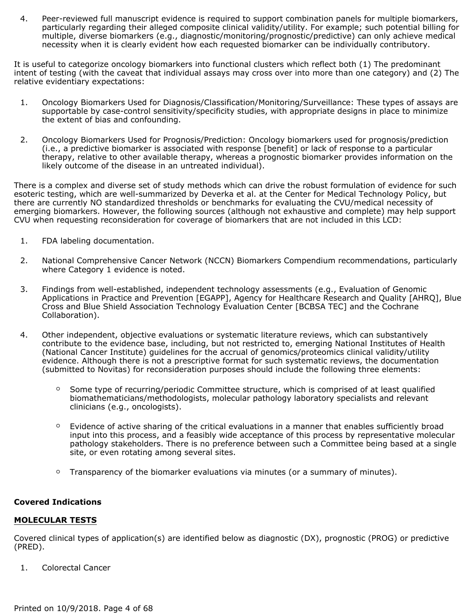4. Peer-reviewed full manuscript evidence is required to support combination panels for multiple biomarkers, particularly regarding their alleged composite clinical validity/utility. For example; such potential billing for multiple, diverse biomarkers (e.g., diagnostic/monitoring/prognostic/predictive) can only achieve medical necessity when it is clearly evident how each requested biomarker can be individually contributory.

It is useful to categorize oncology biomarkers into functional clusters which reflect both (1) The predominant intent of testing (with the caveat that individual assays may cross over into more than one category) and (2) The relative evidentiary expectations:

- 1. Oncology Biomarkers Used for Diagnosis/Classification/Monitoring/Surveillance: These types of assays are supportable by case-control sensitivity/specificity studies, with appropriate designs in place to minimize the extent of bias and confounding.
- 2. Oncology Biomarkers Used for Prognosis/Prediction: Oncology biomarkers used for prognosis/prediction (i.e., a predictive biomarker is associated with response [benefit] or lack of response to a particular therapy, relative to other available therapy, whereas a prognostic biomarker provides information on the likely outcome of the disease in an untreated individual).

There is a complex and diverse set of study methods which can drive the robust formulation of evidence for such esoteric testing, which are well-summarized by Deverka et al. at the Center for Medical Technology Policy, but there are currently NO standardized thresholds or benchmarks for evaluating the CVU/medical necessity of emerging biomarkers. However, the following sources (although not exhaustive and complete) may help support CVU when requesting reconsideration for coverage of biomarkers that are not included in this LCD:

- 1. FDA labeling documentation.
- 2. National Comprehensive Cancer Network (NCCN) Biomarkers Compendium recommendations, particularly where Category 1 evidence is noted.
- 3. Findings from well-established, independent technology assessments (e.g., Evaluation of Genomic Applications in Practice and Prevention [EGAPP], Agency for Healthcare Research and Quality [AHRQ], Blue Cross and Blue Shield Association Technology Evaluation Center [BCBSA TEC] and the Cochrane Collaboration).
- 4. Other independent, objective evaluations or systematic literature reviews, which can substantively contribute to the evidence base, including, but not restricted to, emerging National Institutes of Health (National Cancer Institute) guidelines for the accrual of genomics/proteomics clinical validity/utility evidence. Although there is not a prescriptive format for such systematic reviews, the documentation (submitted to Novitas) for reconsideration purposes should include the following three elements:
	- Some type of recurring/periodic Committee structure, which is comprised of at least qualified biomathematicians/methodologists, molecular pathology laboratory specialists and relevant clinicians (e.g., oncologists).
	- Evidence of active sharing of the critical evaluations in a manner that enables sufficiently broad input into this process, and a feasibly wide acceptance of this process by representative molecular pathology stakeholders. There is no preference between such a Committee being based at a single site, or even rotating among several sites.
	- Transparency of the biomarker evaluations via minutes (or a summary of minutes).

#### **Covered Indications**

#### **MOLECULAR TESTS**

Covered clinical types of application(s) are identified below as diagnostic (DX), prognostic (PROG) or predictive (PRED).

1. Colorectal Cancer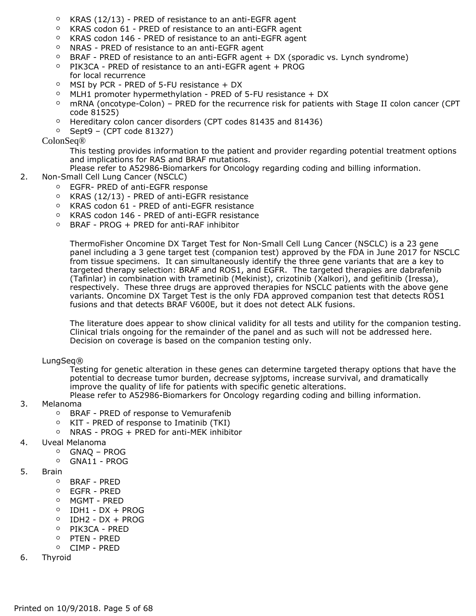- KRAS (12/13) PRED of resistance to an anti-EGFR agent
- KRAS codon 61 PRED of resistance to an anti-EGFR agent
- KRAS codon 146 PRED of resistance to an anti-EGFR agent
- NRAS PRED of resistance to an anti-EGFR agent
- BRAF PRED of resistance to an anti-EGFR agent + DX (sporadic vs. Lynch syndrome)
- PIK3CA PRED of resistance to an anti-EGFR agent + PROG for local recurrence
- MSI by PCR PRED of 5-FU resistance + DX
- MLH1 promoter hypermethylation PRED of 5-FU resistance + DX
- mRNA (oncotype-Colon) PRED for the recurrence risk for patients with Stage II colon cancer (CPT code 81525)
- Hereditary colon cancer disorders (CPT codes 81435 and 81436)
- $\circ$  Sept9 (CPT code 81327)

#### ColonSeq®

This testing provides information to the patient and provider regarding potential treatment options and implications for RAS and BRAF mutations.

Please refer to A52986-Biomarkers for Oncology regarding coding and billing information.

- 2. Non-Small Cell Lung Cancer (NSCLC)
	- EGFR- PRED of anti-EGFR response
	- KRAS (12/13) PRED of anti-EGFR resistance
	- KRAS codon 61 PRED of anti-EGFR resistance
	- KRAS codon 146 PRED of anti-EGFR resistance
	- BRAF PROG + PRED for anti-RAF inhibitor

ThermoFisher Oncomine DX Target Test for Non-Small Cell Lung Cancer (NSCLC) is a 23 gene panel including a 3 gene target test (companion test) approved by the FDA in June 2017 for NSCLC from tissue specimens. It can simultaneously identify the three gene variants that are a key to targeted therapy selection: BRAF and ROS1, and EGFR. The targeted therapies are dabrafenib (Tafinlar) in combination with trametinib (Mekinist), crizotinib (Xalkori), and gefitinib (Iressa), respectively. These three drugs are approved therapies for NSCLC patients with the above gene variants. Oncomine DX Target Test is the only FDA approved companion test that detects ROS1 fusions and that detects BRAF V600E, but it does not detect ALK fusions.

The literature does appear to show clinical validity for all tests and utility for the companion testing. Clinical trials ongoing for the remainder of the panel and as such will not be addressed here. Decision on coverage is based on the companion testing only.

#### LungSeq®

Testing for genetic alteration in these genes can determine targeted therapy options that have the potential to decrease tumor burden, decrease syjptoms, increase survival, and dramatically improve the quality of life for patients with specific genetic alterations.

Please refer to A52986-Biomarkers for Oncology regarding coding and billing information.

- 3. Melanoma
	- BRAF PRED of response to Vemurafenib
	- KIT PRED of response to Imatinib (TKI)
	- NRAS PROG + PRED for anti-MEK inhibitor

#### 4. Uveal Melanoma

- GNAQ PROG
- GNA11 PROG
- 5. Brain
	- BRAF PRED
	- EGFR PRED
	- MGMT PRED
	- IDH1 DX + PROG
	- IDH2 DX + PROG
	- PIK3CA PRED
	- PTEN PRED
	- CIMP PRED
- 6. Thyroid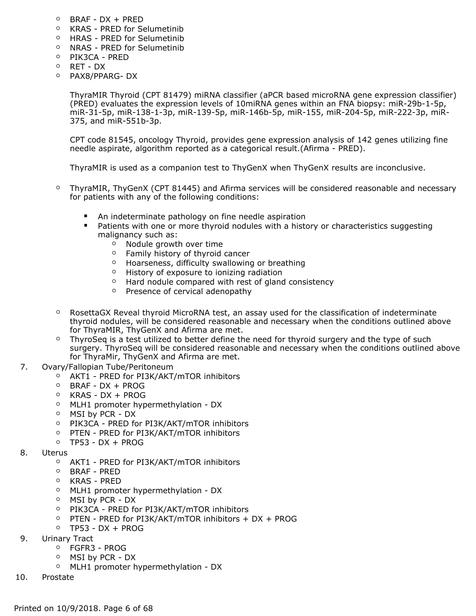- BRAF DX + PRED
- KRAS PRED for Selumetinib
- HRAS PRED for Selumetinib
- NRAS PRED for Selumetinib
- PIK3CA PRED
- RET DX
- PAX8/PPARG- DX

ThyraMIR Thyroid (CPT 81479) miRNA classifier (aPCR based microRNA gene expression classifier) (PRED) evaluates the expression levels of 10miRNA genes within an FNA biopsy: miR-29b-1-5p, miR-31-5p, miR-138-1-3p, miR-139-5p, miR-146b-5p, miR-155, miR-204-5p, miR-222-3p, miR-375, and miR-551b-3p.

CPT code 81545, oncology Thyroid, provides gene expression analysis of 142 genes utilizing fine needle aspirate, algorithm reported as a categorical result.(Afirma - PRED).

ThyraMIR is used as a companion test to ThyGenX when ThyGenX results are inconclusive.

- ThyraMIR, ThyGenX (CPT 81445) and Afirma services will be considered reasonable and necessary for patients with any of the following conditions:
	- An indeterminate pathology on fine needle aspiration
	- Patients with one or more thyroid nodules with a history or characteristics suggesting malignancy such as:
		- Nodule growth over time
		- Family history of thyroid cancer
		- Hoarseness, difficulty swallowing or breathing
		- History of exposure to ionizing radiation
		- Hard nodule compared with rest of gland consistency
		- Presence of cervical adenopathy
- RosettaGX Reveal thyroid MicroRNA test, an assay used for the classification of indeterminate thyroid nodules, will be considered reasonable and necessary when the conditions outlined above for ThyraMIR, ThyGenX and Afirma are met.
- ThyroSeq is a test utilized to better define the need for thyroid surgery and the type of such surgery. ThyroSeq will be considered reasonable and necessary when the conditions outlined above for ThyraMir, ThyGenX and Afirma are met.
- 7. Ovary/Fallopian Tube/Peritoneum
	- AKT1 PRED for PI3K/AKT/mTOR inhibitors
	- BRAF DX + PROG
	- KRAS DX + PROG
	- MLH1 promoter hypermethylation DX
	- MSI by PCR DX
	- PIK3CA PRED for PI3K/AKT/mTOR inhibitors
	- PTEN PRED for PI3K/AKT/mTOR inhibitors
	- $\circ$  TP53 DX + PROG
- 8. Uterus
	- AKT1 PRED for PI3K/AKT/mTOR inhibitors
	- BRAF PRED
	- KRAS PRED
	- MLH1 promoter hypermethylation DX
	- MSI by PCR DX
	- PIK3CA PRED for PI3K/AKT/mTOR inhibitors
	- PTEN PRED for PI3K/AKT/mTOR inhibitors + DX + PROG
	- TP53 DX + PROG
- 9. Urinary Tract
	- FGFR3 PROG
	- MSI by PCR DX
	- MLH1 promoter hypermethylation DX
- 10. Prostate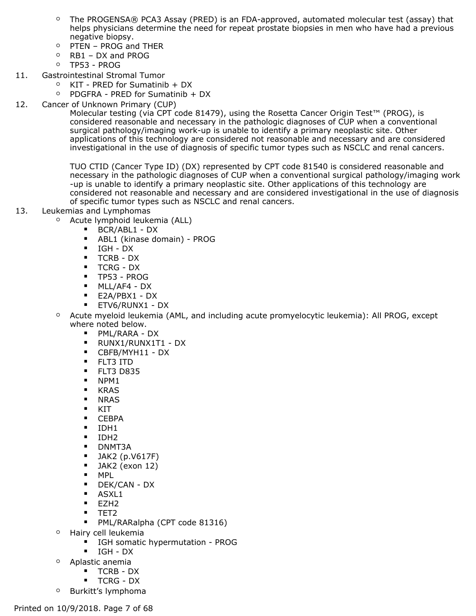- The PROGENSA® PCA3 Assay (PRED) is an FDA-approved, automated molecular test (assay) that helps physicians determine the need for repeat prostate biopsies in men who have had a previous negative biopsy.
- PTEN PROG and THER
- RB1 DX and PROG
- TP53 PROG
- 11. Gastrointestinal Stromal Tumor
	- KIT PRED for Sumatinib + DX
	- PDGFRA PRED for Sumatinib + DX
- 12. Cancer of Unknown Primary (CUP)

Molecular testing (via CPT code 81479), using the Rosetta Cancer Origin Test™ (PROG), is considered reasonable and necessary in the pathologic diagnoses of CUP when a conventional surgical pathology/imaging work-up is unable to identify a primary neoplastic site. Other applications of this technology are considered not reasonable and necessary and are considered investigational in the use of diagnosis of specific tumor types such as NSCLC and renal cancers.

TUO CTID (Cancer Type ID) (DX) represented by CPT code 81540 is considered reasonable and necessary in the pathologic diagnoses of CUP when a conventional surgical pathology/imaging work -up is unable to identify a primary neoplastic site. Other applications of this technology are considered not reasonable and necessary and are considered investigational in the use of diagnosis of specific tumor types such as NSCLC and renal cancers.

#### 13. Leukemias and Lymphomas

- Acute lymphoid leukemia (ALL)
	- BCR/ABL1 DX
	- ABL1 (kinase domain) PROG
	- IGH DX
	- TCRB DX
	- TCRG DX
	- TP53 PROG
	- MLL/AF4 DX
	- E2A/PBX1 DX
	- ETV6/RUNX1 DX
- Acute myeloid leukemia (AML, and including acute promyelocytic leukemia): All PROG, except where noted below.
	- PML/RARA DX
	- RUNX1/RUNX1T1 DX
	- CBFB/MYH11 DX
	- FLT3 ITD
	- **•** FLT3 D835
	- NPM1
	- KRAS
	- NRAS
	- KIT
	- CEBPA
	- IDH1
	- IDH2
	- DNMT3A
	- $\blacksquare$  JAK2 (p.V617F)
	- $\blacksquare$  JAK2 (exon 12)
	- MPL
	- DEK/CAN DX
	- ASXL1
	- EZH2
	- TET2
	- PML/RARalpha (CPT code 81316)
- Hairy cell leukemia
	- IGH somatic hypermutation PROG
	- IGH DX
- Aplastic anemia
	- TCRB DX
	- TCRG DX
- Burkitt's lymphoma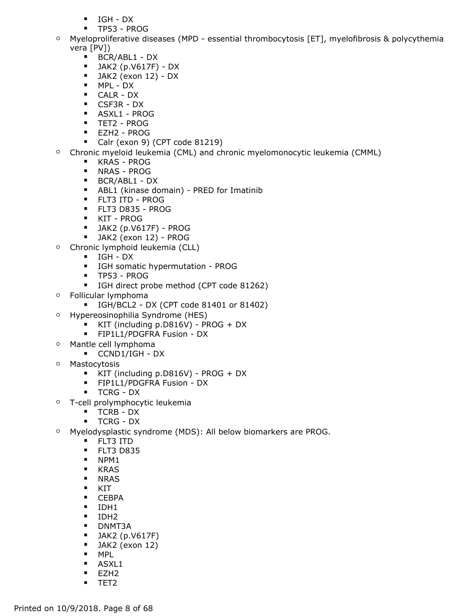- IGH DX
- TP53 PROG
- Myeloproliferative diseases (MPD essential thrombocytosis [ET], myelofibrosis & polycythemia vera [PV])
	- BCR/ABL1 DX
	- JAK2 (p.V617F) DX
	- $\blacksquare$  JAK2 (exon 12) DX
	- MPL DX
	- CALR DX
	- CSF3R DX
	- ASXL1 PROG
	- TET2 PROG
	- EZH2 PROG
	- Calr (exon 9) (CPT code 81219)
- Chronic myeloid leukemia (CML) and chronic myelomonocytic leukemia (CMML)
	- KRAS PROG
	- NRAS PROG
	- BCR/ABL1 DX
	- ABL1 (kinase domain) PRED for Imatinib
	- FLT3 ITD PROG
	- FLT3 D835 PROG
	- KIT PROG
	- JAK2 (p.V617F) PROG
	- JAK2 (exon 12) PROG
- Chronic lymphoid leukemia (CLL)
	- IGH DX
	- IGH somatic hypermutation PROG
	- TP53 PROG
	- IGH direct probe method (CPT code 81262)
- Follicular lymphoma
	- IGH/BCL2 DX (CPT code 81401 or 81402)
- Hypereosinophilia Syndrome (HES)
	- KIT (including p.D816V) PROG + DX
	- **•** FIP1L1/PDGFRA Fusion DX
- Mantle cell lymphoma
	- CCND1/IGH DX
- Mastocytosis
	- KIT (including p.D816V) PROG + DX
	- FIP1L1/PDGFRA Fusion DX
	- TCRG DX
- T-cell prolymphocytic leukemia
	- TCRB DX
	- TCRG DX
- Myelodysplastic syndrome (MDS): All below biomarkers are PROG.
	- FLT3 ITD
	- **•** FLT3 D835
	- NPM1
	- KRAS
	- NRAS
	- KIT
	- CEBPA
	- IDH1
	- IDH2
	- DNMT3A
	- $\blacksquare$  JAK2 (p.V617F)
	- JAK2 (exon 12)
	- MPL
	- ASXL1
	- EZH2
	- TET2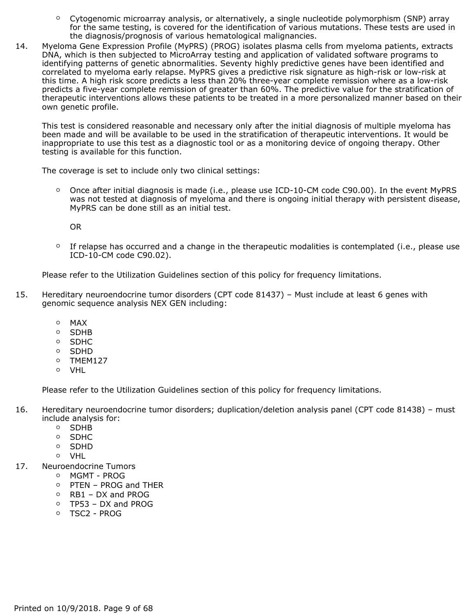- Cytogenomic microarray analysis, or alternatively, a single nucleotide polymorphism (SNP) array for the same testing, is covered for the identification of various mutations. These tests are used in the diagnosis/prognosis of various hematological malignancies.
- 14. Myeloma Gene Expression Profile (MyPRS) (PROG) isolates plasma cells from myeloma patients, extracts DNA, which is then subjected to MicroArray testing and application of validated software programs to identifying patterns of genetic abnormalities. Seventy highly predictive genes have been identified and correlated to myeloma early relapse. MyPRS gives a predictive risk signature as high-risk or low-risk at this time. A high risk score predicts a less than 20% three-year complete remission where as a low-risk predicts a five-year complete remission of greater than 60%. The predictive value for the stratification of therapeutic interventions allows these patients to be treated in a more personalized manner based on their own genetic profile.

This test is considered reasonable and necessary only after the initial diagnosis of multiple myeloma has been made and will be available to be used in the stratification of therapeutic interventions. It would be inappropriate to use this test as a diagnostic tool or as a monitoring device of ongoing therapy. Other testing is available for this function.

The coverage is set to include only two clinical settings:

◦ Once after initial diagnosis is made (i.e., please use ICD-10-CM code C90.00). In the event MyPRS was not tested at diagnosis of myeloma and there is ongoing initial therapy with persistent disease, MyPRS can be done still as an initial test.

OR

◦ If relapse has occurred and a change in the therapeutic modalities is contemplated (i.e., please use ICD-10-CM code C90.02).

Please refer to the Utilization Guidelines section of this policy for frequency limitations.

- 15. Hereditary neuroendocrine tumor disorders (CPT code 81437) Must include at least 6 genes with genomic sequence analysis NEX GEN including:
	- MAX
	- SDHB
	- SDHC
	- SDHD
	- TMEM127
	- VHL

Please refer to the Utilization Guidelines section of this policy for frequency limitations.

- 16. Hereditary neuroendocrine tumor disorders; duplication/deletion analysis panel (CPT code 81438) must include analysis for:
	- SDHB
	- SDHC
	- SDHD
	- VHL
- 17. Neuroendocrine Tumors
	- MGMT PROG
	- PTEN PROG and THER
	- RB1 DX and PROG
	- TP53 DX and PROG
	- TSC2 PROG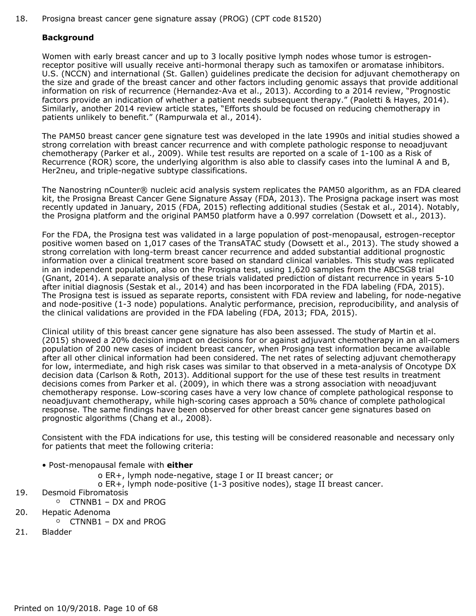18. Prosigna breast cancer gene signature assay (PROG) (CPT code 81520)

#### **Background**

Women with early breast cancer and up to 3 locally positive lymph nodes whose tumor is estrogenreceptor positive will usually receive anti-hormonal therapy such as tamoxifen or aromatase inhibitors. U.S. (NCCN) and international (St. Gallen) guidelines predicate the decision for adjuvant chemotherapy on the size and grade of the breast cancer and other factors including genomic assays that provide additional information on risk of recurrence (Hernandez-Ava et al., 2013). According to a 2014 review, "Prognostic factors provide an indication of whether a patient needs subsequent therapy." (Paoletti & Hayes, 2014). Similarly, another 2014 review article states, "Efforts should be focused on reducing chemotherapy in patients unlikely to benefit." (Rampurwala et al., 2014).

The PAM50 breast cancer gene signature test was developed in the late 1990s and initial studies showed a strong correlation with breast cancer recurrence and with complete pathologic response to neoadjuvant chemotherapy (Parker et al., 2009). While test results are reported on a scale of 1-100 as a Risk of Recurrence (ROR) score, the underlying algorithm is also able to classify cases into the luminal A and B, Her2neu, and triple-negative subtype classifications.

The Nanostring nCounter® nucleic acid analysis system replicates the PAM50 algorithm, as an FDA cleared kit, the Prosigna Breast Cancer Gene Signature Assay (FDA, 2013). The Prosigna package insert was most recently updated in January, 2015 (FDA, 2015) reflecting additional studies (Sestak et al., 2014). Notably, the Prosigna platform and the original PAM50 platform have a 0.997 correlation (Dowsett et al., 2013).

For the FDA, the Prosigna test was validated in a large population of post-menopausal, estrogen-receptor positive women based on 1,017 cases of the TransATAC study (Dowsett et al., 2013). The study showed a strong correlation with long-term breast cancer recurrence and added substantial additional prognostic information over a clinical treatment score based on standard clinical variables. This study was replicated in an independent population, also on the Prosigna test, using 1,620 samples from the ABCSG8 trial (Gnant, 2014). A separate analysis of these trials validated prediction of distant recurrence in years 5-10 after initial diagnosis (Sestak et al., 2014) and has been incorporated in the FDA labeling (FDA, 2015). The Prosigna test is issued as separate reports, consistent with FDA review and labeling, for node-negative and node-positive (1-3 node) populations. Analytic performance, precision, reproducibility, and analysis of the clinical validations are provided in the FDA labeling (FDA, 2013; FDA, 2015).

Clinical utility of this breast cancer gene signature has also been assessed. The study of Martin et al. (2015) showed a 20% decision impact on decisions for or against adjuvant chemotherapy in an all-comers population of 200 new cases of incident breast cancer, when Prosigna test information became available after all other clinical information had been considered. The net rates of selecting adjuvant chemotherapy for low, intermediate, and high risk cases was similar to that observed in a meta-analysis of Oncotype DX decision data (Carlson & Roth, 2013). Additional support for the use of these test results in treatment decisions comes from Parker et al. (2009), in which there was a strong association with neoadjuvant chemotherapy response. Low-scoring cases have a very low chance of complete pathological response to neoadjuvant chemotherapy, while high-scoring cases approach a 50% chance of complete pathological response. The same findings have been observed for other breast cancer gene signatures based on prognostic algorithms (Chang et al., 2008).

Consistent with the FDA indications for use, this testing will be considered reasonable and necessary only for patients that meet the following criteria:

- Post-menopausal female with **either**
	- o ER+, lymph node-negative, stage I or II breast cancer; or
	- o ER+, lymph node-positive (1-3 positive nodes), stage II breast cancer.
- 19. Desmoid Fibromatosis
	- CTNNB1 DX and PROG
- 20. Hepatic Adenoma
	- CTNNB1 DX and PROG
- 21. Bladder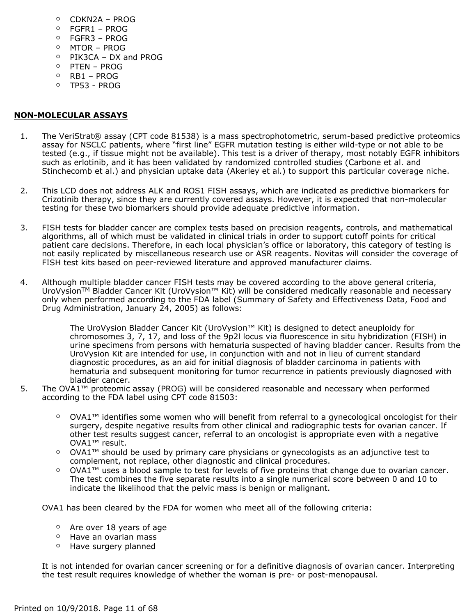- CDKN2A PROG
- FGFR1 PROG
- FGFR3 PROG
- MTOR PROG
- PIK3CA DX and PROG
- PTEN PROG
- RB1 PROG
- TP53 PROG

#### **NON-MOLECULAR ASSAYS**

- 1. The VeriStrat® assay (CPT code 81538) is a mass spectrophotometric, serum-based predictive proteomics assay for NSCLC patients, where "first line" EGFR mutation testing is either wild-type or not able to be tested (e.g., if tissue might not be available). This test is a driver of therapy, most notably EGFR inhibitors such as erlotinib, and it has been validated by randomized controlled studies (Carbone et al. and Stinchecomb et al.) and physician uptake data (Akerley et al.) to support this particular coverage niche.
- 2. This LCD does not address ALK and ROS1 FISH assays, which are indicated as predictive biomarkers for Crizotinib therapy, since they are currently covered assays. However, it is expected that non-molecular testing for these two biomarkers should provide adequate predictive information.
- 3. FISH tests for bladder cancer are complex tests based on precision reagents, controls, and mathematical algorithms, all of which must be validated in clinical trials in order to support cutoff points for critical patient care decisions. Therefore, in each local physician's office or laboratory, this category of testing is not easily replicated by miscellaneous research use or ASR reagents. Novitas will consider the coverage of FISH test kits based on peer-reviewed literature and approved manufacturer claims.
- 4. Although multiple bladder cancer FISH tests may be covered according to the above general criteria, UroVysionTM Bladder Cancer Kit (UroVysion™ Kit) will be considered medically reasonable and necessary only when performed according to the FDA label (Summary of Safety and Effectiveness Data, Food and Drug Administration, January 24, 2005) as follows:

The UroVysion Bladder Cancer Kit (UroVysion™ Kit) is designed to detect aneuploidy for chromosomes 3, 7, 17, and loss of the 9p2l locus via fluorescence in situ hybridization (FISH) in urine specimens from persons with hematuria suspected of having bladder cancer. Results from the UroVysion Kit are intended for use, in conjunction with and not in lieu of current standard diagnostic procedures, as an aid for initial diagnosis of bladder carcinoma in patients with hematuria and subsequent monitoring for tumor recurrence in patients previously diagnosed with bladder cancer.

- 5. The OVA1™ proteomic assay (PROG) will be considered reasonable and necessary when performed according to the FDA label using CPT code 81503:
	- OVA1™ identifies some women who will benefit from referral to a gynecological oncologist for their surgery, despite negative results from other clinical and radiographic tests for ovarian cancer. If other test results suggest cancer, referral to an oncologist is appropriate even with a negative OVA1™ result.
	- OVA1™ should be used by primary care physicians or gynecologists as an adjunctive test to complement, not replace, other diagnostic and clinical procedures.
	- OVA1<sup>™</sup> uses a blood sample to test for levels of five proteins that change due to ovarian cancer. The test combines the five separate results into a single numerical score between 0 and 10 to indicate the likelihood that the pelvic mass is benign or malignant.

OVA1 has been cleared by the FDA for women who meet all of the following criteria:

- Are over 18 years of age
- Have an ovarian mass
- Have surgery planned

It is not intended for ovarian cancer screening or for a definitive diagnosis of ovarian cancer. Interpreting the test result requires knowledge of whether the woman is pre- or post-menopausal.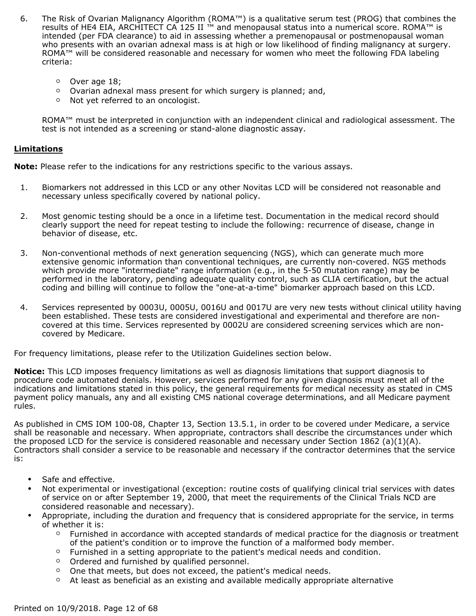- 6. The Risk of Ovarian Malignancy Algorithm (ROMA™) is a qualitative serum test (PROG) that combines the results of HE4 EIA, ARCHITECT CA 125 II ™ and menopausal status into a numerical score. ROMA™ is intended (per FDA clearance) to aid in assessing whether a premenopausal or postmenopausal woman who presents with an ovarian adnexal mass is at high or low likelihood of finding malignancy at surgery. ROMA™ will be considered reasonable and necessary for women who meet the following FDA labeling criteria:
	- Over age 18;
	- Ovarian adnexal mass present for which surgery is planned; and,
	- Not yet referred to an oncologist.

ROMA™ must be interpreted in conjunction with an independent clinical and radiological assessment. The test is not intended as a screening or stand-alone diagnostic assay.

#### **Limitations**

**Note:** Please refer to the indications for any restrictions specific to the various assays.

- 1. Biomarkers not addressed in this LCD or any other Novitas LCD will be considered not reasonable and necessary unless specifically covered by national policy.
- 2. Most genomic testing should be a once in a lifetime test. Documentation in the medical record should clearly support the need for repeat testing to include the following: recurrence of disease, change in behavior of disease, etc.
- 3. Non-conventional methods of next generation sequencing (NGS), which can generate much more extensive genomic information than conventional techniques, are currently non-covered. NGS methods which provide more "intermediate" range information (e.g., in the 5-50 mutation range) may be performed in the laboratory, pending adequate quality control, such as CLIA certification, but the actual coding and billing will continue to follow the "one-at-a-time" biomarker approach based on this LCD.
- 4. Services represented by 0003U, 0005U, 0016U and 0017U are very new tests without clinical utility having been established. These tests are considered investigational and experimental and therefore are noncovered at this time. Services represented by 0002U are considered screening services which are noncovered by Medicare.

For frequency limitations, please refer to the Utilization Guidelines section below.

**Notice:** This LCD imposes frequency limitations as well as diagnosis limitations that support diagnosis to procedure code automated denials. However, services performed for any given diagnosis must meet all of the indications and limitations stated in this policy, the general requirements for medical necessity as stated in CMS payment policy manuals, any and all existing CMS national coverage determinations, and all Medicare payment rules.

As published in CMS IOM 100-08, Chapter 13, Section 13.5.1, in order to be covered under Medicare, a service shall be reasonable and necessary. When appropriate, contractors shall describe the circumstances under which the proposed LCD for the service is considered reasonable and necessary under Section 1862 (a)(1)(A). Contractors shall consider a service to be reasonable and necessary if the contractor determines that the service is:

- Safe and effective.
- Not experimental or investigational (exception: routine costs of qualifying clinical trial services with dates of service on or after September 19, 2000, that meet the requirements of the Clinical Trials NCD are considered reasonable and necessary).
- Appropriate, including the duration and frequency that is considered appropriate for the service, in terms of whether it is:
	- Furnished in accordance with accepted standards of medical practice for the diagnosis or treatment of the patient's condition or to improve the function of a malformed body member.
	- Furnished in a setting appropriate to the patient's medical needs and condition.
	- Ordered and furnished by qualified personnel.
	- One that meets, but does not exceed, the patient's medical needs.
	- At least as beneficial as an existing and available medically appropriate alternative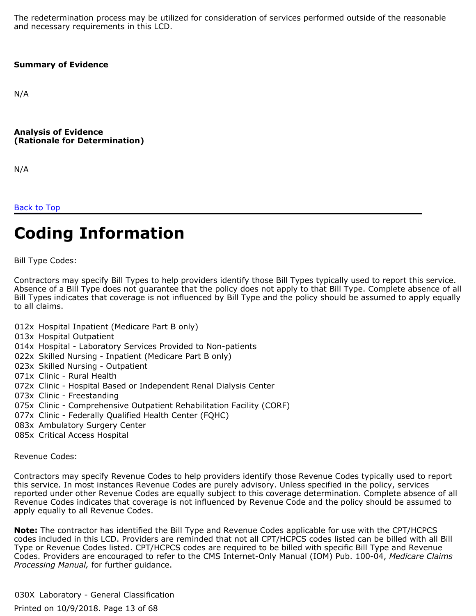The redetermination process may be utilized for consideration of services performed outside of the reasonable and necessary requirements in this LCD.

#### **Summary of Evidence**

N/A

**Analysis of Evidence (Rationale for Determination)**

N/A

[Back to Top](#page-0-0)

# **Coding Information**

Bill Type Codes:

Contractors may specify Bill Types to help providers identify those Bill Types typically used to report this service. Absence of a Bill Type does not guarantee that the policy does not apply to that Bill Type. Complete absence of all Bill Types indicates that coverage is not influenced by Bill Type and the policy should be assumed to apply equally to all claims.

- 012x Hospital Inpatient (Medicare Part B only)
- 013x Hospital Outpatient
- 014x Hospital Laboratory Services Provided to Non-patients
- 022x Skilled Nursing Inpatient (Medicare Part B only)
- 023x Skilled Nursing Outpatient
- 071x Clinic Rural Health
- 072x Clinic Hospital Based or Independent Renal Dialysis Center
- 073x Clinic Freestanding
- 075x Clinic Comprehensive Outpatient Rehabilitation Facility (CORF)
- 077x Clinic Federally Qualified Health Center (FQHC)
- 083x Ambulatory Surgery Center
- 085x Critical Access Hospital

Revenue Codes:

Contractors may specify Revenue Codes to help providers identify those Revenue Codes typically used to report this service. In most instances Revenue Codes are purely advisory. Unless specified in the policy, services reported under other Revenue Codes are equally subject to this coverage determination. Complete absence of all Revenue Codes indicates that coverage is not influenced by Revenue Code and the policy should be assumed to apply equally to all Revenue Codes.

**Note:** The contractor has identified the Bill Type and Revenue Codes applicable for use with the CPT/HCPCS codes included in this LCD. Providers are reminded that not all CPT/HCPCS codes listed can be billed with all Bill Type or Revenue Codes listed. CPT/HCPCS codes are required to be billed with specific Bill Type and Revenue Codes. Providers are encouraged to refer to the CMS Internet-Only Manual (IOM) Pub. 100-04, *Medicare Claims Processing Manual,* for further guidance.

030X Laboratory - General Classification Printed on 10/9/2018. Page 13 of 68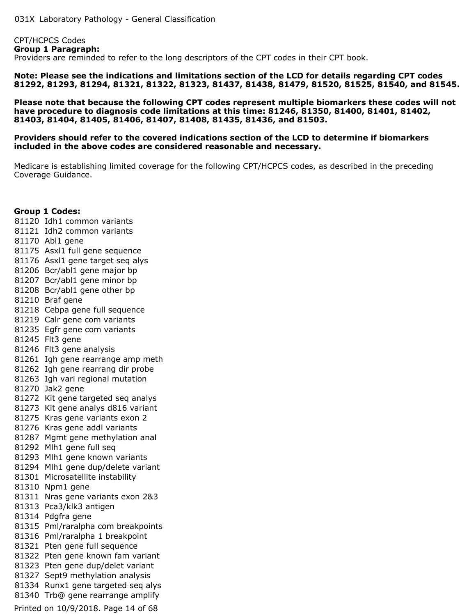CPT/HCPCS Codes **Group 1 Paragraph:** Providers are reminded to refer to the long descriptors of the CPT codes in their CPT book.

**Note: Please see the indications and limitations section of the LCD for details regarding CPT codes 81292, 81293, 81294, 81321, 81322, 81323, 81437, 81438, 81479, 81520, 81525, 81540, and 81545.**

**Please note that because the following CPT codes represent multiple biomarkers these codes will not have procedure to diagnosis code limitations at this time: 81246, 81350, 81400, 81401, 81402, 81403, 81404, 81405, 81406, 81407, 81408, 81435, 81436, and 81503.**

#### **Providers should refer to the covered indications section of the LCD to determine if biomarkers included in the above codes are considered reasonable and necessary.**

Medicare is establishing limited coverage for the following CPT/HCPCS codes, as described in the preceding Coverage Guidance.

#### **Group 1 Codes:**

 Idh1 common variants Idh2 common variants Abl1 gene Asxl1 full gene sequence Asxl1 gene target seq alys Bcr/abl1 gene major bp Bcr/abl1 gene minor bp Bcr/abl1 gene other bp Braf gene Cebpa gene full sequence Calr gene com variants Egfr gene com variants Flt3 gene Flt3 gene analysis Igh gene rearrange amp meth Igh gene rearrang dir probe Igh vari regional mutation Jak2 gene Kit gene targeted seq analys Kit gene analys d816 variant Kras gene variants exon 2 Kras gene addl variants Mgmt gene methylation anal Mlh1 gene full seq Mlh1 gene known variants Mlh1 gene dup/delete variant Microsatellite instability Npm1 gene Nras gene variants exon 2&3 Pca3/klk3 antigen Pdgfra gene Pml/raralpha com breakpoints Pml/raralpha 1 breakpoint Pten gene full sequence Pten gene known fam variant Pten gene dup/delet variant Sept9 methylation analysis Runx1 gene targeted seq alys Trb@ gene rearrange amplify Printed on 10/9/2018. Page 14 of 68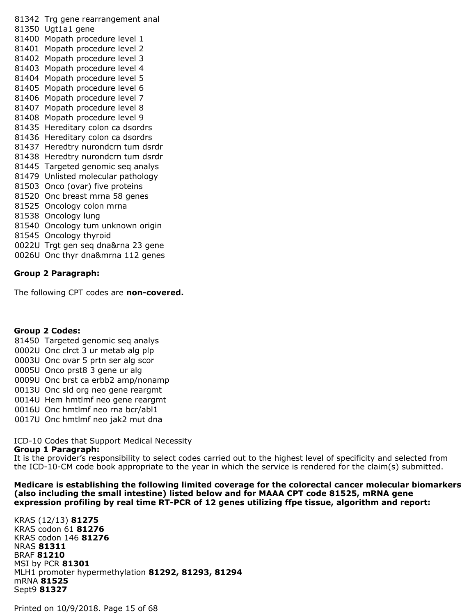Trg gene rearrangement anal Ugt1a1 gene Mopath procedure level 1 Mopath procedure level 2 Mopath procedure level 3 Mopath procedure level 4 Mopath procedure level 5 Mopath procedure level 6 Mopath procedure level 7 Mopath procedure level 8 Mopath procedure level 9 Hereditary colon ca dsordrs Hereditary colon ca dsordrs Heredtry nurondcrn tum dsrdr Heredtry nurondcrn tum dsrdr Targeted genomic seq analys Unlisted molecular pathology Onco (ovar) five proteins Onc breast mrna 58 genes Oncology colon mrna Oncology lung Oncology tum unknown origin Oncology thyroid 0022U Trgt gen seq dna&rna 23 gene 0026U Onc thyr dna&mrna 112 genes

#### **Group 2 Paragraph:**

The following CPT codes are **non-covered.**

#### **Group 2 Codes:**

- 81450 Targeted genomic seq analys
- 0002U Onc clrct 3 ur metab alg plp
- 0003U Onc ovar 5 prtn ser alg scor
- 0005U Onco prst8 3 gene ur alg
- 0009U Onc brst ca erbb2 amp/nonamp
- 0013U Onc sld org neo gene reargmt
- 0014U Hem hmtlmf neo gene reargmt
- 0016U Onc hmtlmf neo rna bcr/abl1
- 0017U Onc hmtlmf neo jak2 mut dna

ICD-10 Codes that Support Medical Necessity

#### **Group 1 Paragraph:**

It is the provider's responsibility to select codes carried out to the highest level of specificity and selected from the ICD-10-CM code book appropriate to the year in which the service is rendered for the claim(s) submitted.

**Medicare is establishing the following limited coverage for the colorectal cancer molecular biomarkers (also including the small intestine) listed below and for MAAA CPT code 81525, mRNA gene expression profiling by real time RT-PCR of 12 genes utilizing ffpe tissue, algorithm and report:**

KRAS (12/13) **81275** KRAS codon 61 **81276** KRAS codon 146 **81276** NRAS **81311** BRAF **81210** MSI by PCR **81301** MLH1 promoter hypermethylation **81292, 81293, 81294** mRNA **81525** Sept9 **81327**

Printed on 10/9/2018. Page 15 of 68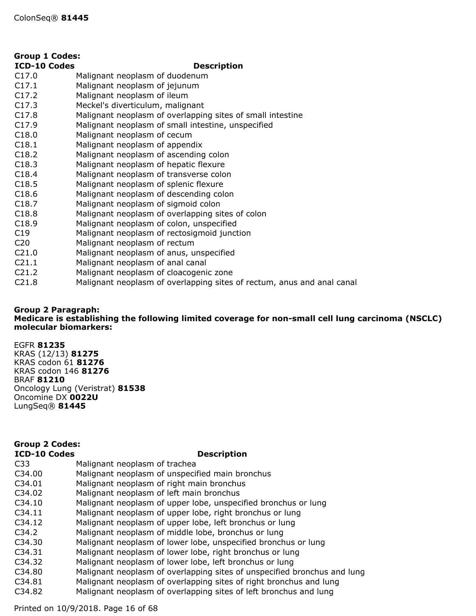| <b>Group 1 Codes:</b> |                                                                        |  |
|-----------------------|------------------------------------------------------------------------|--|
| <b>ICD-10 Codes</b>   | <b>Description</b>                                                     |  |
| C17.0                 | Malignant neoplasm of duodenum                                         |  |
| C17.1                 | Malignant neoplasm of jejunum                                          |  |
| C17.2                 | Malignant neoplasm of ileum                                            |  |
| C17.3                 | Meckel's diverticulum, malignant                                       |  |
| C17.8                 | Malignant neoplasm of overlapping sites of small intestine             |  |
| C17.9                 | Malignant neoplasm of small intestine, unspecified                     |  |
| C18.0                 | Malignant neoplasm of cecum                                            |  |
| C18.1                 | Malignant neoplasm of appendix                                         |  |
| C18.2                 | Malignant neoplasm of ascending colon                                  |  |
| C18.3                 | Malignant neoplasm of hepatic flexure                                  |  |
| C18.4                 | Malignant neoplasm of transverse colon                                 |  |
| C18.5                 | Malignant neoplasm of splenic flexure                                  |  |
| C18.6                 | Malignant neoplasm of descending colon                                 |  |
| C18.7                 | Malignant neoplasm of sigmoid colon                                    |  |
| C18.8                 | Malignant neoplasm of overlapping sites of colon                       |  |
| C18.9                 | Malignant neoplasm of colon, unspecified                               |  |
| C19                   | Malignant neoplasm of rectosigmoid junction                            |  |
| C <sub>20</sub>       | Malignant neoplasm of rectum                                           |  |
| C21.0                 | Malignant neoplasm of anus, unspecified                                |  |
| C <sub>21.1</sub>     | Malignant neoplasm of anal canal                                       |  |
| C21.2                 | Malignant neoplasm of cloacogenic zone                                 |  |
| C21.8                 | Malignant neoplasm of overlapping sites of rectum, anus and anal canal |  |

#### **Group 2 Paragraph: Medicare is establishing the following limited coverage for non-small cell lung carcinoma (NSCLC) molecular biomarkers:**

EGFR **81235** KRAS (12/13) **81275** KRAS codon 61 **81276** KRAS codon 146 **81276** BRAF **81210** Oncology Lung (Veristrat) **81538** Oncomine DX **0022U** LungSeq® **81445**

#### **ICD-10 Codes Description Group 2 Codes:**

| ICD-IN COUCS       | PCSCHRUCH                                                                |
|--------------------|--------------------------------------------------------------------------|
| C <sub>33</sub>    | Malignant neoplasm of trachea                                            |
| C34.00             | Malignant neoplasm of unspecified main bronchus                          |
| C34.01             | Malignant neoplasm of right main bronchus                                |
| C <sub>34.02</sub> | Malignant neoplasm of left main bronchus                                 |
| C34.10             | Malignant neoplasm of upper lobe, unspecified bronchus or lung           |
| C34.11             | Malignant neoplasm of upper lobe, right bronchus or lung                 |
| C <sub>34.12</sub> | Malignant neoplasm of upper lobe, left bronchus or lung                  |
| C <sub>34.2</sub>  | Malignant neoplasm of middle lobe, bronchus or lung                      |
| C <sub>34.30</sub> | Malignant neoplasm of lower lobe, unspecified bronchus or lung           |
| C <sub>34.31</sub> | Malignant neoplasm of lower lobe, right bronchus or lung                 |
| C <sub>34.32</sub> | Malignant neoplasm of lower lobe, left bronchus or lung                  |
| C34.80             | Malignant neoplasm of overlapping sites of unspecified bronchus and lung |
| C34.81             | Malignant neoplasm of overlapping sites of right bronchus and lung       |
| C <sub>34.82</sub> | Malignant neoplasm of overlapping sites of left bronchus and lung        |
|                    |                                                                          |

Printed on 10/9/2018. Page 16 of 68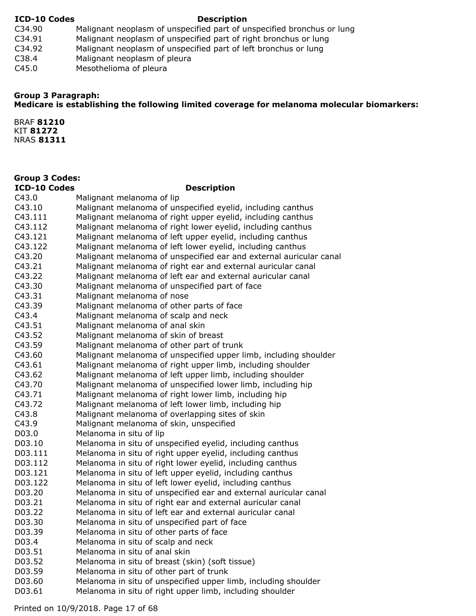#### **ICD-10 Codes Description**

- C34.90 Malignant neoplasm of unspecified part of unspecified bronchus or lung<br>C34.91 Malignant neoplasm of unspecified part of right bronchus or lung
- C34.91 Malignant neoplasm of unspecified part of right bronchus or lung<br>C34.92 Malignant neoplasm of unspecified part of left bronchus or lung
- Malignant neoplasm of unspecified part of left bronchus or lung
- C38.4 Malignant neoplasm of pleura
- C45.0 Mesothelioma of pleura

### **Group 3 Paragraph:**

### **Medicare is establishing the following limited coverage for melanoma molecular biomarkers:**

BRAF **81210** KIT **81272** NRAS **81311**

| <b>Group 3 Codes:</b> |                                                                    |
|-----------------------|--------------------------------------------------------------------|
| <b>ICD-10 Codes</b>   | <b>Description</b>                                                 |
| C43.0                 | Malignant melanoma of lip                                          |
| C43.10                | Malignant melanoma of unspecified eyelid, including canthus        |
| C43.111               | Malignant melanoma of right upper eyelid, including canthus        |
| C43.112               | Malignant melanoma of right lower eyelid, including canthus        |
| C43.121               | Malignant melanoma of left upper eyelid, including canthus         |
| C43.122               | Malignant melanoma of left lower eyelid, including canthus         |
| C43.20                | Malignant melanoma of unspecified ear and external auricular canal |
| C43.21                | Malignant melanoma of right ear and external auricular canal       |
| C43.22                | Malignant melanoma of left ear and external auricular canal        |
| C43.30                | Malignant melanoma of unspecified part of face                     |
| C43.31                | Malignant melanoma of nose                                         |
| C43.39                | Malignant melanoma of other parts of face                          |
| C43.4                 | Malignant melanoma of scalp and neck                               |
| C43.51                | Malignant melanoma of anal skin                                    |
| C43.52                | Malignant melanoma of skin of breast                               |
| C43.59                | Malignant melanoma of other part of trunk                          |
| C43.60                | Malignant melanoma of unspecified upper limb, including shoulder   |
| C43.61                | Malignant melanoma of right upper limb, including shoulder         |
| C43.62                | Malignant melanoma of left upper limb, including shoulder          |
| C43.70                | Malignant melanoma of unspecified lower limb, including hip        |
| C43.71                | Malignant melanoma of right lower limb, including hip              |
| C43.72                | Malignant melanoma of left lower limb, including hip               |
| C43.8                 | Malignant melanoma of overlapping sites of skin                    |
| C43.9                 | Malignant melanoma of skin, unspecified                            |
| D03.0                 | Melanoma in situ of lip                                            |
| D03.10                | Melanoma in situ of unspecified eyelid, including canthus          |
| D03.111               | Melanoma in situ of right upper eyelid, including canthus          |
| D03.112               | Melanoma in situ of right lower eyelid, including canthus          |
| D03.121               | Melanoma in situ of left upper eyelid, including canthus           |
| D03.122               | Melanoma in situ of left lower eyelid, including canthus           |
| D03.20                | Melanoma in situ of unspecified ear and external auricular canal   |
| D03.21                | Melanoma in situ of right ear and external auricular canal         |
| D03.22                | Melanoma in situ of left ear and external auricular canal          |
| D03.30                | Melanoma in situ of unspecified part of face                       |
| D03.39                | Melanoma in situ of other parts of face                            |
| D03.4                 | Melanoma in situ of scalp and neck                                 |
| D03.51                | Melanoma in situ of anal skin                                      |
| D03.52                | Melanoma in situ of breast (skin) (soft tissue)                    |
| D03.59                | Melanoma in situ of other part of trunk                            |
| D03.60                | Melanoma in situ of unspecified upper limb, including shoulder     |
| D03.61                | Melanoma in situ of right upper limb, including shoulder           |

Printed on 10/9/2018. Page 17 of 68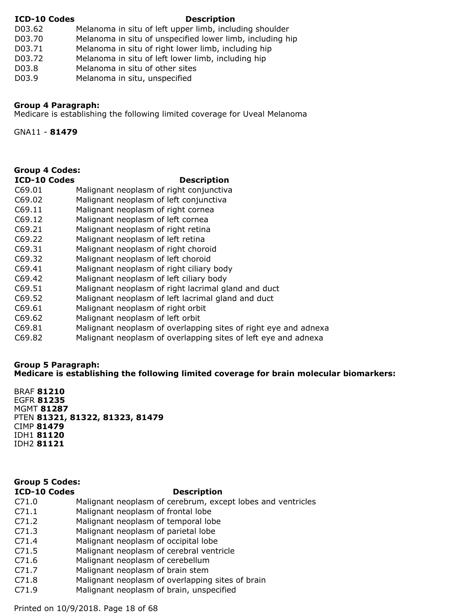#### **ICD-10 Codes Description**

- D03.62 Melanoma in situ of left upper limb, including shoulder
- D03.70 Melanoma in situ of unspecified lower limb, including hip
- D03.71 Melanoma in situ of right lower limb, including hip
- D03.72 Melanoma in situ of left lower limb, including hip
- D03.8 Melanoma in situ of other sites
- D03.9 Melanoma in situ, unspecified

### **Group 4 Paragraph:**

Medicare is establishing the following limited coverage for Uveal Melanoma

GNA11 - **81479**

## **Group 4 Codes:**

### **ICD-10 Codes Description**

- C69.01 Malignant neoplasm of right conjunctiva
- C69.02 Malignant neoplasm of left conjunctiva
- C69.11 Malignant neoplasm of right cornea
- C69.12 Malignant neoplasm of left cornea
- C69.21 Malignant neoplasm of right retina
- C69.22 Malignant neoplasm of left retina
- C69.31 Malignant neoplasm of right choroid
- C69.32 Malignant neoplasm of left choroid
- C69.41 Malignant neoplasm of right ciliary body
- C69.42 Malignant neoplasm of left ciliary body
- C69.51 Malignant neoplasm of right lacrimal gland and duct
- C69.52 Malignant neoplasm of left lacrimal gland and duct
- C69.61 Malignant neoplasm of right orbit
- C69.62 Malignant neoplasm of left orbit
- C69.81 Malignant neoplasm of overlapping sites of right eye and adnexa
- C69.82 Malignant neoplasm of overlapping sites of left eye and adnexa

#### **Group 5 Paragraph: Medicare is establishing the following limited coverage for brain molecular biomarkers:**

BRAF **81210** EGFR **81235** MGMT **81287** PTEN **81321, 81322, 81323, 81479** CIMP **81479** IDH1 **81120** IDH2 **81121**

#### **ICD-10 Codes Description** C71.0 Malignant neoplasm of cerebrum, except lobes and ventricles C71.1 Malignant neoplasm of frontal lobe C71.2 Malignant neoplasm of temporal lobe C71.3 Malignant neoplasm of parietal lobe C71.4 Malignant neoplasm of occipital lobe C71.5 Malignant neoplasm of cerebral ventricle **Group 5 Codes:**

- C71.6 Malignant neoplasm of cerebellum
- C71.7 Malignant neoplasm of brain stem
- C71.8 Malignant neoplasm of overlapping sites of brain
- C71.9 Malignant neoplasm of brain, unspecified

Printed on 10/9/2018. Page 18 of 68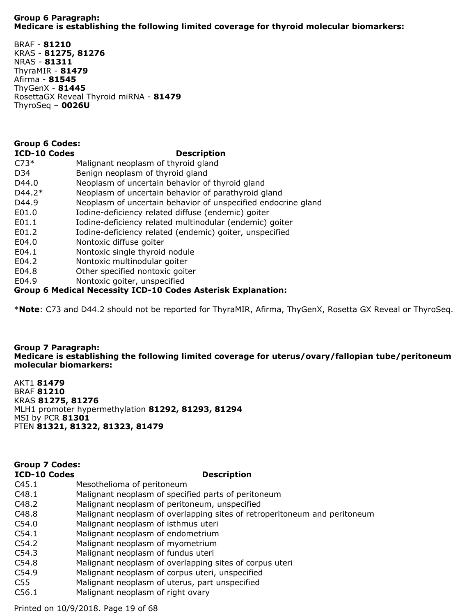#### **Group 6 Paragraph: Medicare is establishing the following limited coverage for thyroid molecular biomarkers:**

BRAF - **81210** KRAS - **81275, 81276** NRAS - **81311** ThyraMIR - **81479** Afirma - **81545** ThyGenX - **81445** RosettaGX Reveal Thyroid miRNA - **81479** ThyroSeq – **0026U**

### **Group 6 Codes:**

### **ICD-10 Codes Description**

| ICD-IO COURS | Description                                                   |
|--------------|---------------------------------------------------------------|
| $C73*$       | Malignant neoplasm of thyroid gland                           |
| D34          | Benign neoplasm of thyroid gland                              |
| D44.0        | Neoplasm of uncertain behavior of thyroid gland               |
| $D44.2*$     | Neoplasm of uncertain behavior of parathyroid gland           |
| D44.9        | Neoplasm of uncertain behavior of unspecified endocrine gland |
| E01.0        | Iodine-deficiency related diffuse (endemic) goiter            |
| E01.1        | Iodine-deficiency related multinodular (endemic) goiter       |
| E01.2        | Iodine-deficiency related (endemic) goiter, unspecified       |
| E04.0        | Nontoxic diffuse goiter                                       |
| E04.1        | Nontoxic single thyroid nodule                                |
| E04.2        | Nontoxic multinodular goiter                                  |
| E04.8        | Other specified nontoxic goiter                               |
| E04.9        | Nontoxic goiter, unspecified                                  |
|              |                                                               |

#### **Group 6 Medical Necessity ICD-10 Codes Asterisk Explanation:**

\***Note**: C73 and D44.2 should not be reported for ThyraMIR, Afirma, ThyGenX, Rosetta GX Reveal or ThyroSeq.

#### **Group 7 Paragraph: Medicare is establishing the following limited coverage for uterus/ovary/fallopian tube/peritoneum molecular biomarkers:**

AKT1 **81479** BRAF **81210** KRAS **81275, 81276** MLH1 promoter hypermethylation **81292, 81293, 81294** MSI by PCR **81301** PTEN **81321, 81322, 81323, 81479**

## **Group 7 Codes:**

#### **ICD-10 Codes Description**

- C45.1 Mesothelioma of peritoneum
- C48.1 Malignant neoplasm of specified parts of peritoneum
- C48.2 Malignant neoplasm of peritoneum, unspecified
- C48.8 Malignant neoplasm of overlapping sites of retroperitoneum and peritoneum
- C54.0 Malignant neoplasm of isthmus uteri
- C54.1 Malignant neoplasm of endometrium
- C54.2 Malignant neoplasm of myometrium
- C54.3 Malignant neoplasm of fundus uteri
- C54.8 Malignant neoplasm of overlapping sites of corpus uteri
- C54.9 Malignant neoplasm of corpus uteri, unspecified
- C55 Malignant neoplasm of uterus, part unspecified
- C56.1 Malignant neoplasm of right ovary

Printed on 10/9/2018. Page 19 of 68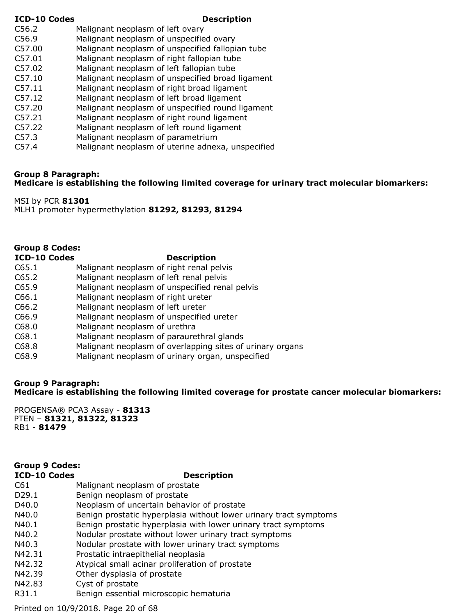#### **ICD-10 Codes Description**

- C56.2 Malignant neoplasm of left ovary
- C56.9 Malignant neoplasm of unspecified ovary
- C57.00 Malignant neoplasm of unspecified fallopian tube
- C57.01 Malignant neoplasm of right fallopian tube
- C57.02 Malignant neoplasm of left fallopian tube
- C57.10 Malignant neoplasm of unspecified broad ligament
- C57.11 Malignant neoplasm of right broad ligament
- C57.12 Malignant neoplasm of left broad ligament
- C57.20 Malignant neoplasm of unspecified round ligament
- C57.21 Malignant neoplasm of right round ligament
- C57.22 Malignant neoplasm of left round ligament
- C57.3 Malignant neoplasm of parametrium
- C57.4 Malignant neoplasm of uterine adnexa, unspecified

#### **Group 8 Paragraph:**

**Medicare is establishing the following limited coverage for urinary tract molecular biomarkers:**

MSI by PCR **81301** MLH1 promoter hypermethylation **81292, 81293, 81294**

### **Group 8 Codes:**

#### **ICD-10 Codes Description**

- C65.1 Malignant neoplasm of right renal pelvis
- C65.2 Malignant neoplasm of left renal pelvis
- C65.9 Malignant neoplasm of unspecified renal pelvis
- C66.1 Malignant neoplasm of right ureter
- C66.2 Malignant neoplasm of left ureter
- C66.9 Malignant neoplasm of unspecified ureter
- C68.0 Malignant neoplasm of urethra
- C68.1 Malignant neoplasm of paraurethral glands
- C68.8 Malignant neoplasm of overlapping sites of urinary organs
- C68.9 Malignant neoplasm of urinary organ, unspecified

#### **Group 9 Paragraph: Medicare is establishing the following limited coverage for prostate cancer molecular biomarkers:**

PROGENSA® PCA3 Assay - **81313** PTEN – **81321, 81322, 81323** RB1 - **81479**

# **Group 9 Codes:**

#### **ICD-10 Codes Description**

- C61 Malignant neoplasm of prostate
- D29.1 Benign neoplasm of prostate
- D40.0 Neoplasm of uncertain behavior of prostate
- N40.0 Benign prostatic hyperplasia without lower urinary tract symptoms
- N40.1 Benign prostatic hyperplasia with lower urinary tract symptoms
- N40.2 Nodular prostate without lower urinary tract symptoms
- N40.3 Nodular prostate with lower urinary tract symptoms
- N42.31 Prostatic intraepithelial neoplasia
- N42.32 Atypical small acinar proliferation of prostate
- N42.39 Other dysplasia of prostate
- N42.83 Cyst of prostate
- R31.1 Benign essential microscopic hematuria

Printed on 10/9/2018. Page 20 of 68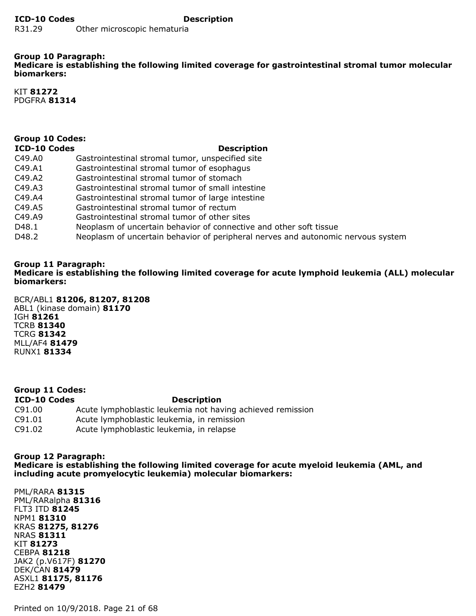#### **Group 10 Paragraph: Medicare is establishing the following limited coverage for gastrointestinal stromal tumor molecular biomarkers:**

KIT **81272** PDGFRA **81314**

# **Group 10 Codes:**

#### **ICD-10 Codes Description**

- C49.A0 Gastrointestinal stromal tumor, unspecified site C49.A1 Gastrointestinal stromal tumor of esophagus C49.A2 Gastrointestinal stromal tumor of stomach C49.A3 Gastrointestinal stromal tumor of small intestine C49.A4 Gastrointestinal stromal tumor of large intestine C49.A5 Gastrointestinal stromal tumor of rectum C49.A9 Gastrointestinal stromal tumor of other sites D48.1 Neoplasm of uncertain behavior of connective and other soft tissue
- D48.2 Neoplasm of uncertain behavior of peripheral nerves and autonomic nervous system

#### **Group 11 Paragraph: Medicare is establishing the following limited coverage for acute lymphoid leukemia (ALL) molecular biomarkers:**

BCR/ABL1 **81206, 81207, 81208** ABL1 (kinase domain) **81170** IGH **81261** TCRB **81340** TCRG **81342** MLL/AF4 **81479** RUNX1 **81334**

#### **ICD-10 Codes Description** C91.00 Acute lymphoblastic leukemia not having achieved remission C91.01 Acute lymphoblastic leukemia, in remission C91.02 Acute lymphoblastic leukemia, in relapse **Group 11 Codes:**

#### **Group 12 Paragraph:**

**Medicare is establishing the following limited coverage for acute myeloid leukemia (AML, and including acute promyelocytic leukemia) molecular biomarkers:**

PML/RARA **81315** PML/RARalpha **81316** FLT3 ITD **81245** NPM1 **81310** KRAS **81275, 81276** NRAS **81311** KIT **81273** CEBPA **81218** JAK2 (p.V617F) **81270** DEK/CAN **81479** ASXL1 **81175, 81176** EZH2 **81479**

Printed on 10/9/2018. Page 21 of 68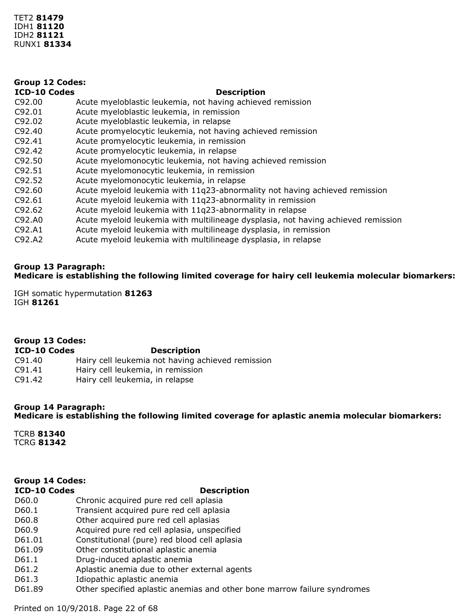| <b>Group 12 Codes:</b> |                                                                                   |  |
|------------------------|-----------------------------------------------------------------------------------|--|
| <b>ICD-10 Codes</b>    | <b>Description</b>                                                                |  |
| C92.00                 | Acute myeloblastic leukemia, not having achieved remission                        |  |
| C92.01                 | Acute myeloblastic leukemia, in remission                                         |  |
| C92.02                 | Acute myeloblastic leukemia, in relapse                                           |  |
| C92.40                 | Acute promyelocytic leukemia, not having achieved remission                       |  |
| C92.41                 | Acute promyelocytic leukemia, in remission                                        |  |
| C92.42                 | Acute promyelocytic leukemia, in relapse                                          |  |
| C92.50                 | Acute myelomonocytic leukemia, not having achieved remission                      |  |
| C92.51                 | Acute myelomonocytic leukemia, in remission                                       |  |
| C92.52                 | Acute myelomonocytic leukemia, in relapse                                         |  |
| C92.60                 | Acute myeloid leukemia with 11q23-abnormality not having achieved remission       |  |
| C92.61                 | Acute myeloid leukemia with 11q23-abnormality in remission                        |  |
| C92.62                 | Acute myeloid leukemia with 11q23-abnormality in relapse                          |  |
| C92.A0                 | Acute myeloid leukemia with multilineage dysplasia, not having achieved remission |  |
| C92.A1                 | Acute myeloid leukemia with multilineage dysplasia, in remission                  |  |
| C92.A2                 | Acute myeloid leukemia with multilineage dysplasia, in relapse                    |  |

#### **Group 13 Paragraph: Medicare is establishing the following limited coverage for hairy cell leukemia molecular biomarkers:**

IGH somatic hypermutation **81263** IGH **81261**

| Group 13 Codes:     |                                                   |  |  |
|---------------------|---------------------------------------------------|--|--|
| <b>ICD-10 Codes</b> | <b>Description</b>                                |  |  |
| C91.40              | Hairy cell leukemia not having achieved remission |  |  |
| C91.41              | Hairy cell leukemia, in remission                 |  |  |
| C91.42              | Hairy cell leukemia, in relapse                   |  |  |

#### **Group 14 Paragraph:**

#### **Medicare is establishing the following limited coverage for aplastic anemia molecular biomarkers:**

TCRB **81340** TCRG **81342**

#### **Group 14 Codes:**

#### **ICD-10 Codes Description**

- D60.0 Chronic acquired pure red cell aplasia
- D60.1 Transient acquired pure red cell aplasia
- D60.8 Other acquired pure red cell aplasias
- D60.9 Acquired pure red cell aplasia, unspecified
- D61.01 Constitutional (pure) red blood cell aplasia
- D61.09 Other constitutional aplastic anemia
- D61.1 Drug-induced aplastic anemia
- D61.2 Aplastic anemia due to other external agents
- D61.3 Idiopathic aplastic anemia
- D61.89 Other specified aplastic anemias and other bone marrow failure syndromes

Printed on 10/9/2018. Page 22 of 68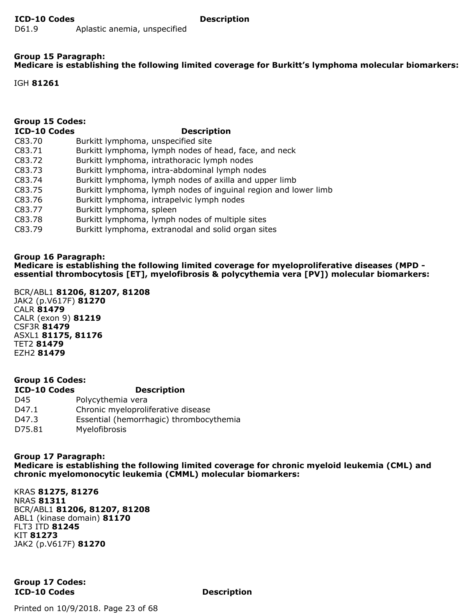#### **Group 15 Paragraph: Medicare is establishing the following limited coverage for Burkitt's lymphoma molecular biomarkers:**

IGH **81261**

| <b>Group 15 Codes:</b> |                                                                 |  |
|------------------------|-----------------------------------------------------------------|--|
| <b>ICD-10 Codes</b>    | <b>Description</b>                                              |  |
| C83.70                 | Burkitt lymphoma, unspecified site                              |  |
| C83.71                 | Burkitt lymphoma, lymph nodes of head, face, and neck           |  |
| C83.72                 | Burkitt lymphoma, intrathoracic lymph nodes                     |  |
| C83.73                 | Burkitt lymphoma, intra-abdominal lymph nodes                   |  |
| C83.74                 | Burkitt lymphoma, lymph nodes of axilla and upper limb          |  |
| C83.75                 | Burkitt lymphoma, lymph nodes of inguinal region and lower limb |  |
| C83.76                 | Burkitt lymphoma, intrapelvic lymph nodes                       |  |
| C83.77                 | Burkitt lymphoma, spleen                                        |  |
| C83.78                 | Burkitt lymphoma, lymph nodes of multiple sites                 |  |
| C83.79                 | Burkitt lymphoma, extranodal and solid organ sites              |  |
|                        |                                                                 |  |
|                        |                                                                 |  |

#### **Group 16 Paragraph:**

**Medicare is establishing the following limited coverage for myeloproliferative diseases (MPD essential thrombocytosis [ET], myelofibrosis & polycythemia vera [PV]) molecular biomarkers:**

BCR/ABL1 **81206, 81207, 81208** JAK2 (p.V617F) **81270** CALR **81479** CALR (exon 9) **81219** CSF3R **81479** ASXL1 **81175, 81176** TET2 **81479** EZH2 **81479**

| <b>Group 16 Codes:</b> |                                         |  |
|------------------------|-----------------------------------------|--|
| <b>ICD-10 Codes</b>    | <b>Description</b>                      |  |
| D45                    | Polycythemia vera                       |  |
| D47.1                  | Chronic myeloproliferative disease      |  |
| D47.3                  | Essential (hemorrhagic) thrombocythemia |  |
| D75.81                 | Myelofibrosis                           |  |

**Group 17 Paragraph: Medicare is establishing the following limited coverage for chronic myeloid leukemia (CML) and chronic myelomonocytic leukemia (CMML) molecular biomarkers:**

KRAS **81275, 81276** NRAS **81311** BCR/ABL1 **81206, 81207, 81208** ABL1 (kinase domain) **81170** FLT3 ITD **81245** KIT **81273** JAK2 (p.V617F) **81270**

**ICD-10 Codes Description Group 17 Codes:**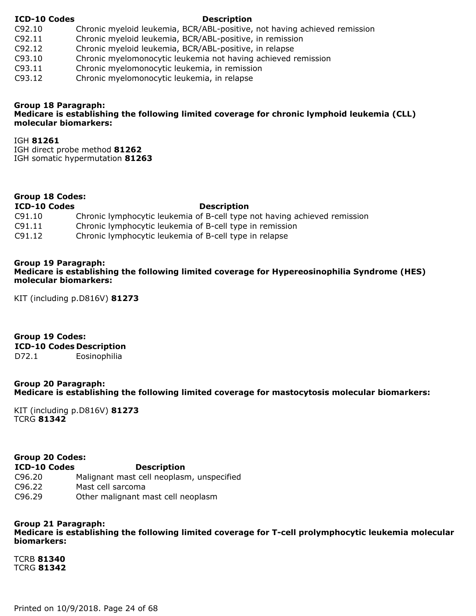#### **ICD-10 Codes Description**

- C92.10 Chronic myeloid leukemia, BCR/ABL-positive, not having achieved remission
- C92.11 Chronic myeloid leukemia, BCR/ABL-positive, in remission
- C92.12 Chronic myeloid leukemia, BCR/ABL-positive, in relapse
- C93.10 Chronic myelomonocytic leukemia not having achieved remission
- C93.11 Chronic myelomonocytic leukemia, in remission
- C93.12 Chronic myelomonocytic leukemia, in relapse

#### **Group 18 Paragraph: Medicare is establishing the following limited coverage for chronic lymphoid leukemia (CLL) molecular biomarkers:**

IGH **81261** IGH direct probe method **81262** IGH somatic hypermutation **81263**

#### **Group 18 Codes:**

#### **ICD-10 Codes Description**

| C91.10 | Chronic lymphocytic leukemia of B-cell type not having achieved remission |
|--------|---------------------------------------------------------------------------|
| C91.11 | Chronic lymphocytic leukemia of B-cell type in remission                  |

C91.12 Chronic lymphocytic leukemia of B-cell type in relapse

#### **Group 19 Paragraph:**

#### **Medicare is establishing the following limited coverage for Hypereosinophilia Syndrome (HES) molecular biomarkers:**

KIT (including p.D816V) **81273**

# **Group 19 Codes:**

**ICD-10 Codes Description**

D72.1 Eosinophilia

#### **Group 20 Paragraph: Medicare is establishing the following limited coverage for mastocytosis molecular biomarkers:**

KIT (including p.D816V) **81273** TCRG **81342**

#### **Group 20 Codes:**

#### **ICD-10 Codes Description**

- C96.20 Malignant mast cell neoplasm, unspecified
- C96.22 Mast cell sarcoma
- C96.29 Other malignant mast cell neoplasm

#### **Group 21 Paragraph:**

**Medicare is establishing the following limited coverage for T-cell prolymphocytic leukemia molecular biomarkers:**

TCRB **81340** TCRG **81342**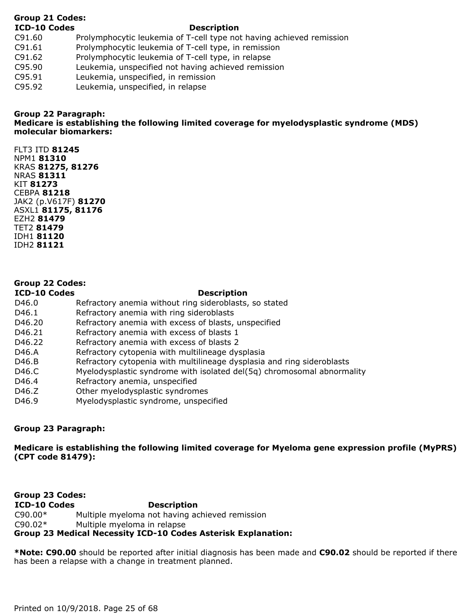### **Group 21 Codes:**

#### **ICD-10 Codes Description**

- C91.60 Prolymphocytic leukemia of T-cell type not having achieved remission
- C91.61 Prolymphocytic leukemia of T-cell type, in remission
- C91.62 Prolymphocytic leukemia of T-cell type, in relapse
- C95.90 Leukemia, unspecified not having achieved remission
- C95.91 Leukemia, unspecified, in remission
- C95.92 Leukemia, unspecified, in relapse

## **Group 22 Paragraph:**

**Medicare is establishing the following limited coverage for myelodysplastic syndrome (MDS) molecular biomarkers:**

FLT3 ITD **81245** NPM1 **81310** KRAS **81275, 81276** NRAS **81311** KIT **81273** CEBPA **81218** JAK2 (p.V617F) **81270** ASXL1 **81175, 81176** EZH2 **81479** TET2 **81479** IDH1 **81120** IDH2 **81121**

## **Group 22 Codes:**

#### **ICD-10 Codes Description**

- D46.0 Refractory anemia without ring sideroblasts, so stated
- D46.1 Refractory anemia with ring sideroblasts
- D46.20 Refractory anemia with excess of blasts, unspecified
- D46.21 Refractory anemia with excess of blasts 1
- D46.22 Refractory anemia with excess of blasts 2
- D46.A Refractory cytopenia with multilineage dysplasia
- D46.B Refractory cytopenia with multilineage dysplasia and ring sideroblasts
- D46.C Myelodysplastic syndrome with isolated del(5q) chromosomal abnormality
- D46.4 Refractory anemia, unspecified
- D46.Z Other myelodysplastic syndromes
- D46.9 Myelodysplastic syndrome, unspecified

### **Group 23 Paragraph:**

**Medicare is establishing the following limited coverage for Myeloma gene expression profile (MyPRS) (CPT code 81479):**

**ICD-10 Codes Description** C90.00\* Multiple myeloma not having achieved remission C90.02\* Multiple myeloma in relapse **Group 23 Codes: Group 23 Medical Necessity ICD-10 Codes Asterisk Explanation:**

**\*Note: C90.00** should be reported after initial diagnosis has been made and **C90.02** should be reported if there has been a relapse with a change in treatment planned.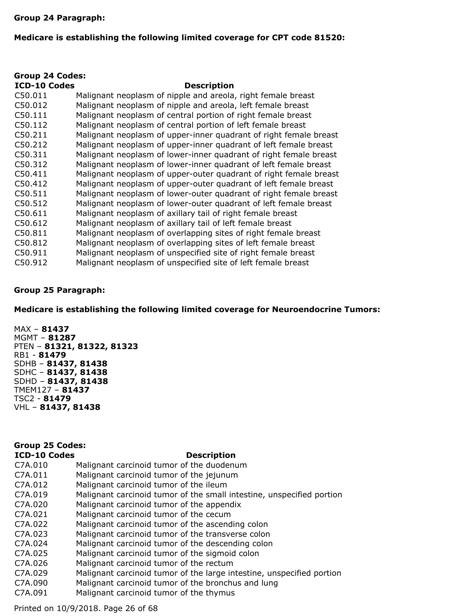#### **Group 24 Paragraph:**

#### **Medicare is establishing the following limited coverage for CPT code 81520:**

| <b>Group 24 Codes:</b> |                                                                   |  |
|------------------------|-------------------------------------------------------------------|--|
| <b>ICD-10 Codes</b>    | <b>Description</b>                                                |  |
| C50.011                | Malignant neoplasm of nipple and areola, right female breast      |  |
| C50.012                | Malignant neoplasm of nipple and areola, left female breast       |  |
| C50.111                | Malignant neoplasm of central portion of right female breast      |  |
| C50.112                | Malignant neoplasm of central portion of left female breast       |  |
| C50.211                | Malignant neoplasm of upper-inner quadrant of right female breast |  |
| C50.212                | Malignant neoplasm of upper-inner quadrant of left female breast  |  |
| C50.311                | Malignant neoplasm of lower-inner quadrant of right female breast |  |
| C50.312                | Malignant neoplasm of lower-inner quadrant of left female breast  |  |
| C50.411                | Malignant neoplasm of upper-outer quadrant of right female breast |  |
| C50.412                | Malignant neoplasm of upper-outer quadrant of left female breast  |  |
| C50.511                | Malignant neoplasm of lower-outer quadrant of right female breast |  |
| C50.512                | Malignant neoplasm of lower-outer quadrant of left female breast  |  |
| C50.611                | Malignant neoplasm of axillary tail of right female breast        |  |
| C50.612                | Malignant neoplasm of axillary tail of left female breast         |  |
| C50.811                | Malignant neoplasm of overlapping sites of right female breast    |  |
| C50.812                | Malignant neoplasm of overlapping sites of left female breast     |  |
| C50.911                | Malignant neoplasm of unspecified site of right female breast     |  |
| C50.912                | Malignant neoplasm of unspecified site of left female breast      |  |

#### **Group 25 Paragraph:**

**Medicare is establishing the following limited coverage for Neuroendocrine Tumors:**

MAX – **81437** MGMT – **81287** PTEN – **81321, 81322, 81323** RB1 - **81479** SDHB – **81437, 81438** SDHC – **81437, 81438** SDHD – **81437, 81438** TMEM127 – **81437** TSC2 - **81479** VHL – **81437, 81438**

#### **Group 25 Codes:**

#### **ICD-10 Codes Description**

| C7A.010 | Malignant carcinoid tumor of the duodenum                             |
|---------|-----------------------------------------------------------------------|
| C7A.011 | Malignant carcinoid tumor of the jejunum                              |
| C7A.012 | Malignant carcinoid tumor of the ileum                                |
| C7A.019 | Malignant carcinoid tumor of the small intestine, unspecified portion |
| C7A.020 | Malignant carcinoid tumor of the appendix                             |
| C7A.021 | Malignant carcinoid tumor of the cecum                                |
| C7A.022 | Malignant carcinoid tumor of the ascending colon                      |
| C7A.023 | Malignant carcinoid tumor of the transverse colon                     |
| C7A.024 | Malignant carcinoid tumor of the descending colon                     |
| C7A.025 | Malignant carcinoid tumor of the sigmoid colon                        |
| C7A.026 | Malignant carcinoid tumor of the rectum                               |
| C7A.029 | Malignant carcinoid tumor of the large intestine, unspecified portion |
| C7A.090 | Malignant carcinoid tumor of the bronchus and lung                    |
| C7A.091 | Malignant carcinoid tumor of the thymus                               |
|         |                                                                       |

Printed on 10/9/2018. Page 26 of 68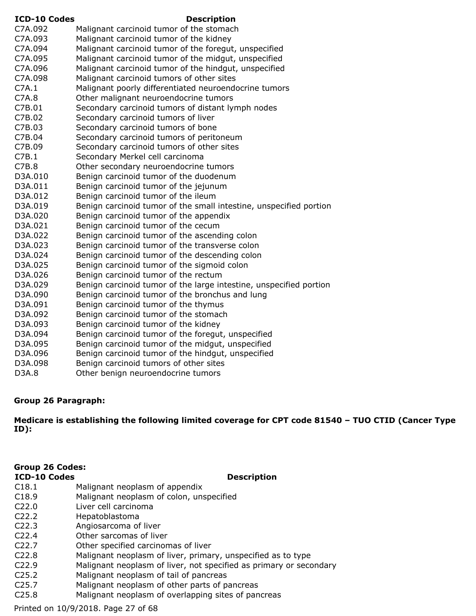| <b>ICD-10 Codes</b> | <b>Description</b>                                                 |
|---------------------|--------------------------------------------------------------------|
| C7A.092             | Malignant carcinoid tumor of the stomach                           |
| C7A.093             | Malignant carcinoid tumor of the kidney                            |
| C7A.094             | Malignant carcinoid tumor of the foregut, unspecified              |
| C7A.095             | Malignant carcinoid tumor of the midgut, unspecified               |
| C7A.096             | Malignant carcinoid tumor of the hindgut, unspecified              |
| C7A.098             | Malignant carcinoid tumors of other sites                          |
| C7A.1               | Malignant poorly differentiated neuroendocrine tumors              |
| C7A.8               | Other malignant neuroendocrine tumors                              |
| C7B.01              | Secondary carcinoid tumors of distant lymph nodes                  |
| C7B.02              | Secondary carcinoid tumors of liver                                |
| C7B.03              | Secondary carcinoid tumors of bone                                 |
| C7B.04              | Secondary carcinoid tumors of peritoneum                           |
| C7B.09              | Secondary carcinoid tumors of other sites                          |
| C7B.1               | Secondary Merkel cell carcinoma                                    |
| C7B.8               | Other secondary neuroendocrine tumors                              |
| D3A.010             | Benign carcinoid tumor of the duodenum                             |
| D3A.011             | Benign carcinoid tumor of the jejunum                              |
| D3A.012             | Benign carcinoid tumor of the ileum                                |
| D3A.019             | Benign carcinoid tumor of the small intestine, unspecified portion |
| D3A.020             | Benign carcinoid tumor of the appendix                             |
| D3A.021             | Benign carcinoid tumor of the cecum                                |
| D3A.022             | Benign carcinoid tumor of the ascending colon                      |
| D3A.023             | Benign carcinoid tumor of the transverse colon                     |
| D3A.024             | Benign carcinoid tumor of the descending colon                     |
| D3A.025             | Benign carcinoid tumor of the sigmoid colon                        |
| D3A.026             | Benign carcinoid tumor of the rectum                               |
| D3A.029             | Benign carcinoid tumor of the large intestine, unspecified portion |
| D3A.090             | Benign carcinoid tumor of the bronchus and lung                    |
| D3A.091             | Benign carcinoid tumor of the thymus                               |
| D3A.092             | Benign carcinoid tumor of the stomach                              |
| D3A.093             | Benign carcinoid tumor of the kidney                               |
| D3A.094             | Benign carcinoid tumor of the foregut, unspecified                 |
| D3A.095             | Benign carcinoid tumor of the midgut, unspecified                  |
| D3A.096             | Benign carcinoid tumor of the hindgut, unspecified                 |
| D3A.098             | Benign carcinoid tumors of other sites                             |
| D3A.8               | Other benign neuroendocrine tumors                                 |

#### **Group 26 Paragraph:**

**Medicare is establishing the following limited coverage for CPT code 81540 – TUO CTID (Cancer Type ID):**

# **Group 26 Codes:**

#### **ICD-10 Codes Description**

- C18.1 Malignant neoplasm of appendix
- C18.9 Malignant neoplasm of colon, unspecified
- C22.0 Liver cell carcinoma
- C22.2 Hepatoblastoma
- C22.3 Angiosarcoma of liver
- C22.4 Other sarcomas of liver
- C22.7 Other specified carcinomas of liver
- C22.8 Malignant neoplasm of liver, primary, unspecified as to type
- C22.9 Malignant neoplasm of liver, not specified as primary or secondary
- C25.2 Malignant neoplasm of tail of pancreas
- C25.7 Malignant neoplasm of other parts of pancreas
- C25.8 Malignant neoplasm of overlapping sites of pancreas

Printed on 10/9/2018. Page 27 of 68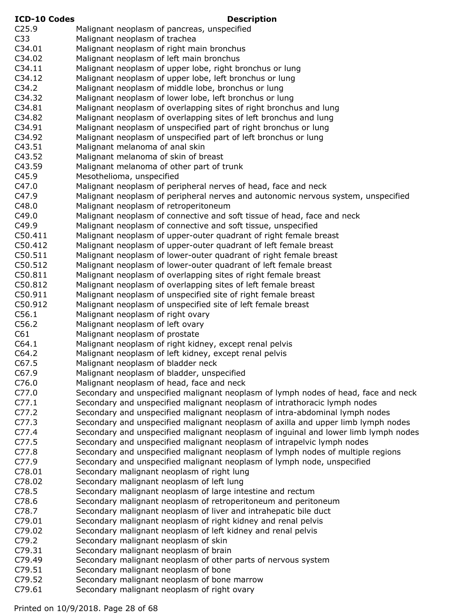| <b>ICD-10 Codes</b> | <b>Description</b>                                                                                                                    |
|---------------------|---------------------------------------------------------------------------------------------------------------------------------------|
| C <sub>25.9</sub>   | Malignant neoplasm of pancreas, unspecified                                                                                           |
| C <sub>33</sub>     | Malignant neoplasm of trachea                                                                                                         |
| C34.01              | Malignant neoplasm of right main bronchus                                                                                             |
| C34.02              | Malignant neoplasm of left main bronchus                                                                                              |
| C34.11              | Malignant neoplasm of upper lobe, right bronchus or lung                                                                              |
| C34.12              | Malignant neoplasm of upper lobe, left bronchus or lung                                                                               |
| C34.2               | Malignant neoplasm of middle lobe, bronchus or lung                                                                                   |
| C34.32              | Malignant neoplasm of lower lobe, left bronchus or lung                                                                               |
| C34.81              | Malignant neoplasm of overlapping sites of right bronchus and lung                                                                    |
| C34.82              | Malignant neoplasm of overlapping sites of left bronchus and lung                                                                     |
| C34.91              | Malignant neoplasm of unspecified part of right bronchus or lung                                                                      |
| C34.92              | Malignant neoplasm of unspecified part of left bronchus or lung                                                                       |
| C43.51              | Malignant melanoma of anal skin                                                                                                       |
| C43.52              | Malignant melanoma of skin of breast                                                                                                  |
| C43.59              | Malignant melanoma of other part of trunk                                                                                             |
| C45.9               | Mesothelioma, unspecified                                                                                                             |
| C47.0               | Malignant neoplasm of peripheral nerves of head, face and neck                                                                        |
| C47.9               | Malignant neoplasm of peripheral nerves and autonomic nervous system, unspecified                                                     |
| C48.0               | Malignant neoplasm of retroperitoneum                                                                                                 |
| C49.0               | Malignant neoplasm of connective and soft tissue of head, face and neck                                                               |
| C49.9               | Malignant neoplasm of connective and soft tissue, unspecified                                                                         |
| C50.411             | Malignant neoplasm of upper-outer quadrant of right female breast                                                                     |
| C50.412             | Malignant neoplasm of upper-outer quadrant of left female breast                                                                      |
| C50.511<br>C50.512  | Malignant neoplasm of lower-outer quadrant of right female breast<br>Malignant neoplasm of lower-outer quadrant of left female breast |
| C50.811             | Malignant neoplasm of overlapping sites of right female breast                                                                        |
| C50.812             | Malignant neoplasm of overlapping sites of left female breast                                                                         |
| C50.911             | Malignant neoplasm of unspecified site of right female breast                                                                         |
| C50.912             | Malignant neoplasm of unspecified site of left female breast                                                                          |
| C56.1               | Malignant neoplasm of right ovary                                                                                                     |
| C56.2               | Malignant neoplasm of left ovary                                                                                                      |
| C61                 | Malignant neoplasm of prostate                                                                                                        |
| C64.1               | Malignant neoplasm of right kidney, except renal pelvis                                                                               |
| C64.2               | Malignant neoplasm of left kidney, except renal pelvis                                                                                |
| C67.5               | Malignant neoplasm of bladder neck                                                                                                    |
| C67.9               | Malignant neoplasm of bladder, unspecified                                                                                            |
| C76.0               | Malignant neoplasm of head, face and neck                                                                                             |
| C77.0               | Secondary and unspecified malignant neoplasm of lymph nodes of head, face and neck                                                    |
| C77.1               | Secondary and unspecified malignant neoplasm of intrathoracic lymph nodes                                                             |
| C77.2               | Secondary and unspecified malignant neoplasm of intra-abdominal lymph nodes                                                           |
| C77.3               | Secondary and unspecified malignant neoplasm of axilla and upper limb lymph nodes                                                     |
| C77.4               | Secondary and unspecified malignant neoplasm of inguinal and lower limb lymph nodes                                                   |
| C77.5               | Secondary and unspecified malignant neoplasm of intrapelvic lymph nodes                                                               |
| C77.8               | Secondary and unspecified malignant neoplasm of lymph nodes of multiple regions                                                       |
| C77.9               | Secondary and unspecified malignant neoplasm of lymph node, unspecified                                                               |
| C78.01              | Secondary malignant neoplasm of right lung                                                                                            |
| C78.02              | Secondary malignant neoplasm of left lung                                                                                             |
| C78.5               | Secondary malignant neoplasm of large intestine and rectum                                                                            |
| C78.6               | Secondary malignant neoplasm of retroperitoneum and peritoneum                                                                        |
| C78.7               | Secondary malignant neoplasm of liver and intrahepatic bile duct                                                                      |
| C79.01              | Secondary malignant neoplasm of right kidney and renal pelvis                                                                         |
| C79.02              | Secondary malignant neoplasm of left kidney and renal pelvis                                                                          |
| C79.2               | Secondary malignant neoplasm of skin                                                                                                  |
| C79.31              | Secondary malignant neoplasm of brain                                                                                                 |
| C79.49<br>C79.51    | Secondary malignant neoplasm of other parts of nervous system                                                                         |
| C79.52              | Secondary malignant neoplasm of bone<br>Secondary malignant neoplasm of bone marrow                                                   |
| C79.61              | Secondary malignant neoplasm of right ovary                                                                                           |
|                     |                                                                                                                                       |

Printed on 10/9/2018. Page 28 of 68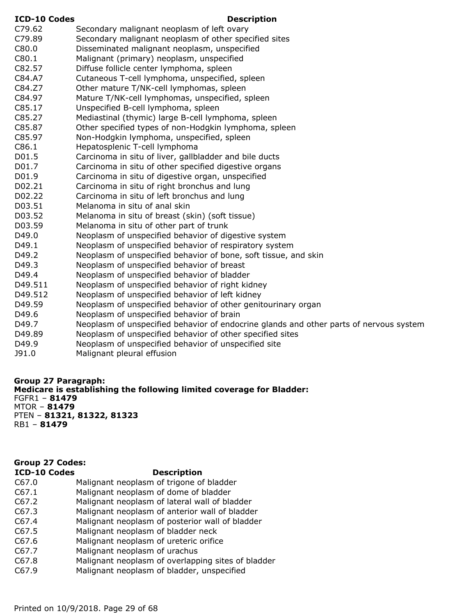| <b>ICD-10 Codes</b> | <b>Description</b>                                                                     |
|---------------------|----------------------------------------------------------------------------------------|
| C79.62              | Secondary malignant neoplasm of left ovary                                             |
| C79.89              | Secondary malignant neoplasm of other specified sites                                  |
| C80.0               | Disseminated malignant neoplasm, unspecified                                           |
| C80.1               | Malignant (primary) neoplasm, unspecified                                              |
| C82.57              | Diffuse follicle center lymphoma, spleen                                               |
| C84.A7              | Cutaneous T-cell lymphoma, unspecified, spleen                                         |
| C84.Z7              | Other mature T/NK-cell lymphomas, spleen                                               |
| C84.97              | Mature T/NK-cell lymphomas, unspecified, spleen                                        |
| C85.17              | Unspecified B-cell lymphoma, spleen                                                    |
| C85.27              | Mediastinal (thymic) large B-cell lymphoma, spleen                                     |
| C85.87              | Other specified types of non-Hodgkin lymphoma, spleen                                  |
| C85.97              | Non-Hodgkin lymphoma, unspecified, spleen                                              |
| C86.1               | Hepatosplenic T-cell lymphoma                                                          |
| D01.5               | Carcinoma in situ of liver, gallbladder and bile ducts                                 |
| D01.7               | Carcinoma in situ of other specified digestive organs                                  |
| D01.9               | Carcinoma in situ of digestive organ, unspecified                                      |
| D02.21              | Carcinoma in situ of right bronchus and lung                                           |
| D02.22              | Carcinoma in situ of left bronchus and lung                                            |
| D03.51              | Melanoma in situ of anal skin                                                          |
| D03.52              | Melanoma in situ of breast (skin) (soft tissue)                                        |
| D03.59              | Melanoma in situ of other part of trunk                                                |
| D49.0               | Neoplasm of unspecified behavior of digestive system                                   |
| D49.1               | Neoplasm of unspecified behavior of respiratory system                                 |
| D49.2               | Neoplasm of unspecified behavior of bone, soft tissue, and skin                        |
| D49.3               | Neoplasm of unspecified behavior of breast                                             |
| D49.4               | Neoplasm of unspecified behavior of bladder                                            |
| D49.511             | Neoplasm of unspecified behavior of right kidney                                       |
| D49.512             | Neoplasm of unspecified behavior of left kidney                                        |
| D49.59              | Neoplasm of unspecified behavior of other genitourinary organ                          |
| D49.6               | Neoplasm of unspecified behavior of brain                                              |
| D49.7               | Neoplasm of unspecified behavior of endocrine glands and other parts of nervous system |
| D49.89              | Neoplasm of unspecified behavior of other specified sites                              |
| D49.9               | Neoplasm of unspecified behavior of unspecified site                                   |
| J91.0               | Malignant pleural effusion                                                             |
|                     |                                                                                        |

**Group 27 Paragraph: Medicare is establishing the following limited coverage for Bladder:** FGFR1 – **81479** MTOR – **81479** PTEN – **81321, 81322, 81323** RB1 – **81479**

#### **ICD-10 Codes Description** C67.0 Malignant neoplasm of trigone of bladder C67.1 Malignant neoplasm of dome of bladder C67.2 Malignant neoplasm of lateral wall of bladder C67.3 Malignant neoplasm of anterior wall of bladder C67.4 Malignant neoplasm of posterior wall of bladder C67.5 Malignant neoplasm of bladder neck **Group 27 Codes:**

- C67.6 Malignant neoplasm of ureteric orifice
- C67.7 Malignant neoplasm of urachus
- C67.8 Malignant neoplasm of overlapping sites of bladder
- C67.9 Malignant neoplasm of bladder, unspecified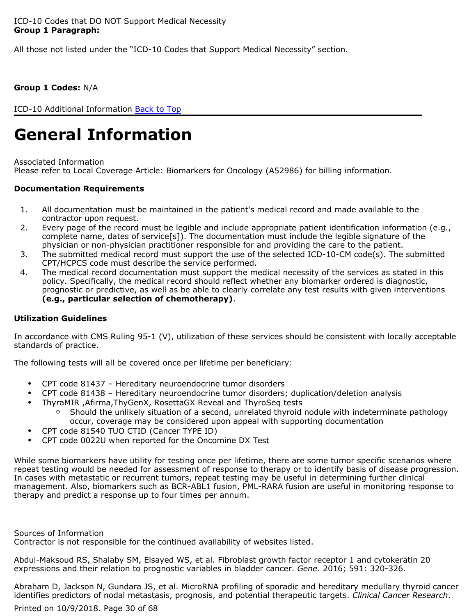All those not listed under the "ICD-10 Codes that Support Medical Necessity" section.

### **Group 1 Codes:** N/A

ICD-10 Additional Information [Back to Top](#page-0-0)

# **General Information**

Associated Information Please refer to Local Coverage Article: Biomarkers for Oncology (A52986) for billing information.

#### **Documentation Requirements**

- 1. All documentation must be maintained in the patient's medical record and made available to the contractor upon request.
- 2. Every page of the record must be legible and include appropriate patient identification information (e.g., complete name, dates of service[s]). The documentation must include the legible signature of the physician or non-physician practitioner responsible for and providing the care to the patient.
- 3. The submitted medical record must support the use of the selected ICD-10-CM code(s). The submitted CPT/HCPCS code must describe the service performed.
- 4. The medical record documentation must support the medical necessity of the services as stated in this policy. Specifically, the medical record should reflect whether any biomarker ordered is diagnostic, prognostic or predictive, as well as be able to clearly correlate any test results with given interventions **(e.g., particular selection of chemotherapy)**.

#### **Utilization Guidelines**

In accordance with CMS Ruling 95-1 (V), utilization of these services should be consistent with locally acceptable standards of practice.

The following tests will all be covered once per lifetime per beneficiary:

- CPT code 81437 Hereditary neuroendocrine tumor disorders
- CPT code 81438 Hereditary neuroendocrine tumor disorders; duplication/deletion analysis
- ThyraMIR ,Afirma,ThyGenX, RosettaGX Reveal and ThyroSeq tests
	- Should the unlikely situation of a second, unrelated thyroid nodule with indeterminate pathology occur, coverage may be considered upon appeal with supporting documentation
- CPT code 81540 TUO CTID (Cancer TYPE ID)
- CPT code 0022U when reported for the Oncomine DX Test

While some biomarkers have utility for testing once per lifetime, there are some tumor specific scenarios where repeat testing would be needed for assessment of response to therapy or to identify basis of disease progression. In cases with metastatic or recurrent tumors, repeat testing may be useful in determining further clinical management. Also, biomarkers such as BCR-ABL1 fusion, PML-RARA fusion are useful in monitoring response to therapy and predict a response up to four times per annum.

Sources of Information

Contractor is not responsible for the continued availability of websites listed.

Abdul-Maksoud RS, Shalaby SM, Elsayed WS, et al. Fibroblast growth factor receptor 1 and cytokeratin 20 expressions and their relation to prognostic variables in bladder cancer. *Gene*. 2016; 591: 320-326.

Abraham D, Jackson N, Gundara JS, et al. MicroRNA profiling of sporadic and hereditary medullary thyroid cancer identifies predictors of nodal metastasis, prognosis, and potential therapeutic targets. *Clinical Cancer Research*.

Printed on 10/9/2018. Page 30 of 68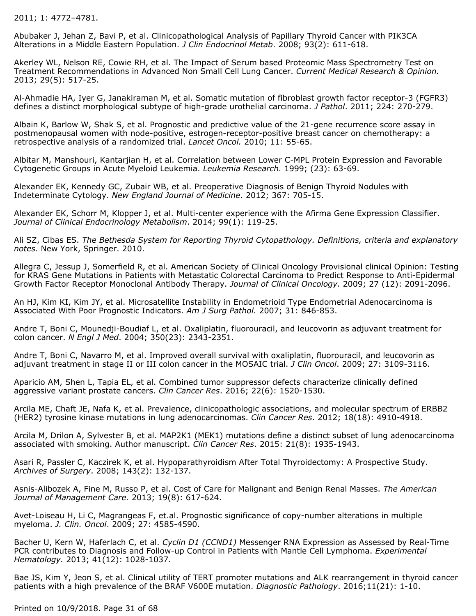2011; 1: 4772–4781.

Abubaker J, Jehan Z, Bavi P, et al. Clinicopathological Analysis of Papillary Thyroid Cancer with PIK3CA Alterations in a Middle Eastern Population. *J Clin Endocrinol Metab*. 2008; 93(2): 611-618.

Akerley WL, Nelson RE, Cowie RH, et al. The Impact of Serum based Proteomic Mass Spectrometry Test on Treatment Recommendations in Advanced Non Small Cell Lung Cancer. *Current Medical Research & Opinion.* 2013; 29(5): 517-25.

Al-Ahmadie HA, Iyer G, Janakiraman M, et al. Somatic mutation of fibroblast growth factor receptor-3 (FGFR3) defines a distinct morphological subtype of high-grade urothelial carcinoma. *J Pathol*. 2011; 224: 270-279.

Albain K, Barlow W, Shak S, et al. Prognostic and predictive value of the 21-gene recurrence score assay in postmenopausal women with node-positive, estrogen-receptor-positive breast cancer on chemotherapy: a retrospective analysis of a randomized trial. *Lancet Oncol.* 2010; 11: 55-65.

Albitar M, Manshouri, Kantarjian H, et al. Correlation between Lower C-MPL Protein Expression and Favorable Cytogenetic Groups in Acute Myeloid Leukemia. *Leukemia Research.* 1999; (23): 63-69.

Alexander EK, Kennedy GC, Zubair WB, et al. Preoperative Diagnosis of Benign Thyroid Nodules with Indeterminate Cytology. *New England Journal of Medicine*. 2012; 367: 705-15.

Alexander EK, Schorr M, Klopper J, et al. Multi-center experience with the Afirma Gene Expression Classifier. *Journal of Clinical Endocrinology Metabolism*. 2014; 99(1): 119-25.

Ali SZ, Cibas ES. *The Bethesda System for Reporting Thyroid Cytopathology. Definitions, criteria and explanatory notes*. New York, Springer. 2010.

Allegra C, Jessup J, Somerfield R, et al. American Society of Clinical Oncology Provisional clinical Opinion: Testing for KRAS Gene Mutations in Patients with Metastatic Colorectal Carcinoma to Predict Response to Anti-Epidermal Growth Factor Receptor Monoclonal Antibody Therapy. *Journal of Clinical Oncology.* 2009; 27 (12): 2091-2096.

An HJ, Kim KI, Kim JY, et al. Microsatellite Instability in Endometrioid Type Endometrial Adenocarcinoma is Associated With Poor Prognostic Indicators. *Am J Surg Pathol.* 2007; 31: 846-853.

Andre T, Boni C, Mounedji-Boudiaf L, et al. Oxaliplatin, fluorouracil, and leucovorin as adjuvant treatment for colon cancer. *N Engl J Med*. 2004; 350(23): 2343-2351.

Andre T, Boni C, Navarro M, et al. Improved overall survival with oxaliplatin, fluorouracil, and leucovorin as adjuvant treatment in stage II or III colon cancer in the MOSAIC trial. *J Clin Oncol*. 2009; 27: 3109-3116.

Aparicio AM, Shen L, Tapia EL, et al. Combined tumor suppressor defects characterize clinically defined aggressive variant prostate cancers. *Clin Cancer Res*. 2016; 22(6): 1520-1530.

Arcila ME, Chaft JE, Nafa K, et al. Prevalence, clinicopathologic associations, and molecular spectrum of ERBB2 (HER2) tyrosine kinase mutations in lung adenocarcinomas. *Clin Cancer Res*. 2012; 18(18): 4910-4918.

Arcila M, Drilon A, Sylvester B, et al. MAP2K1 (MEK1) mutations define a distinct subset of lung adenocarcinoma associated with smoking. Author manuscript. *Clin Cancer Res*. 2015: 21(8): 1935-1943.

Asari R, Passler C, Kaczirek K, et al. Hypoparathyroidism After Total Thyroidectomy: A Prospective Study. *Archives of Surgery*. 2008; 143(2): 132-137.

Asnis-Alibozek A, Fine M, Russo P, et al. Cost of Care for Malignant and Benign Renal Masses. *The American Journal of Management Care.* 2013; 19(8): 617-624.

Avet-Loiseau H, Li C, Magrangeas F, et.al. Prognostic significance of copy-number alterations in multiple myeloma. *J. Clin. Oncol*. 2009; 27: 4585-4590.

Bacher U, Kern W, Haferlach C, et al. *Cyclin D1 (CCND1)* Messenger RNA Expression as Assessed by Real-Time PCR contributes to Diagnosis and Follow-up Control in Patients with Mantle Cell Lymphoma. *Experimental Hematology.* 2013; 41(12): 1028-1037.

Bae JS, Kim Y, Jeon S, et al. Clinical utility of TERT promoter mutations and ALK rearrangement in thyroid cancer patients with a high prevalence of the BRAF V600E mutation. *Diagnostic Pathology*. 2016;11(21): 1-10.

Printed on 10/9/2018. Page 31 of 68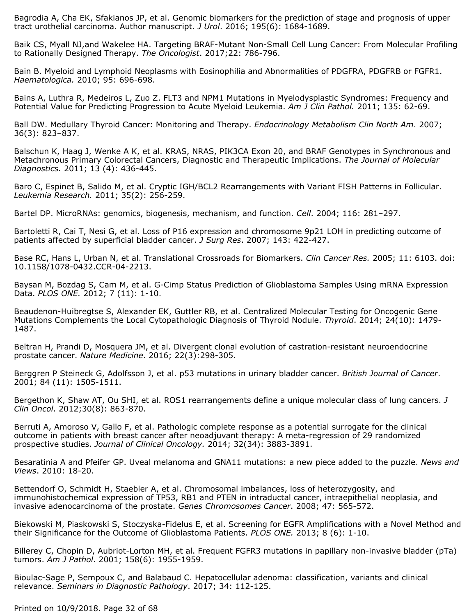Bagrodia A, Cha EK, Sfakianos JP, et al. Genomic biomarkers for the prediction of stage and prognosis of upper tract urothelial carcinoma. Author manuscript. *J Urol*. 2016; 195(6): 1684-1689.

Baik CS, Myall NJ,and Wakelee HA. Targeting BRAF-Mutant Non-Small Cell Lung Cancer: From Molecular Profiling to Rationally Designed Therapy. *The Oncologist*. 2017;22: 786-796.

Bain B. Myeloid and Lymphoid Neoplasms with Eosinophilia and Abnormalities of PDGFRA, PDGFRB or FGFR1. *Haematologica.* 2010; 95: 696-698.

Bains A, Luthra R, Medeiros L, Zuo Z. FLT3 and NPM1 Mutations in Myelodysplastic Syndromes: Frequency and Potential Value for Predicting Progression to Acute Myeloid Leukemia. *Am J Clin Pathol.* 2011; 135: 62-69.

Ball DW. Medullary Thyroid Cancer: Monitoring and Therapy. *Endocrinology Metabolism Clin North Am*. 2007; 36(3): 823–837.

Balschun K, Haag J, Wenke A K, et al. KRAS, NRAS, PIK3CA Exon 20, and BRAF Genotypes in Synchronous and Metachronous Primary Colorectal Cancers, Diagnostic and Therapeutic Implications. *The Journal of Molecular Diagnostics.* 2011; 13 (4): 436-445.

Baro C, Espinet B, Salido M, et al. Cryptic IGH/BCL2 Rearrangements with Variant FISH Patterns in Follicular. *Leukemia Research.* 2011; 35(2): 256-259.

Bartel DP. MicroRNAs: genomics, biogenesis, mechanism, and function. *Cell*. 2004; 116: 281–297.

Bartoletti R, Cai T, Nesi G, et al. Loss of P16 expression and chromosome 9p21 LOH in predicting outcome of patients affected by superficial bladder cancer. *J Surg Res*. 2007; 143: 422-427.

Base RC, Hans L, Urban N, et al. Translational Crossroads for Biomarkers. *Clin Cancer Res.* 2005; 11: 6103. doi: 10.1158/1078-0432.CCR-04-2213.

Baysan M, Bozdag S, Cam M, et al. G-Cimp Status Prediction of Glioblastoma Samples Using mRNA Expression Data. *PLOS ONE.* 2012; 7 (11): 1-10.

Beaudenon-Huibregtse S, Alexander EK, Guttler RB, et al. Centralized Molecular Testing for Oncogenic Gene Mutations Complements the Local Cytopathologic Diagnosis of Thyroid Nodule. *Thyroid*. 2014; 24(10): 1479- 1487.

Beltran H, Prandi D, Mosquera JM, et al. Divergent clonal evolution of castration-resistant neuroendocrine prostate cancer. *Nature Medicine*. 2016; 22(3):298-305.

Berggren P Steineck G, Adolfsson J, et al. p53 mutations in urinary bladder cancer. *British Journal of Cancer*. 2001; 84 (11): 1505-1511.

Bergethon K, Shaw AT, Ou SHI, et al. ROS1 rearrangements define a unique molecular class of lung cancers. *J Clin Oncol*. 2012;30(8): 863-870.

Berruti A, Amoroso V, Gallo F, et al. Pathologic complete response as a potential surrogate for the clinical outcome in patients with breast cancer after neoadjuvant therapy: A meta-regression of 29 randomized prospective studies. *Journal of Clinical Oncology.* 2014; 32(34): 3883-3891.

Besaratinia A and Pfeifer GP. Uveal melanoma and GNA11 mutations: a new piece added to the puzzle. *News and Views*. 2010: 18-20.

Bettendorf O, Schmidt H, Staebler A, et al. Chromosomal imbalances, loss of heterozygosity, and immunohistochemical expression of TP53, RB1 and PTEN in intraductal cancer, intraepithelial neoplasia, and invasive adenocarcinoma of the prostate. *Genes Chromosomes Cancer*. 2008; 47: 565-572.

Biekowski M, Piaskowski S, Stoczyska-Fidelus E, et al. Screening for EGFR Amplifications with a Novel Method and their Significance for the Outcome of Glioblastoma Patients. *PLOS ONE.* 2013; 8 (6): 1-10.

Billerey C, Chopin D, Aubriot-Lorton MH, et al. Frequent FGFR3 mutations in papillary non-invasive bladder (pTa) tumors. *Am J Pathol*. 2001; 158(6): 1955-1959.

Bioulac-Sage P, Sempoux C, and Balabaud C. Hepatocellular adenoma: classification, variants and clinical relevance. *Seminars in Diagnostic Pathology*. 2017; 34: 112-125.

Printed on 10/9/2018. Page 32 of 68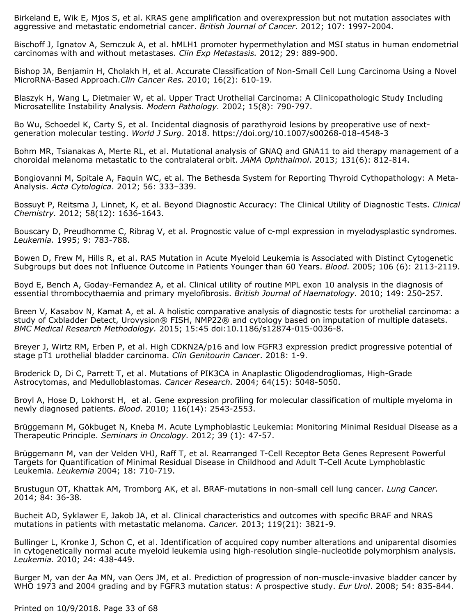Birkeland E, Wik E, Mjos S, et al. KRAS gene amplification and overexpression but not mutation associates with aggressive and metastatic endometrial cancer. *British Journal of Cancer.* 2012; 107: 1997-2004.

Bischoff J, Ignatov A, Semczuk A, et al. hMLH1 promoter hypermethylation and MSI status in human endometrial carcinomas with and without metastases. *Clin Exp Metastasis.* 2012; 29: 889-900.

Bishop JA, Benjamin H, Cholakh H, et al. Accurate Classification of Non-Small Cell Lung Carcinoma Using a Novel MicroRNA-Based Approach.*Clin Cancer Res.* 2010; 16(2): 610-19.

Blaszyk H, Wang L, Dietmaier W, et al. Upper Tract Urothelial Carcinoma: A Clinicopathologic Study Including Microsatellite Instability Analysis. *Modern Pathology.* 2002; 15(8): 790-797.

Bo Wu, Schoedel K, Carty S, et al. Incidental diagnosis of parathyroid lesions by preoperative use of nextgeneration molecular testing. *World J Surg*. 2018. https://doi.org/10.1007/s00268-018-4548-3

Bohm MR, Tsianakas A, Merte RL, et al. Mutational analysis of GNAQ and GNA11 to aid therapy management of a choroidal melanoma metastatic to the contralateral orbit. *JAMA Ophthalmol*. 2013; 131(6): 812-814.

Bongiovanni M, Spitale A, Faquin WC, et al. The Bethesda System for Reporting Thyroid Cythopathology: A Meta-Analysis. *Acta Cytologica*. 2012; 56: 333–339.

Bossuyt P, Reitsma J, Linnet, K, et al. Beyond Diagnostic Accuracy: The Clinical Utility of Diagnostic Tests. *Clinical Chemistry.* 2012; 58(12): 1636-1643.

Bouscary D, Preudhomme C, Ribrag V, et al. Prognostic value of c-mpl expression in myelodysplastic syndromes. *Leukemia.* 1995; 9: 783-788.

Bowen D, Frew M, Hills R, et al. RAS Mutation in Acute Myeloid Leukemia is Associated with Distinct Cytogenetic Subgroups but does not Influence Outcome in Patients Younger than 60 Years. *Blood.* 2005; 106 (6): 2113-2119.

Boyd E, Bench A, Goday-Fernandez A, et al. Clinical utility of routine MPL exon 10 analysis in the diagnosis of essential thrombocythaemia and primary myelofibrosis. *British Journal of Haematology.* 2010; 149: 250-257.

Breen V, Kasabov N, Kamat A, et al. A holistic comparative analysis of diagnostic tests for urothelial carcinoma: a study of Cxbladder Detect, Urovysion® FISH, NMP22® and cytology based on imputation of multiple datasets. *BMC Medical Research Methodology.* 2015; 15:45 doi:10.1186/s12874-015-0036-8.

Breyer J, Wirtz RM, Erben P, et al. High CDKN2A/p16 and low FGFR3 expression predict progressive potential of stage pT1 urothelial bladder carcinoma. *Clin Genitourin Cancer*. 2018: 1-9.

Broderick D, Di C, Parrett T, et al. Mutations of PIK3CA in Anaplastic Oligodendrogliomas, High-Grade Astrocytomas, and Medulloblastomas. *Cancer Research.* 2004; 64(15): 5048-5050.

Broyl A, Hose D, Lokhorst H, et al. Gene expression profiling for molecular classification of multiple myeloma in newly diagnosed patients. *Blood.* 2010; 116(14): 2543-2553.

Brüggemann M, Gökbuget N, Kneba M. Acute Lymphoblastic Leukemia: Monitoring Minimal Residual Disease as a Therapeutic Principle. *Seminars in Oncology.* 2012; 39 (1): 47-57.

Brüggemann M, van der Velden VHJ, Raff T, et al. Rearranged T-Cell Receptor Beta Genes Represent Powerful Targets for Quantification of Minimal Residual Disease in Childhood and Adult T-Cell Acute Lymphoblastic Leukemia. *Leukemia* 2004; 18: 710-719.

Brustugun OT, Khattak AM, Tromborg AK, et al. BRAF-mutations in non-small cell lung cancer. *Lung Cancer.* 2014; 84: 36-38.

Bucheit AD, Syklawer E, Jakob JA, et al. Clinical characteristics and outcomes with specific BRAF and NRAS mutations in patients with metastatic melanoma. *Cancer.* 2013; 119(21): 3821-9.

Bullinger L, Kronke J, Schon C, et al. Identification of acquired copy number alterations and uniparental disomies in cytogenetically normal acute myeloid leukemia using high-resolution single-nucleotide polymorphism analysis. *Leukemia.* 2010; 24: 438-449.

Burger M, van der Aa MN, van Oers JM, et al. Prediction of progression of non-muscle-invasive bladder cancer by WHO 1973 and 2004 grading and by FGFR3 mutation status: A prospective study. *Eur Urol*. 2008; 54: 835-844.

Printed on 10/9/2018. Page 33 of 68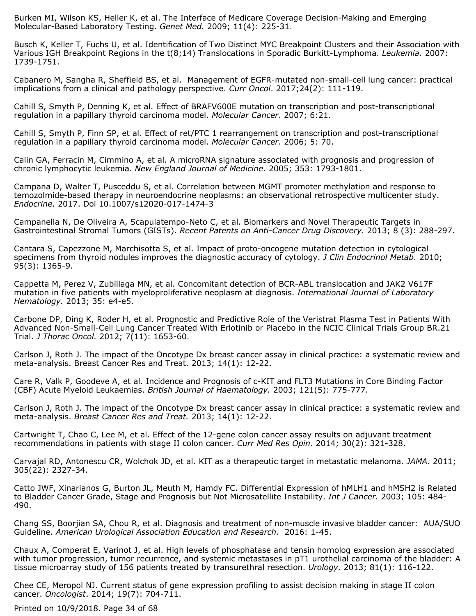Burken MI, Wilson KS, Heller K, et al. The Interface of Medicare Coverage Decision-Making and Emerging Molecular-Based Laboratory Testing. *Genet Med.* 2009; 11(4): 225-31.

Busch K, Keller T, Fuchs U, et al. Identification of Two Distinct MYC Breakpoint Clusters and their Association with Various IGH Breakpoint Regions in the t(8;14) Translocations in Sporadic Burkitt-Lymphoma. *Leukemia.* 2007: 1739-1751.

Cabanero M, Sangha R, Sheffield BS, et al. Management of EGFR-mutated non-small-cell lung cancer: practical implications from a clinical and pathology perspective. *Curr Oncol*. 2017;24(2): 111-119.

Cahill S, Smyth P, Denning K, et al. Effect of BRAFV600E mutation on transcription and post-transcriptional regulation in a papillary thyroid carcinoma model. *Molecular Cancer*. 2007; 6:21.

Cahill S, Smyth P, Finn SP, et al. Effect of ret/PTC 1 rearrangement on transcription and post-transcriptional regulation in a papillary thyroid carcinoma model. *Molecular Cancer*. 2006; 5: 70.

Calin GA, Ferracin M, Cimmino A, et al. A microRNA signature associated with prognosis and progression of chronic lymphocytic leukemia. *New England Journal of Medicine*. 2005; 353: 1793-1801.

Campana D, Walter T, Pusceddu S, et al. Correlation between MGMT promoter methylation and response to temozolmide-based therapy in neuroendocrine neoplasms: an observational retrospective multicenter study. *Endocrine.* 2017. Doi 10.1007/s12020-017-1474-3

Campanella N, De Oliveira A, Scapulatempo-Neto C, et al. Biomarkers and Novel Therapeutic Targets in Gastrointestinal Stromal Tumors (GISTs). *Recent Patents on Anti-Cancer Drug Discovery.* 2013; 8 (3): 288-297.

Cantara S, Capezzone M, Marchisotta S, et al. Impact of proto-oncogene mutation detection in cytological specimens from thyroid nodules improves the diagnostic accuracy of cytology. *J Clin Endocrinol Metab.* 2010; 95(3): 1365-9.

Cappetta M, Perez V, Zubillaga MN, et al. Concomitant detection of BCR-ABL translocation and JAK2 V617F mutation in five patients with myeloproliferative neoplasm at diagnosis. *International Journal of Laboratory Hematology.* 2013; 35: e4-e5.

Carbone DP, Ding K, Roder H, et al. Prognostic and Predictive Role of the Veristrat Plasma Test in Patients With Advanced Non-Small-Cell Lung Cancer Treated With Erlotinib or Placebo in the NCIC Clinical Trials Group BR.21 Trial. *J Thorac Oncol.* 2012; 7(11): 1653-60.

Carlson J, Roth J. The impact of the Oncotype Dx breast cancer assay in clinical practice: a systematic review and meta-analysis. Breast Cancer Res and Treat. 2013; 14(1): 12-22.

Care R, Valk P, Goodeve A, et al. Incidence and Prognosis of c-KIT and FLT3 Mutations in Core Binding Factor (CBF) Acute Myeloid Leukaemias. *British Journal of Haematology.* 2003; 121(5): 775-777.

Carlson J, Roth J. The impact of the Oncotype Dx breast cancer assay in clinical practice: a systematic review and meta-analysis. *Breast Cancer Res and Treat.* 2013; 14(1): 12-22.

Cartwright T, Chao C, Lee M, et al. Effect of the 12-gene colon cancer assay results on adjuvant treatment recommendations in patients with stage II colon cancer. *Curr Med Res Opin*. 2014; 30(2): 321-328.

Carvajal RD, Antonescu CR, Wolchok JD, et al. KIT as a therapeutic target in metastatic melanoma. *JAMA*. 2011; 305(22): 2327-34.

Catto JWF, Xinarianos G, Burton JL, Meuth M, Hamdy FC. Differential Expression of hMLH1 and hMSH2 is Related to Bladder Cancer Grade, Stage and Prognosis but Not Microsatellite Instability. *Int J Cancer.* 2003; 105: 484- 490.

Chang SS, Boorjian SA, Chou R, et al. Diagnosis and treatment of non-muscle invasive bladder cancer: AUA/SUO Guideline. *American Urological Association Education and Research*. 2016: 1-45.

Chaux A, Comperat E, Varinot J, et al. High levels of phosphatase and tensin homolog expression are associated with tumor progression, tumor recurrence, and systemic metastases in pT1 urothelial carcinoma of the bladder: A tissue microarray study of 156 patients treated by transurethral resection. *Urology*. 2013; 81(1): 116-122.

Chee CE, Meropol NJ. Current status of gene expression profiling to assist decision making in stage II colon cancer. *Oncologist*. 2014; 19(7): 704-711.

Printed on 10/9/2018. Page 34 of 68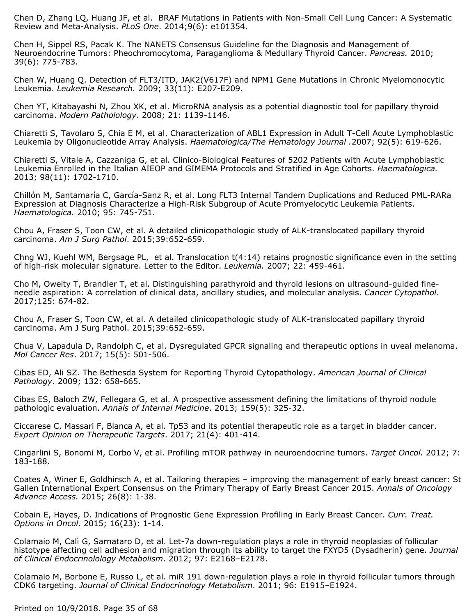Chen D, Zhang LQ, Huang JF, et al. BRAF Mutations in Patients with Non-Small Cell Lung Cancer: A Systematic Review and Meta-Analysis. *PLoS One*. 2014;9(6): e101354.

Chen H, Sippel RS, Pacak K. The NANETS Consensus Guideline for the Diagnosis and Management of Neuroendocrine Tumors: Pheochromocytoma, Paraganglioma & Medullary Thyroid Cancer. *Pancreas.* 2010; 39(6): 775-783.

Chen W, Huang Q. Detection of FLT3/ITD, JAK2(V617F) and NPM1 Gene Mutations in Chronic Myelomonocytic Leukemia. *Leukemia Research.* 2009; 33(11): E207-E209.

Chen YT, Kitabayashi N, Zhou XK, et al. MicroRNA analysis as a potential diagnostic tool for papillary thyroid carcinoma. *Modern Patholology*. 2008; 21: 1139-1146.

Chiaretti S, Tavolaro S, Chia E M, et al. Characterization of ABL1 Expression in Adult T-Cell Acute Lymphoblastic Leukemia by Oligonucleotide Array Analysis. *Haematologica/The Hematology Journal .*2007; 92(5): 619-626.

Chiaretti S, Vitale A, Cazzaniga G, et al. Clinico-Biological Features of 5202 Patients with Acute Lymphoblastic Leukemia Enrolled in the Italian AIEOP and GIMEMA Protocols and Stratified in Age Cohorts. *Haematologica.* 2013; 98(11): 1702-1710.

Chillón M, Santamaría C, García-Sanz R, et al. Long FLT3 Internal Tandem Duplications and Reduced PML-RARa Expression at Diagnosis Characterize a High-Risk Subgroup of Acute Promyelocytic Leukemia Patients. *Haematologica.* 2010; 95: 745-751.

Chou A, Fraser S, Toon CW, et al. A detailed clinicopathologic study of ALK-translocated papillary thyroid carcinoma. *Am J Surg Pathol*. 2015;39:652-659.

Chng WJ, Kuehl WM, Bergsage PL, et al. Translocation t(4:14) retains prognostic significance even in the setting of high-risk molecular signature. Letter to the Editor. *Leukemia.* 2007; 22: 459-461.

Cho M, Oweity T, Brandler T, et al. Distinguishing parathyroid and thyroid lesions on ultrasound-guided fineneedle aspiration: A correlation of clinical data, ancillary studies, and molecular analysis. *Cancer Cytopathol*. 2017;125: 674-82.

Chou A, Fraser S, Toon CW, et al. A detailed clinicopathologic study of ALK-translocated papillary thyroid carcinoma. Am J Surg Pathol. 2015;39:652-659.

Chua V, Lapadula D, Randolph C, et al. Dysregulated GPCR signaling and therapeutic options in uveal melanoma. *Mol Cancer Res*. 2017; 15(5): 501-506.

Cibas ED, Ali SZ. The Bethesda System for Reporting Thyroid Cytopathology. *American Journal of Clinical Pathology*. 2009; 132: 658-665.

Cibas ES, Baloch ZW, Fellegara G, et al. A prospective assessment defining the limitations of thyroid nodule pathologic evaluation. *Annals of Internal Medicine*. 2013; 159(5): 325-32.

Ciccarese C, Massari F, Blanca A, et al. Tp53 and its potential therapeutic role as a target in bladder cancer. *Expert Opinion on Therapeutic Targets*. 2017; 21(4): 401-414.

Cingarlini S, Bonomi M, Corbo V, et al. Profiling mTOR pathway in neuroendocrine tumors. *Target Oncol.* 2012; 7: 183-188.

Coates A, Winer E, Goldhirsch A, et al. Tailoring therapies – improving the management of early breast cancer: St Gallen International Expert Consensus on the Primary Therapy of Early Breast Cancer 2015. *Annals of Oncology Advance Access.* 2015; 26(8): 1-38.

Cobain E, Hayes, D. Indications of Prognostic Gene Expression Profiling in Early Breast Cancer. *Curr. Treat. Options in Oncol.* 2015; 16(23): 1-14.

Colamaio M, Calì G, Sarnataro D, et al. Let-7a down-regulation plays a role in thyroid neoplasias of follicular histotype affecting cell adhesion and migration through its ability to target the FXYD5 (Dysadherin) gene. *Journal of Clinical Endocrinolology Metabolism*. 2012; 97: E2168–E2178.

Colamaio M, Borbone E, Russo L, et al. miR 191 down-regulation plays a role in thyroid follicular tumors through CDK6 targeting. *Journal of Clinical Endocrinology Metabolism*. 2011; 96: E1915–E1924.

Printed on 10/9/2018. Page 35 of 68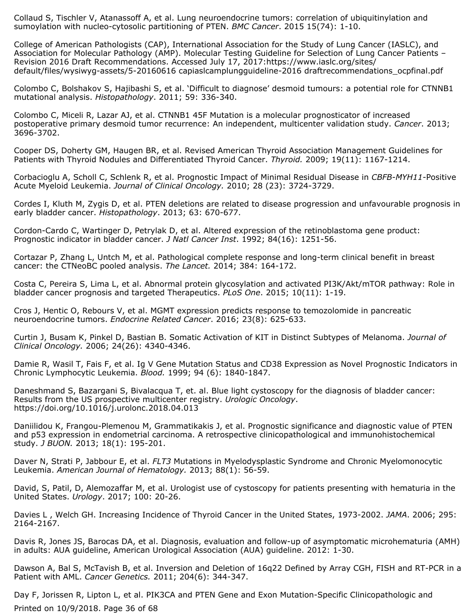Collaud S, Tischler V, Atanassoff A, et al. Lung neuroendocrine tumors: correlation of ubiquitinylation and sumoylation with nucleo-cytosolic partitioning of PTEN. *BMC Cancer*. 2015 15(74): 1-10.

College of American Pathologists (CAP), International Association for the Study of Lung Cancer (IASLC), and Association for Molecular Pathology (AMP). Molecular Testing Guideline for Selection of Lung Cancer Patients – Revision 2016 Draft Recommendations. Accessed July 17, 2017:https://www.iaslc.org/sites/ default/files/wysiwyg-assets/5-20160616 capiaslcamplungguideline-2016 draftrecommendations\_ocpfinal.pdf

Colombo C, Bolshakov S, Hajibashi S, et al. 'Difficult to diagnose' desmoid tumours: a potential role for CTNNB1 mutational analysis. *Histopathology*. 2011; 59: 336-340.

Colombo C, Miceli R, Lazar AJ, et al. CTNNB1 45F Mutation is a molecular prognosticator of increased postoperative primary desmoid tumor recurrence: An independent, multicenter validation study. *Cancer*. 2013; 3696-3702.

Cooper DS, Doherty GM, Haugen BR, et al. Revised American Thyroid Association Management Guidelines for Patients with Thyroid Nodules and Differentiated Thyroid Cancer. *Thyroid.* 2009; 19(11): 1167-1214.

Corbacioglu A, Scholl C, Schlenk R, et al. Prognostic Impact of Minimal Residual Disease in *CBFB-MYH11-*Positive Acute Myeloid Leukemia. *Journal of Clinical Oncology.* 2010; 28 (23): 3724-3729.

Cordes I, Kluth M, Zygis D, et al. PTEN deletions are related to disease progression and unfavourable prognosis in early bladder cancer. *Histopathology*. 2013; 63: 670-677.

Cordon-Cardo C, Wartinger D, Petrylak D, et al. Altered expression of the retinoblastoma gene product: Prognostic indicator in bladder cancer. *J Natl Cancer Inst*. 1992; 84(16): 1251-56.

Cortazar P, Zhang L, Untch M, et al. Pathological complete response and long-term clinical benefit in breast cancer: the CTNeoBC pooled analysis. *The Lancet.* 2014; 384: 164-172.

Costa C, Pereira S, Lima L, et al. Abnormal protein glycosylation and activated PI3K/Akt/mTOR pathway: Role in bladder cancer prognosis and targeted Therapeutics. *PLoS One*. 2015; 10(11): 1-19.

Cros J, Hentic O, Rebours V, et al. MGMT expression predicts response to temozolomide in pancreatic neuroendocrine tumors. *Endocrine Related Cancer*. 2016; 23(8): 625-633.

Curtin J, Busam K, Pinkel D, Bastian B. Somatic Activation of KIT in Distinct Subtypes of Melanoma. *Journal of Clinical Oncology.* 2006; 24(26): 4340-4346.

Damie R, Wasil T, Fais F, et al. Ig V Gene Mutation Status and CD38 Expression as Novel Prognostic Indicators in Chronic Lymphocytic Leukemia. *Blood.* 1999; 94 (6): 1840-1847.

Daneshmand S, Bazargani S, Bivalacqua T, et. al. Blue light cystoscopy for the diagnosis of bladder cancer: Results from the US prospective multicenter registry. *Urologic Oncology*. https://doi.org/10.1016/j.urolonc.2018.04.013

Daniilidou K, Frangou-Plemenou M, Grammatikakis J, et al. Prognostic significance and diagnostic value of PTEN and p53 expression in endometrial carcinoma. A retrospective clinicopathological and immunohistochemical study. *J BUON.* 2013; 18(1): 195-201.

Daver N, Strati P, Jabbour E, et al. *FLT3* Mutations in Myelodysplastic Syndrome and Chronic Myelomonocytic Leukemia. *American Journal of Hematology.* 2013; 88(1): 56-59.

David, S, Patil, D, Alemozaffar M, et al. Urologist use of cystoscopy for patients presenting with hematuria in the United States. *Urology*. 2017; 100: 20-26.

Davies L , Welch GH. Increasing Incidence of Thyroid Cancer in the United States, 1973-2002. *JAMA*. 2006; 295: 2164-2167.

Davis R, Jones JS, Barocas DA, et al. Diagnosis, evaluation and follow-up of asymptomatic microhematuria (AMH) in adults: AUA guideline, American Urological Association (AUA) guideline. 2012: 1-30.

Dawson A, Bal S, McTavish B, et al. Inversion and Deletion of 16q22 Defined by Array CGH, FISH and RT-PCR in a Patient with AML. *Cancer Genetics.* 2011; 204(6): 344-347.

Day F, Jorissen R, Lipton L, et al. PIK3CA and PTEN Gene and Exon Mutation-Specific Clinicopathologic and Printed on 10/9/2018. Page 36 of 68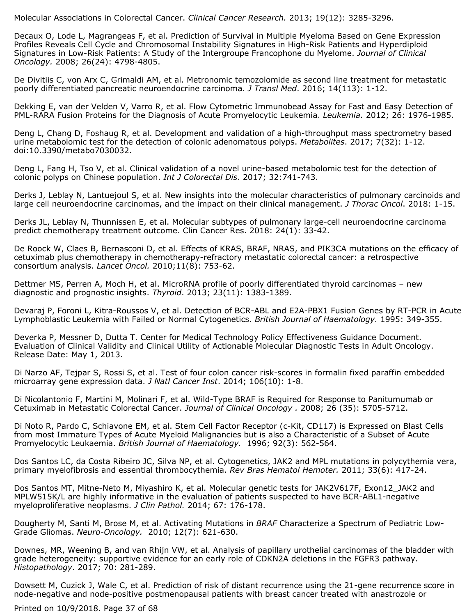Molecular Associations in Colorectal Cancer. *Clinical Cancer Research.* 2013; 19(12): 3285-3296.

Decaux O, Lode L, Magrangeas F, et al. Prediction of Survival in Multiple Myeloma Based on Gene Expression Profiles Reveals Cell Cycle and Chromosomal Instability Signatures in High-Risk Patients and Hyperdiploid Signatures in Low-Risk Patients: A Study of the Intergroupe Francophone du Myelome. *Journal of Clinical Oncology.* 2008; 26(24): 4798-4805.

De Divitiis C, von Arx C, Grimaldi AM, et al. Metronomic temozolomide as second line treatment for metastatic poorly differentiated pancreatic neuroendocrine carcinoma. *J Transl Med*. 2016; 14(113): 1-12.

Dekking E, van der Velden V, Varro R, et al. Flow Cytometric Immunobead Assay for Fast and Easy Detection of PML-RARA Fusion Proteins for the Diagnosis of Acute Promyelocytic Leukemia. *Leukemia.* 2012; 26: 1976-1985.

Deng L, Chang D, Foshaug R, et al. Development and validation of a high-throughput mass spectrometry based urine metabolomic test for the detection of colonic adenomatous polyps. *Metabolites*. 2017; 7(32): 1-12. doi:10.3390/metabo7030032.

Deng L, Fang H, Tso V, et al. Clinical validation of a novel urine-based metabolomic test for the detection of colonic polyps on Chinese population. *Int J Colorectal Dis*. 2017; 32:741-743.

Derks J, Leblay N, Lantuejoul S, et al. New insights into the molecular characteristics of pulmonary carcinoids and large cell neuroendocrine carcinomas, and the impact on their clinical management. *J Thorac Oncol*. 2018: 1-15.

Derks JL, Leblay N, Thunnissen E, et al. Molecular subtypes of pulmonary large-cell neuroendocrine carcinoma predict chemotherapy treatment outcome. Clin Cancer Res. 2018: 24(1): 33-42.

De Roock W, Claes B, Bernasconi D, et al. Effects of KRAS, BRAF, NRAS, and PIK3CA mutations on the efficacy of cetuximab plus chemotherapy in chemotherapy-refractory metastatic colorectal cancer: a retrospective consortium analysis. *Lancet Oncol.* 2010;11(8): 753-62.

Dettmer MS, Perren A, Moch H, et al. MicroRNA profile of poorly differentiated thyroid carcinomas – new diagnostic and prognostic insights. *Thyroid*. 2013; 23(11): 1383-1389.

Devaraj P, Foroni L, Kitra-Roussos V, et al. Detection of BCR-ABL and E2A-PBX1 Fusion Genes by RT-PCR in Acute Lymphoblastic Leukemia with Failed or Normal Cytogenetics. *British Journal of Haematology.* 1995: 349-355.

Deverka P, Messner D, Dutta T. Center for Medical Technology Policy Effectiveness Guidance Document. Evaluation of Clinical Validity and Clinical Utility of Actionable Molecular Diagnostic Tests in Adult Oncology. Release Date: May 1, 2013.

Di Narzo AF, Tejpar S, Rossi S, et al. Test of four colon cancer risk-scores in formalin fixed paraffin embedded microarray gene expression data. *J Natl Cancer Inst*. 2014; 106(10): 1-8.

Di Nicolantonio F, Martini M, Molinari F, et al. Wild-Type BRAF is Required for Response to Panitumumab or Cetuximab in Metastatic Colorectal Cancer. *Journal of Clinical Oncology .* 2008; 26 (35): 5705-5712.

Di Noto R, Pardo C, Schiavone EM, et al. Stem Cell Factor Receptor (c-Kit, CD117) is Expressed on Blast Cells from most Immature Types of Acute Myeloid Malignancies but is also a Characteristic of a Subset of Acute Promyelocytic Leukaemia. *British Journal of Haematology.* 1996; 92(3): 562-564.

Dos Santos LC, da Costa Ribeiro JC, Silva NP, et al. Cytogenetics, JAK2 and MPL mutations in polycythemia vera, primary myelofibrosis and essential thrombocythemia. *Rev Bras Hematol Hemoter.* 2011; 33(6): 417-24.

Dos Santos MT, Mitne-Neto M, Miyashiro K, et al. Molecular genetic tests for JAK2V617F, Exon12\_JAK2 and MPLW515K/L are highly informative in the evaluation of patients suspected to have BCR-ABL1-negative myeloproliferative neoplasms. *J Clin Pathol.* 2014; 67: 176-178.

Dougherty M, Santi M, Brose M, et al. Activating Mutations in *BRAF* Characterize a Spectrum of Pediatric Low-Grade Gliomas. *Neuro-Oncology.* 2010; 12(7): 621-630.

Downes, MR, Weening B, and van Rhijn VW, et al. Analysis of papillary urothelial carcinomas of the bladder with grade heterogeneity: supportive evidence for an early role of CDKN2A deletions in the FGFR3 pathway. *Histopathology*. 2017; 70: 281-289.

Dowsett M, Cuzick J, Wale C, et al. Prediction of risk of distant recurrence using the 21-gene recurrence score in node-negative and node-positive postmenopausal patients with breast cancer treated with anastrozole or

Printed on 10/9/2018. Page 37 of 68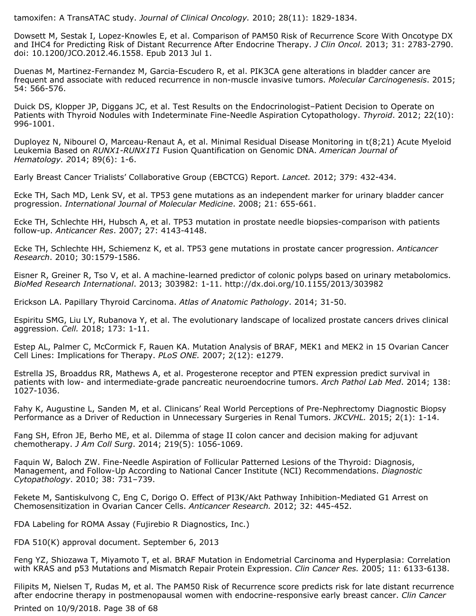tamoxifen: A TransATAC study. *Journal of Clinical Oncology.* 2010; 28(11): 1829-1834.

Dowsett M, Sestak I, Lopez-Knowles E, et al. Comparison of PAM50 Risk of Recurrence Score With Oncotype DX and IHC4 for Predicting Risk of Distant Recurrence After Endocrine Therapy. *J Clin Oncol.* 2013; 31: 2783-2790. doi: 10.1200/JCO.2012.46.1558. Epub 2013 Jul 1.

Duenas M, Martinez-Fernandez M, Garcia-Escudero R, et al. PIK3CA gene alterations in bladder cancer are frequent and associate with reduced recurrence in non-muscle invasive tumors. *Molecular Carcinogenesis*. 2015; 54: 566-576.

Duick DS, Klopper JP, Diggans JC, et al. Test Results on the Endocrinologist–Patient Decision to Operate on Patients with Thyroid Nodules with Indeterminate Fine-Needle Aspiration Cytopathology. *Thyroid*. 2012; 22(10): 996-1001.

Duployez N, Nibourel O, Marceau-Renaut A, et al. Minimal Residual Disease Monitoring in t(8;21) Acute Myeloid Leukemia Based on *RUNX1-RUNX1T1* Fusion Quantification on Genomic DNA. *American Journal of Hematology. 2*014; 89(6): 1-6.

Early Breast Cancer Trialists' Collaborative Group (EBCTCG) Report. *Lancet.* 2012; 379: 432-434.

Ecke TH, Sach MD, Lenk SV, et al. TP53 gene mutations as an independent marker for urinary bladder cancer progression. *International Journal of Molecular Medicine*. 2008; 21: 655-661.

Ecke TH, Schlechte HH, Hubsch A, et al. TP53 mutation in prostate needle biopsies-comparison with patients follow-up. *Anticancer Res*. 2007; 27: 4143-4148.

Ecke TH, Schlechte HH, Schiemenz K, et al. TP53 gene mutations in prostate cancer progression. *Anticancer Research*. 2010; 30:1579-1586.

Eisner R, Greiner R, Tso V, et al. A machine-learned predictor of colonic polyps based on urinary metabolomics. *BioMed Research International*. 2013; 303982: 1-11. http://dx.doi.org/10.1155/2013/303982

Erickson LA. Papillary Thyroid Carcinoma. *Atlas of Anatomic Pathology*. 2014; 31-50.

Espiritu SMG, Liu LY, Rubanova Y, et al. The evolutionary landscape of localized prostate cancers drives clinical aggression. *Cell.* 2018; 173: 1-11.

Estep AL, Palmer C, McCormick F, Rauen KA. Mutation Analysis of BRAF, MEK1 and MEK2 in 15 Ovarian Cancer Cell Lines: Implications for Therapy. *PLoS ONE.* 2007; 2(12): e1279.

Estrella JS, Broaddus RR, Mathews A, et al. Progesterone receptor and PTEN expression predict survival in patients with low- and intermediate-grade pancreatic neuroendocrine tumors. *Arch Pathol Lab Med*. 2014; 138: 1027-1036.

Fahy K, Augustine L, Sanden M, et al. Clinicans' Real World Perceptions of Pre-Nephrectomy Diagnostic Biopsy Performance as a Driver of Reduction in Unnecessary Surgeries in Renal Tumors. *JKCVHL.* 2015; 2(1): 1-14.

Fang SH, Efron JE, Berho ME, et al. Dilemma of stage II colon cancer and decision making for adjuvant chemotherapy. *J Am Coll Surg*. 2014; 219(5): 1056-1069.

Faquin W, Baloch ZW. Fine-Needle Aspiration of Follicular Patterned Lesions of the Thyroid: Diagnosis, Management, and Follow-Up According to National Cancer Institute (NCI) Recommendations. *Diagnostic Cytopathology*. 2010; 38: 731–739.

Fekete M, Santiskulvong C, Eng C, Dorigo O. Effect of PI3K/Akt Pathway Inhibition-Mediated G1 Arrest on Chemosensitization in Ovarian Cancer Cells. *Anticancer Research.* 2012; 32: 445-452.

FDA Labeling for ROMA Assay (Fujirebio R Diagnostics, Inc.)

FDA 510(K) approval document. September 6, 2013

Feng YZ, Shiozawa T, Miyamoto T, et al. BRAF Mutation in Endometrial Carcinoma and Hyperplasia: Correlation with KRAS and p53 Mutations and Mismatch Repair Protein Expression. *Clin Cancer Res.* 2005; 11: 6133-6138.

Filipits M, Nielsen T, Rudas M, et al. The PAM50 Risk of Recurrence score predicts risk for late distant recurrence after endocrine therapy in postmenopausal women with endocrine-responsive early breast cancer. *Clin Cancer*

Printed on 10/9/2018. Page 38 of 68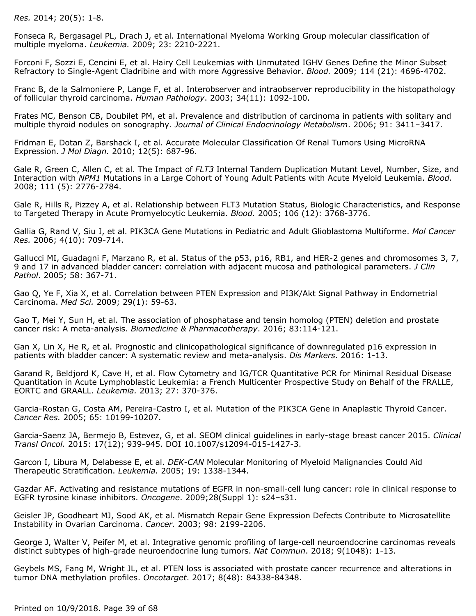*Res.* 2014; 20(5): 1-8.

Fonseca R, Bergasagel PL, Drach J, et al. International Myeloma Working Group molecular classification of multiple myeloma. *Leukemia.* 2009; 23: 2210-2221.

Forconi F, Sozzi E, Cencini E, et al. Hairy Cell Leukemias with Unmutated IGHV Genes Define the Minor Subset Refractory to Single-Agent Cladribine and with more Aggressive Behavior. *Blood.* 2009; 114 (21): 4696-4702.

Franc B, de la Salmoniere P, Lange F, et al. Interobserver and intraobserver reproducibility in the histopathology of follicular thyroid carcinoma. *Human Pathology*. 2003; 34(11): 1092-100.

Frates MC, Benson CB, Doubilet PM, et al. Prevalence and distribution of carcinoma in patients with solitary and multiple thyroid nodules on sonography. *Journal of Clinical Endocrinology Metabolism*. 2006; 91: 3411–3417.

Fridman E, Dotan Z, Barshack I, et al. Accurate Molecular Classification Of Renal Tumors Using MicroRNA Expression. *J Mol Diagn.* 2010; 12(5): 687-96.

Gale R, Green C, Allen C, et al. The Impact of *FLT3* Internal Tandem Duplication Mutant Level, Number, Size, and Interaction with *NPM1* Mutations in a Large Cohort of Young Adult Patients with Acute Myeloid Leukemia. *Blood.* 2008; 111 (5): 2776-2784.

Gale R, Hills R, Pizzey A, et al. Relationship between FLT3 Mutation Status, Biologic Characteristics, and Response to Targeted Therapy in Acute Promyelocytic Leukemia. *Blood.* 2005; 106 (12): 3768-3776.

Gallia G, Rand V, Siu I, et al. PIK3CA Gene Mutations in Pediatric and Adult Glioblastoma Multiforme. *Mol Cancer Res.* 2006; 4(10): 709-714.

Gallucci MI, Guadagni F, Marzano R, et al. Status of the p53, p16, RB1, and HER-2 genes and chromosomes 3, 7, 9 and 17 in advanced bladder cancer: correlation with adjacent mucosa and pathological parameters. *J Clin Pathol*. 2005; 58: 367-71.

Gao Q, Ye F, Xia X, et al. Correlation between PTEN Expression and PI3K/Akt Signal Pathway in Endometrial Carcinoma. *Med Sci.* 2009; 29(1): 59-63.

Gao T, Mei Y, Sun H, et al. The association of phosphatase and tensin homolog (PTEN) deletion and prostate cancer risk: A meta-analysis. *Biomedicine & Pharmacotherapy*. 2016; 83:114-121.

Gan X, Lin X, He R, et al. Prognostic and clinicopathological significance of downregulated p16 expression in patients with bladder cancer: A systematic review and meta-analysis. *Dis Markers*. 2016: 1-13.

Garand R, Beldjord K, Cave H, et al. Flow Cytometry and IG/TCR Quantitative PCR for Minimal Residual Disease Quantitation in Acute Lymphoblastic Leukemia: a French Multicenter Prospective Study on Behalf of the FRALLE, EORTC and GRAALL. *Leukemia.* 2013; 27: 370-376.

Garcia-Rostan G, Costa AM, Pereira-Castro I, et al. Mutation of the PIK3CA Gene in Anaplastic Thyroid Cancer. *Cancer Res.* 2005; 65: 10199-10207.

Garcia-Saenz JA, Bermejo B, Estevez, G, et al. SEOM clinical guidelines in early-stage breast cancer 2015. *Clinical Transl Oncol.* 2015: 17(12); 939-945. DOI 10.1007/s12094-015-1427-3.

Garcon I, Libura M, Delabesse E, et al. *DEK-CAN* Molecular Monitoring of Myeloid Malignancies Could Aid Therapeutic Stratification. *Leukemia.* 2005; 19: 1338-1344.

Gazdar AF. Activating and resistance mutations of EGFR in non-small-cell lung cancer: role in clinical response to EGFR tyrosine kinase inhibitors. *Oncogene*. 2009;28(Suppl 1): s24–s31.

Geisler JP, Goodheart MJ, Sood AK, et al. Mismatch Repair Gene Expression Defects Contribute to Microsatellite Instability in Ovarian Carcinoma. *Cancer.* 2003; 98: 2199-2206.

George J, Walter V, Peifer M, et al. Integrative genomic profiling of large-cell neuroendocrine carcinomas reveals distinct subtypes of high-grade neuroendocrine lung tumors. *Nat Commun*. 2018; 9(1048): 1-13.

Geybels MS, Fang M, Wright JL, et al. PTEN loss is associated with prostate cancer recurrence and alterations in tumor DNA methylation profiles. *Oncotarget*. 2017; 8(48): 84338-84348.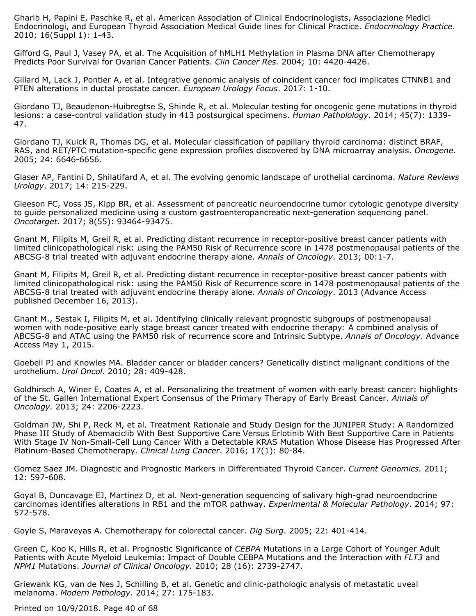Gharib H, Papini E, Paschke R, et al. American Association of Clinical Endocrinologists, Associazione Medici Endocrinologi, and European Thyroid Association Medical Guide lines for Clinical Practice. *Endocrinology Practice*. 2010; 16(Suppl 1): 1-43.

Gifford G, Paul J, Vasey PA, et al. The Acquisition of hMLH1 Methylation in Plasma DNA after Chemotherapy Predicts Poor Survival for Ovarian Cancer Patients. *Clin Cancer Res.* 2004; 10: 4420-4426.

Gillard M, Lack J, Pontier A, et al. Integrative genomic analysis of coincident cancer foci implicates CTNNB1 and PTEN alterations in ductal prostate cancer. *European Urology Focus*. 2017: 1-10.

Giordano TJ, Beaudenon-Huibregtse S, Shinde R, et al. Molecular testing for oncogenic gene mutations in thyroid lesions: a case-control validation study in 413 postsurgical specimens. *Human Patholology*. 2014; 45(7): 1339- 47.

Giordano TJ, Kuick R, Thomas DG, et al. Molecular classification of papillary thyroid carcinoma: distinct BRAF, RAS, and RET/PTC mutation-specific gene expression profiles discovered by DNA microarray analysis. *Oncogene.* 2005; 24: 6646-6656.

Glaser AP, Fantini D, Shilatifard A, et al. The evolving genomic landscape of urothelial carcinoma. *Nature Reviews Urology*. 2017; 14: 215-229.

Gleeson FC, Voss JS, Kipp BR, et al. Assessment of pancreatic neuroendocrine tumor cytologic genotype diversity to guide personalized medicine using a custom gastroenteropancreatic next-generation sequencing panel. *Oncotarget*. 2017; 8(55): 93464-93475.

Gnant M, Filipits M, Greil R, et al. Predicting distant recurrence in receptor-positive breast cancer patients with limited clinicopathological risk: using the PAM50 Risk of Recurrence score in 1478 postmenopausal patients of the ABCSG-8 trial treated with adjuvant endocrine therapy alone. *Annals of Oncology*. 2013; 00:1-7.

Gnant M, Filipits M, Greil R, et al. Predicting distant recurrence in receptor-positive breast cancer patients with limited clinicopathological risk: using the PAM50 Risk of Recurrence score in 1478 postmenopausal patients of the ABCSG-8 trial treated with adjuvant endocrine therapy alone. *Annals of Oncology*. 2013 (Advance Access published December 16, 2013).

Gnant M., Sestak I, Filipits M, et al. Identifying clinically relevant prognostic subgroups of postmenopausal women with node-positive early stage breast cancer treated with endocrine therapy: A combined analysis of ABCSG-8 and ATAC using the PAM50 risk of recurrence score and Intrinsic Subtype. *Annals of Oncology*. Advance Access May 1, 2015.

Goebell PJ and Knowles MA. Bladder cancer or bladder cancers? Genetically distinct malignant conditions of the urothelium. *Urol Oncol*. 2010; 28: 409-428.

Goldhirsch A, Winer E, Coates A, et al. Personalizing the treatment of women with early breast cancer: highlights of the St. Gallen International Expert Consensus of the Primary Therapy of Early Breast Cancer. *Annals of Oncology.* 2013; 24: 2206-2223.

Goldman JW, Shi P, Reck M, et al. Treatment Rationale and Study Design for the JUNIPER Study: A Randomized Phase III Study of Abemaciclib With Best Supportive Care Versus Erlotinib With Best Supportive Care in Patients With Stage IV Non-Small-Cell Lung Cancer With a Detectable KRAS Mutation Whose Disease Has Progressed After Platinum-Based Chemotherapy. *Clinical Lung Cancer*. 2016; 17(1): 80-84.

Gomez Saez JM. Diagnostic and Prognostic Markers in Differentiated Thyroid Cancer. *Current Genomics.* 2011; 12: 597-608.

Goyal B, Duncavage EJ, Martinez D, et al. Next-generation sequencing of salivary high-grad neuroendocrine carcinomas identifies alterations in RB1 and the mTOR pathway. *Experimental & Molecular Pathology*. 2014; 97: 572-578.

Goyle S, Maraveyas A. Chemotherapy for colorectal cancer. *Dig Surg*. 2005; 22: 401-414.

Green C, Koo K, Hills R, et al. Prognostic Significance of *CEBPA* Mutations in a Large Cohort of Younger Adult Patients with Acute Myeloid Leukemia: Impact of Double CEBPA Mutations and the Interaction with *FLT3* and *NPM1* Mutations. *Journal of Clinical Oncology.* 2010; 28 (16): 2739-2747.

Griewank KG, van de Nes J, Schilling B, et al. Genetic and clinic-pathologic analysis of metastatic uveal melanoma. *Modern Pathology*. 2014; 27: 175-183.

Printed on 10/9/2018. Page 40 of 68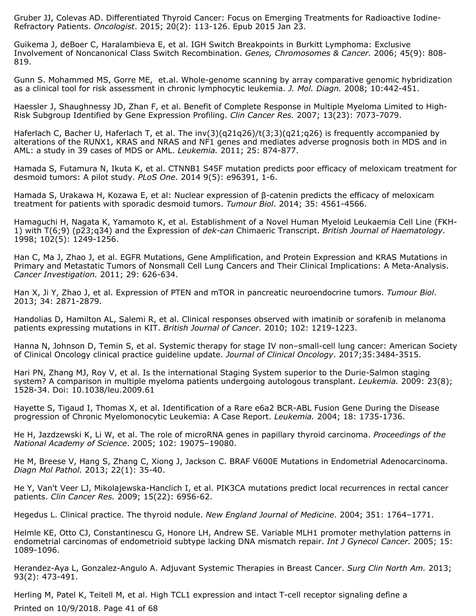Gruber JJ, Colevas AD. Differentiated Thyroid Cancer: Focus on Emerging Treatments for Radioactive Iodine-Refractory Patients. *Oncologist*. 2015; 20(2): 113-126. Epub 2015 Jan 23.

Guikema J, deBoer C, Haralambieva E, et al. IGH Switch Breakpoints in Burkitt Lymphoma: Exclusive Involvement of Noncanonical Class Switch Recombination. *Genes, Chromosomes & Cancer.* 2006; 45(9): 808- 819.

Gunn S. Mohammed MS, Gorre ME, et.al. Whole-genome scanning by array comparative genomic hybridization as a clinical tool for risk assessment in chronic lymphocytic leukemia. *J. Mol. Diagn.* 2008; 10:442-451.

Haessler J, Shaughnessy JD, Zhan F, et al. Benefit of Complete Response in Multiple Myeloma Limited to High-Risk Subgroup Identified by Gene Expression Profiling. *Clin Cancer Res.* 2007; 13(23): 7073-7079.

Haferlach C, Bacher U, Haferlach T, et al. The inv(3)(q21q26)/t(3;3)(q21;q26) is frequently accompanied by alterations of the RUNX1, KRAS and NRAS and NF1 genes and mediates adverse prognosis both in MDS and in AML: a study in 39 cases of MDS or AML. *Leukemia.* 2011; 25: 874-877.

Hamada S, Futamura N, Ikuta K, et al. CTNNB1 S45F mutation predicts poor efficacy of meloxicam treatment for desmoid tumors: A pilot study. *PLoS One*. 2014 9(5): e96391, 1-6.

Hamada S, Urakawa H, Kozawa E, et al: Nuclear expression of β-catenin predicts the efficacy of meloxicam treatment for patients with sporadic desmoid tumors. *Tumour Biol*. 2014; 35: 4561-4566.

Hamaguchi H, Nagata K, Yamamoto K, et al. Establishment of a Novel Human Myeloid Leukaemia Cell Line (FKH-1) with T(6;9) (p23;q34) and the Expression of *dek-can* Chimaeric Transcript. *British Journal of Haematology.*  $1998; 102(5): 1249-1256.$ 

Han C, Ma J, Zhao J, et al. EGFR Mutations, Gene Amplification, and Protein Expression and KRAS Mutations in Primary and Metastatic Tumors of Nonsmall Cell Lung Cancers and Their Clinical Implications: A Meta-Analysis. *Cancer Investigation.* 2011; 29: 626-634.

Han X, Ji Y, Zhao J, et al. Expression of PTEN and mTOR in pancreatic neuroendocrine tumors. *Tumour Biol*. 2013; 34: 2871-2879.

Handolias D, Hamilton AL, Salemi R, et al. Clinical responses observed with imatinib or sorafenib in melanoma patients expressing mutations in KIT. *British Journal of Cancer.* 2010; 102: 1219-1223.

Hanna N, Johnson D, Temin S, et al. Systemic therapy for stage IV non–small-cell lung cancer: American Society of Clinical Oncology clinical practice guideline update. *Journal of Clinical Oncology*. 2017;35:3484-3515.

Hari PN, Zhang MJ, Roy V, et al. Is the international Staging System superior to the Durie-Salmon staging system? A comparison in multiple myeloma patients undergoing autologous transplant. *Leukemia.* 2009: 23(8); 1528-34. Doi: 10.1038/leu.2009.61

Hayette S, Tigaud I, Thomas X, et al. Identification of a Rare e6a2 BCR-ABL Fusion Gene During the Disease progression of Chronic Myelomonocytic Leukemia: A Case Report. *Leukemia.* 2004; 18: 1735-1736.

He H, Jazdzewski K, Li W, et al. The role of microRNA genes in papillary thyroid carcinoma. *Proceedings of the National Academy of Science*. 2005; 102: 19075–19080.

He M, Breese V, Hang S, Zhang C, Xiong J, Jackson C. BRAF V600E Mutations in Endometrial Adenocarcinoma. *Diagn Mol Pathol.* 2013; 22(1): 35-40.

He Y, Van't Veer LJ, Mikolajewska-Hanclich I, et al. PIK3CA mutations predict local recurrences in rectal cancer patients. *Clin Cancer Res.* 2009; 15(22): 6956-62.

Hegedus L. Clinical practice. The thyroid nodule. *New England Journal of Medicine*. 2004; 351: 1764–1771.

Helmle KE, Otto CJ, Constantinescu G, Honore LH, Andrew SE. Variable MLH1 promoter methylation patterns in endometrial carcinomas of endometrioid subtype lacking DNA mismatch repair. *Int J Gynecol Cancer.* 2005; 15: 1089-1096.

Herandez-Aya L, Gonzalez-Angulo A. Adjuvant Systemic Therapies in Breast Cancer. *Surg Clin North Am.* 2013; 93(2): 473-491.

Herling M, Patel K, Teitell M, et al. High TCL1 expression and intact T-cell receptor signaling define a Printed on 10/9/2018. Page 41 of 68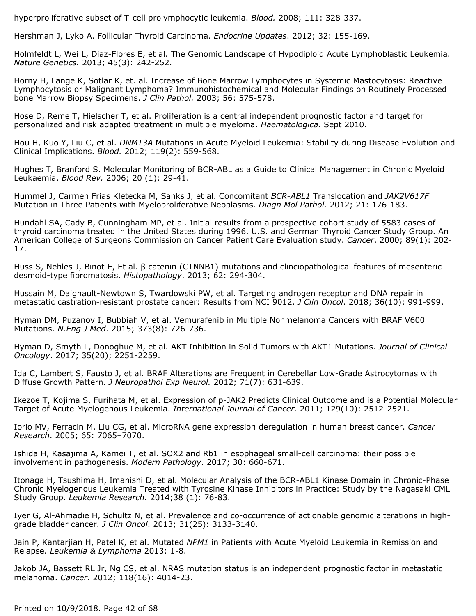hyperproliferative subset of T-cell prolymphocytic leukemia. *Blood.* 2008; 111: 328-337.

Hershman J, Lyko A. Follicular Thyroid Carcinoma. *Endocrine Updates*. 2012; 32: 155-169.

Holmfeldt L, Wei L, Diaz-Flores E, et al. The Genomic Landscape of Hypodiploid Acute Lymphoblastic Leukemia. *Nature Genetics.* 2013; 45(3): 242-252.

Horny H, Lange K, Sotlar K, et. al. Increase of Bone Marrow Lymphocytes in Systemic Mastocytosis: Reactive Lymphocytosis or Malignant Lymphoma? Immunohistochemical and Molecular Findings on Routinely Processed bone Marrow Biopsy Specimens. *J Clin Pathol.* 2003; 56: 575-578.

Hose D, Reme T, Hielscher T, et al. Proliferation is a central independent prognostic factor and target for personalized and risk adapted treatment in multiple myeloma. *Haematologica.* Sept 2010.

Hou H, Kuo Y, Liu C, et al. *DNMT3A* Mutations in Acute Myeloid Leukemia: Stability during Disease Evolution and Clinical Implications. *Blood.* 2012; 119(2): 559-568.

Hughes T, Branford S. Molecular Monitoring of BCR-ABL as a Guide to Clinical Management in Chronic Myeloid Leukaemia. *Blood Rev.* 2006; 20 (1): 29-41.

Hummel J, Carmen Frias Kletecka M, Sanks J, et al. Concomitant *BCR-ABL1* Translocation and *JAK2V617F* Mutation in Three Patients with Myeloproliferative Neoplasms. *Diagn Mol Pathol.* 2012; 21: 176-183.

Hundahl SA, Cady B, Cunningham MP, et al. Initial results from a prospective cohort study of 5583 cases of thyroid carcinoma treated in the United States during 1996. U.S. and German Thyroid Cancer Study Group. An American College of Surgeons Commission on Cancer Patient Care Evaluation study. *Cancer*. 2000; 89(1): 202- 17.

Huss S, Nehles J, Binot E, Et al. β catenin (CTNNB1) mutations and clinciopathological features of mesenteric desmoid-type fibromatosis. *Histopathology*. 2013; 62: 294-304.

Hussain M, Daignault-Newtown S, Twardowski PW, et al. Targeting androgen receptor and DNA repair in metastatic castration-resistant prostate cancer: Results from NCI 9012. *J Clin Oncol*. 2018; 36(10): 991-999.

Hyman DM, Puzanov I, Bubbiah V, et al. Vemurafenib in Multiple Nonmelanoma Cancers with BRAF V600 Mutations. *N.Eng J Med*. 2015; 373(8): 726-736.

Hyman D, Smyth L, Donoghue M, et al. AKT Inhibition in Solid Tumors with AKT1 Mutations. *Journal of Clinical Oncology*. 2017; 35(20); 2251-2259.

Ida C, Lambert S, Fausto J, et al. BRAF Alterations are Frequent in Cerebellar Low-Grade Astrocytomas with Diffuse Growth Pattern. *J Neuropathol Exp Neurol.* 2012; 71(7): 631-639.

Ikezoe T, Kojima S, Furihata M, et al. Expression of p-JAK2 Predicts Clinical Outcome and is a Potential Molecular Target of Acute Myelogenous Leukemia. *International Journal of Cancer.* 2011; 129(10): 2512-2521.

Iorio MV, Ferracin M, Liu CG, et al. MicroRNA gene expression deregulation in human breast cancer. *Cancer Research*. 2005; 65: 7065–7070.

Ishida H, Kasajima A, Kamei T, et al. SOX2 and Rb1 in esophageal small-cell carcinoma: their possible involvement in pathogenesis. *Modern Pathology*. 2017; 30: 660-671.

Itonaga H, Tsushima H, Imanishi D, et al. Molecular Analysis of the BCR-ABL1 Kinase Domain in Chronic-Phase Chronic Myelogenous Leukemia Treated with Tyrosine Kinase Inhibitors in Practice: Study by the Nagasaki CML Study Group. *Leukemia Research.* 2014;38 (1): 76-83.

Iyer G, Al-Ahmadie H, Schultz N, et al. Prevalence and co-occurrence of actionable genomic alterations in highgrade bladder cancer. *J Clin Oncol*. 2013; 31(25): 3133-3140.

Jain P, Kantarjian H, Patel K, et al. Mutated *NPM1* in Patients with Acute Myeloid Leukemia in Remission and Relapse. *Leukemia & Lymphoma* 2013: 1-8.

Jakob JA, Bassett RL Jr, Ng CS, et al. NRAS mutation status is an independent prognostic factor in metastatic melanoma. *Cancer.* 2012; 118(16): 4014-23.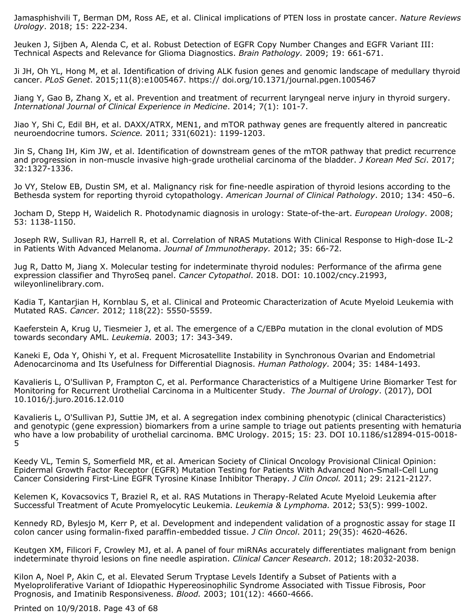Jamasphishvili T, Berman DM, Ross AE, et al. Clinical implications of PTEN loss in prostate cancer. *Nature Reviews Urology*. 2018; 15: 222-234.

Jeuken J, Sijben A, Alenda C, et al. Robust Detection of EGFR Copy Number Changes and EGFR Variant III: Technical Aspects and Relevance for Glioma Diagnostics. *Brain Pathology.* 2009; 19: 661-671.

Ji JH, Oh YL, Hong M, et al. Identification of driving ALK fusion genes and genomic landscape of medullary thyroid cancer. *PLoS Genet*. 2015;11(8):e1005467. https:// doi.org/10.1371/journal.pgen.1005467

Jiang Y, Gao B, Zhang X, et al. Prevention and treatment of recurrent laryngeal nerve injury in thyroid surgery. *International Journal of Clinical Experience in Medicine*. 2014; 7(1): 101-7.

Jiao Y, Shi C, Edil BH, et al. DAXX/ATRX, MEN1, and mTOR pathway genes are frequently altered in pancreatic neuroendocrine tumors. *Science.* 2011; 331(6021): 1199-1203.

Jin S, Chang IH, Kim JW, et al. Identification of downstream genes of the mTOR pathway that predict recurrence and progression in non-muscle invasive high-grade urothelial carcinoma of the bladder. *J Korean Med Sci*. 2017; 32:1327-1336.

Jo VY, Stelow EB, Dustin SM, et al. Malignancy risk for fine-needle aspiration of thyroid lesions according to the Bethesda system for reporting thyroid cytopathology. *American Journal of Clinical Pathology*. 2010; 134: 450–6.

Jocham D, Stepp H, Waidelich R. Photodynamic diagnosis in urology: State-of-the-art. *European Urology*. 2008; 53: 1138-1150.

Joseph RW, Sullivan RJ, Harrell R, et al. Correlation of NRAS Mutations With Clinical Response to High-dose IL-2 in Patients With Advanced Melanoma. *Journal of Immunotherapy.* 2012; 35: 66-72.

Jug R, Datto M, Jiang X. Molecular testing for indeterminate thyroid nodules: Performance of the afirma gene expression classifier and ThyroSeq panel. *Cancer Cytopathol*. 2018. DOI: 10.1002/cncy.21993, wileyonlinelibrary.com.

Kadia T, Kantarjian H, Kornblau S, et al. Clinical and Proteomic Characterization of Acute Myeloid Leukemia with Mutated RAS. *Cancer.* 2012; 118(22): 5550-5559.

Kaeferstein A, Krug U, Tiesmeier J, et al. The emergence of a C/EBPα mutation in the clonal evolution of MDS towards secondary AML. *Leukemia.* 2003; 17: 343-349.

Kaneki E, Oda Y, Ohishi Y, et al. Frequent Microsatellite Instability in Synchronous Ovarian and Endometrial Adenocarcinoma and Its Usefulness for Differential Diagnosis. *Human Pathology.* 2004; 35: 1484-1493.

Kavalieris L, O'Sullivan P, Frampton C, et al. Performance Characteristics of a Multigene Urine Biomarker Test for Monitoring for Recurrent Urothelial Carcinoma in a Multicenter Study. *The Journal of Urology*. (2017), DOI 10.1016/j.juro.2016.12.010

Kavalieris L, O'Sullivan PJ, Suttie JM, et al. A segregation index combining phenotypic (clinical Characteristics) and genotypic (gene expression) biomarkers from a urine sample to triage out patients presenting with hematuria who have a low probability of urothelial carcinoma. BMC Urology. 2015; 15: 23. DOI 10.1186/s12894-015-0018-5

Keedy VL, Temin S, Somerfield MR, et al. American Society of Clinical Oncology Provisional Clinical Opinion: Epidermal Growth Factor Receptor (EGFR) Mutation Testing for Patients With Advanced Non-Small-Cell Lung Cancer Considering First-Line EGFR Tyrosine Kinase Inhibitor Therapy. *J Clin Oncol.* 2011; 29: 2121-2127.

Kelemen K, Kovacsovics T, Braziel R, et al. RAS Mutations in Therapy-Related Acute Myeloid Leukemia after Successful Treatment of Acute Promyelocytic Leukemia. *Leukemia & Lymphoma.* 2012; 53(5): 999-1002.

Kennedy RD, Bylesjo M, Kerr P, et al. Development and independent validation of a prognostic assay for stage II colon cancer using formalin-fixed paraffin-embedded tissue. *J Clin Oncol*. 2011; 29(35): 4620-4626.

Keutgen XM, Filicori F, Crowley MJ, et al. A panel of four miRNAs accurately differentiates malignant from benign indeterminate thyroid lesions on fine needle aspiration. *Clinical Cancer Research*. 2012; 18:2032-2038.

Kilon A, Noel P, Akin C, et al. Elevated Serum Tryptase Levels Identify a Subset of Patients with a Myeloproliferative Variant of Idiopathic Hypereosinophilic Syndrome Associated with Tissue Fibrosis, Poor Prognosis, and Imatinib Responsiveness. *Blood.* 2003; 101(12): 4660-4666.

Printed on 10/9/2018. Page 43 of 68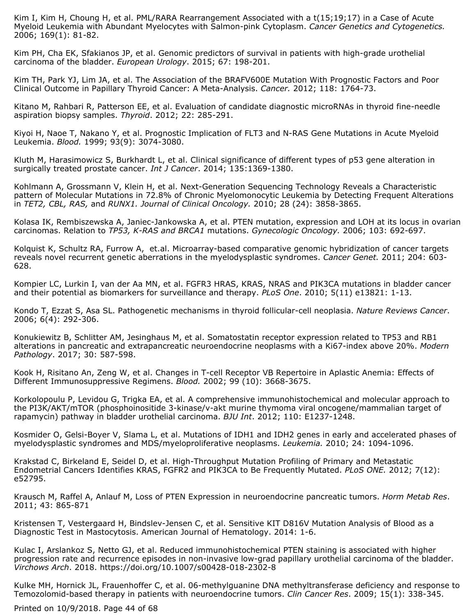Kim I, Kim H, Choung H, et al. PML/RARA Rearrangement Associated with a t(15;19;17) in a Case of Acute Myeloid Leukemia with Abundant Myelocytes with Salmon-pink Cytoplasm. *Cancer Genetics and Cytogenetics.* 2006; 169(1): 81-82.

Kim PH, Cha EK, Sfakianos JP, et al. Genomic predictors of survival in patients with high-grade urothelial carcinoma of the bladder. *European Urology*. 2015; 67: 198-201.

Kim TH, Park YJ, Lim JA, et al. The Association of the BRAFV600E Mutation With Prognostic Factors and Poor Clinical Outcome in Papillary Thyroid Cancer: A Meta-Analysis. *Cancer.* 2012; 118: 1764-73.

Kitano M, Rahbari R, Patterson EE, et al. Evaluation of candidate diagnostic microRNAs in thyroid fine-needle aspiration biopsy samples. *Thyroid*. 2012; 22: 285-291.

Kiyoi H, Naoe T, Nakano Y, et al. Prognostic Implication of FLT3 and N-RAS Gene Mutations in Acute Myeloid Leukemia. *Blood.* 1999; 93(9): 3074-3080.

Kluth M, Harasimowicz S, Burkhardt L, et al. Clinical significance of different types of p53 gene alteration in surgically treated prostate cancer. *Int J Cancer*. 2014; 135:1369-1380.

Kohlmann A, Grossmann V, Klein H, et al. Next-Generation Sequencing Technology Reveals a Characteristic pattern of Molecular Mutations in 72.8% of Chronic Myelomonocytic Leukemia by Detecting Frequent Alterations in *TET2, CBL, RAS,* and *RUNX1. Journal of Clinical Oncology.* 2010; 28 (24): 3858-3865.

Kolasa IK, Rembiszewska A, Janiec-Jankowska A, et al. PTEN mutation, expression and LOH at its locus in ovarian carcinomas. Relation to *TP53, K-RAS and BRCA1* mutations. *Gynecologic Oncology.* 2006; 103: 692-697.

Kolquist K, Schultz RA, Furrow A, et.al. Microarray-based comparative genomic hybridization of cancer targets reveals novel recurrent genetic aberrations in the myelodysplastic syndromes. *Cancer Genet.* 2011; 204: 603- 628.

Kompier LC, Lurkin I, van der Aa MN, et al. FGFR3 HRAS, KRAS, NRAS and PIK3CA mutations in bladder cancer and their potential as biomarkers for surveillance and therapy. *PLoS One*. 2010; 5(11) e13821: 1-13.

Kondo T, Ezzat S, Asa SL. Pathogenetic mechanisms in thyroid follicular-cell neoplasia. *Nature Reviews Cancer*. 2006; 6(4): 292-306.

Konukiewitz B, Schlitter AM, Jesinghaus M, et al. Somatostatin receptor expression related to TP53 and RB1 alterations in pancreatic and extrapancreatic neuroendocrine neoplasms with a Ki67-index above 20%. *Modern Pathology*. 2017; 30: 587-598.

Kook H, Risitano An, Zeng W, et al. Changes in T-cell Receptor VB Repertoire in Aplastic Anemia: Effects of Different Immunosuppressive Regimens. *Blood.* 2002; 99 (10): 3668-3675.

Korkolopoulu P, Levidou G, Trigka EA, et al. A comprehensive immunohistochemical and molecular approach to the PI3K/AKT/mTOR (phosphoinositide 3-kinase/v-akt murine thymoma viral oncogene/mammalian target of rapamycin) pathway in bladder urothelial carcinoma. *BJU Int*. 2012; 110: E1237-1248.

Kosmider O, Gelsi-Boyer V, Slama L, et al. Mutations of IDH1 and IDH2 genes in early and accelerated phases of myelodysplastic syndromes and MDS/myeloproliferative neoplasms. *Leukemia.* 2010; 24: 1094-1096.

Krakstad C, Birkeland E, Seidel D, et al. High-Throughput Mutation Profiling of Primary and Metastatic Endometrial Cancers Identifies KRAS, FGFR2 and PIK3CA to Be Frequently Mutated. *PLoS ONE.* 2012; 7(12): e52795.

Krausch M, Raffel A, Anlauf M, Loss of PTEN Expression in neuroendocrine pancreatic tumors. *Horm Metab Res*. 2011; 43: 865-871

Kristensen T, Vestergaard H, Bindslev-Jensen C, et al. Sensitive KIT D816V Mutation Analysis of Blood as a Diagnostic Test in Mastocytosis. American Journal of Hematology. 2014: 1-6.

Kulac I, Arslankoz S, Netto GJ, et al. Reduced immunohistochemical PTEN staining is associated with higher progression rate and recurrence episodes in non-invasive low-grad papillary urothelial carcinoma of the bladder. *Virchows Arch*. 2018. https://doi.org/10.1007/s00428-018-2302-8

Kulke MH, Hornick JL, Frauenhoffer C, et al. 06-methylguanine DNA methyltransferase deficiency and response to Temozolomid-based therapy in patients with neuroendocrine tumors. *Clin Cancer Res*. 2009; 15(1): 338-345.

Printed on 10/9/2018. Page 44 of 68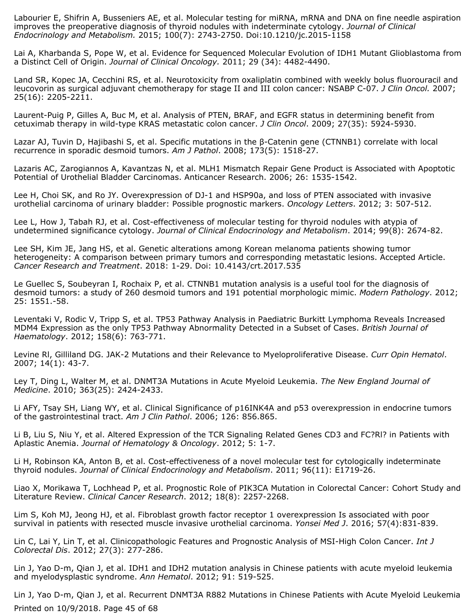Labourier E, Shifrin A, Busseniers AE, et al. Molecular testing for miRNA, mRNA and DNA on fine needle aspiration improves the preoperative diagnosis of thyroid nodules with indeterminate cytology. *Journal of Clinical Endocrinology and Metabolism.* 2015; 100(7): 2743-2750. Doi:10.1210/jc.2015-1158

Lai A, Kharbanda S, Pope W, et al. Evidence for Sequenced Molecular Evolution of IDH1 Mutant Glioblastoma from a Distinct Cell of Origin. *Journal of Clinical Oncology.* 2011; 29 (34): 4482-4490.

Land SR, Kopec JA, Cecchini RS, et al. Neurotoxicity from oxaliplatin combined with weekly bolus fluorouracil and leucovorin as surgical adjuvant chemotherapy for stage II and III colon cancer: NSABP C-07. *J Clin Oncol.* 2007; 25(16): 2205-2211.

Laurent-Puig P, Gilles A, Buc M, et al. Analysis of PTEN, BRAF, and EGFR status in determining benefit from cetuximab therapy in wild-type KRAS metastatic colon cancer. *J Clin Oncol*. 2009; 27(35): 5924-5930.

Lazar AJ, Tuvin D, Hajibashi S, et al. Specific mutations in the β-Catenin gene (CTNNB1) correlate with local recurrence in sporadic desmoid tumors. *Am J Pathol*. 2008; 173(5): 1518-27.

Lazaris AC, Zarogiannos A, Kavantzas N, et al. MLH1 Mismatch Repair Gene Product is Associated with Apoptotic Potential of Urothelial Bladder Carcinomas. Anticancer Research. 2006; 26: 1535-1542.

Lee H, Choi SK, and Ro JY. Overexpression of DJ-1 and HSP90a, and loss of PTEN associated with invasive urothelial carcinoma of urinary bladder: Possible prognostic markers. *Oncology Letters*. 2012; 3: 507-512.

Lee L, How J, Tabah RJ, et al. Cost-effectiveness of molecular testing for thyroid nodules with atypia of undetermined significance cytology. *Journal of Clinical Endocrinology and Metabolism*. 2014; 99(8): 2674-82.

Lee SH, Kim JE, Jang HS, et al. Genetic alterations among Korean melanoma patients showing tumor heterogeneity: A comparison between primary tumors and corresponding metastatic lesions. Accepted Article. *Cancer Research and Treatment*. 2018: 1-29. Doi: 10.4143/crt.2017.535

Le Guellec S, Soubeyran I, Rochaix P, et al. CTNNB1 mutation analysis is a useful tool for the diagnosis of desmoid tumors: a study of 260 desmoid tumors and 191 potential morphologic mimic. *Modern Pathology*. 2012; 25: 1551.-58.

Leventaki V, Rodic V, Tripp S, et al. TP53 Pathway Analysis in Paediatric Burkitt Lymphoma Reveals Increased MDM4 Expression as the only TP53 Pathway Abnormality Detected in a Subset of Cases. *British Journal of Haematology*. 2012; 158(6): 763-771.

Levine Rl, Gilliland DG. JAK-2 Mutations and their Relevance to Myeloproliferative Disease. *Curr Opin Hematol*. 2007; 14(1): 43-7.

Ley T, Ding L, Walter M, et al. DNMT3A Mutations in Acute Myeloid Leukemia. *The New England Journal of Medicine*. 2010; 363(25): 2424-2433.

Li AFY, Tsay SH, Liang WY, et al. Clinical Significance of p16INK4A and p53 overexpression in endocrine tumors of the gastrointestinal tract. *Am J Clin Pathol*. 2006; 126: 856.865.

Li B, Liu S, Niu Y, et al. Altered Expression of the TCR Signaling Related Genes CD3 and FC?Rl? in Patients with Aplastic Anemia. *Journal of Hematology & Oncology*. 2012; 5: 1-7.

Li H, Robinson KA, Anton B, et al. Cost-effectiveness of a novel molecular test for cytologically indeterminate thyroid nodules. *Journal of Clinical Endocrinology and Metabolism*. 2011; 96(11): E1719-26.

Liao X, Morikawa T, Lochhead P, et al. Prognostic Role of PIK3CA Mutation in Colorectal Cancer: Cohort Study and Literature Review. *Clinical Cancer Research*. 2012; 18(8): 2257-2268.

Lim S, Koh MJ, Jeong HJ, et al. Fibroblast growth factor receptor 1 overexpression Is associated with poor survival in patients with resected muscle invasive urothelial carcinoma. *Yonsei Med J*. 2016; 57(4):831-839.

Lin C, Lai Y, Lin T, et al. Clinicopathologic Features and Prognostic Analysis of MSI-High Colon Cancer. *Int J Colorectal Dis*. 2012; 27(3): 277-286.

Lin J, Yao D-m, Qian J, et al. IDH1 and IDH2 mutation analysis in Chinese patients with acute myeloid leukemia and myelodysplastic syndrome. *Ann Hematol*. 2012; 91: 519-525.

Lin J, Yao D-m, Qian J, et al. Recurrent DNMT3A R882 Mutations in Chinese Patients with Acute Myeloid Leukemia Printed on 10/9/2018. Page 45 of 68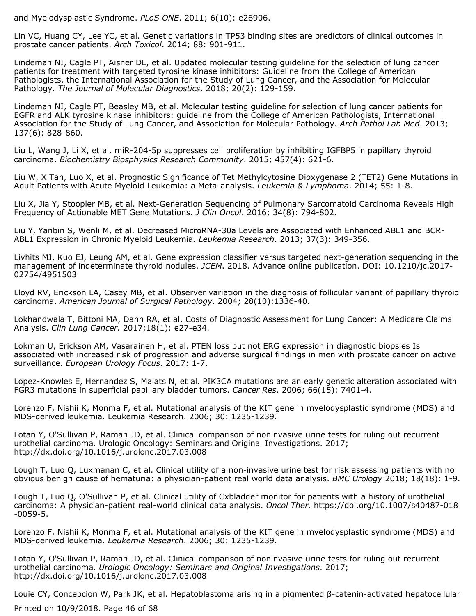and Myelodysplastic Syndrome. *PLoS ONE*. 2011; 6(10): e26906.

Lin VC, Huang CY, Lee YC, et al. Genetic variations in TP53 binding sites are predictors of clinical outcomes in prostate cancer patients. *Arch Toxicol*. 2014; 88: 901-911.

Lindeman NI, Cagle PT, Aisner DL, et al. Updated molecular testing guideline for the selection of lung cancer patients for treatment with targeted tyrosine kinase inhibitors: Guideline from the College of American Pathologists, the International Association for the Study of Lung Cancer, and the Association for Molecular Pathology. *The Journal of Molecular Diagnostics*. 2018; 20(2): 129-159.

Lindeman NI, Cagle PT, Beasley MB, et al. Molecular testing guideline for selection of lung cancer patients for EGFR and ALK tyrosine kinase inhibitors: guideline from the College of American Pathologists, International Association for the Study of Lung Cancer, and Association for Molecular Pathology. *Arch Pathol Lab Med*. 2013; 137(6): 828-860.

Liu L, Wang J, Li X, et al. miR-204-5p suppresses cell proliferation by inhibiting IGFBP5 in papillary thyroid carcinoma. *Biochemistry Biosphysics Research Community*. 2015; 457(4): 621-6.

Liu W, X Tan, Luo X, et al. Prognostic Significance of Tet Methylcytosine Dioxygenase 2 (TET2) Gene Mutations in Adult Patients with Acute Myeloid Leukemia: a Meta-analysis. *Leukemia & Lymphoma*. 2014; 55: 1-8.

Liu X, Jia Y, Stoopler MB, et al. Next-Generation Sequencing of Pulmonary Sarcomatoid Carcinoma Reveals High Frequency of Actionable MET Gene Mutations. *J Clin Oncol*. 2016; 34(8): 794-802.

Liu Y, Yanbin S, Wenli M, et al. Decreased MicroRNA-30a Levels are Associated with Enhanced ABL1 and BCR-ABL1 Expression in Chronic Myeloid Leukemia. *Leukemia Research*. 2013; 37(3): 349-356.

Livhits MJ, Kuo EJ, Leung AM, et al. Gene expression classifier versus targeted next-generation sequencing in the management of indeterminate thyroid nodules. *JCEM*. 2018. Advance online publication. DOI: 10.1210/jc.2017- 02754/4951503

Lloyd RV, Erickson LA, Casey MB, et al. Observer variation in the diagnosis of follicular variant of papillary thyroid carcinoma. *American Journal of Surgical Pathology*. 2004; 28(10):1336-40.

Lokhandwala T, Bittoni MA, Dann RA, et al. Costs of Diagnostic Assessment for Lung Cancer: A Medicare Claims Analysis. *Clin Lung Cancer*. 2017;18(1): e27-e34.

Lokman U, Erickson AM, Vasarainen H, et al. PTEN loss but not ERG expression in diagnostic biopsies Is associated with increased risk of progression and adverse surgical findings in men with prostate cancer on active surveillance. *European Urology Focus*. 2017: 1-7.

Lopez-Knowles E, Hernandez S, Malats N, et al. PIK3CA mutations are an early genetic alteration associated with FGR3 mutations in superficial papillary bladder tumors. *Cancer Res*. 2006; 66(15): 7401-4.

Lorenzo F, Nishii K, Monma F, et al. Mutational analysis of the KIT gene in myelodysplastic syndrome (MDS) and MDS-derived leukemia. Leukemia Research. 2006; 30: 1235-1239.

Lotan Y, O'Sullivan P, Raman JD, et al. Clinical comparison of noninvasive urine tests for ruling out recurrent urothelial carcinoma. Urologic Oncology: Seminars and Original Investigations. 2017; http://dx.doi.org/10.1016/j.urolonc.2017.03.008

Lough T, Luo Q, Luxmanan C, et al. Clinical utility of a non-invasive urine test for risk assessing patients with no obvious benign cause of hematuria: a physician-patient real world data analysis. *BMC Urology* 2018; 18(18): 1-9.

Lough T, Luo Q, O'Sullivan P, et al. Clinical utility of Cxbladder monitor for patients with a history of urothelial carcinoma: A physician-patient real-world clinical data analysis. *Oncol Ther.* https://doi.org/10.1007/s40487-018 -0059-5.

Lorenzo F, Nishii K, Monma F, et al. Mutational analysis of the KIT gene in myelodysplastic syndrome (MDS) and MDS-derived leukemia. *Leukemia Research*. 2006; 30: 1235-1239.

Lotan Y, O'Sullivan P, Raman JD, et al. Clinical comparison of noninvasive urine tests for ruling out recurrent urothelial carcinoma. *Urologic Oncology: Seminars and Original Investigations*. 2017; http://dx.doi.org/10.1016/j.urolonc.2017.03.008

Louie CY, Concepcion W, Park JK, et al. Hepatoblastoma arising in a pigmented β-catenin-activated hepatocellular

Printed on 10/9/2018. Page 46 of 68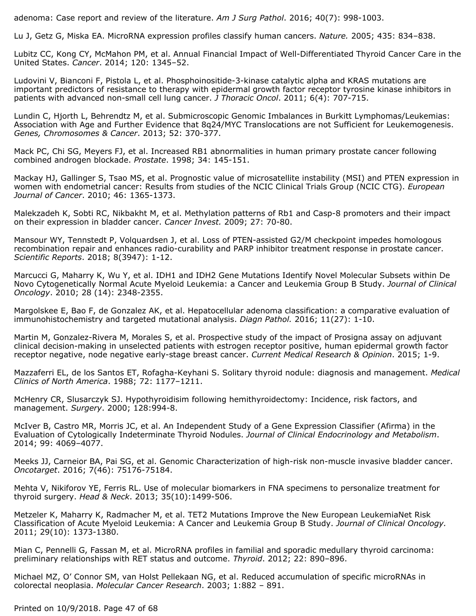adenoma: Case report and review of the literature. *Am J Surg Pathol*. 2016; 40(7): 998-1003.

Lu J, Getz G, Miska EA. MicroRNA expression profiles classify human cancers. *Nature.* 2005; 435: 834–838.

Lubitz CC, Kong CY, McMahon PM, et al. Annual Financial Impact of Well-Differentiated Thyroid Cancer Care in the United States. *Cancer*. 2014; 120: 1345–52.

Ludovini V, Bianconi F, Pistola L, et al. Phosphoinositide-3-kinase catalytic alpha and KRAS mutations are important predictors of resistance to therapy with epidermal growth factor receptor tyrosine kinase inhibitors in patients with advanced non-small cell lung cancer. *J Thoracic Oncol*. 2011; 6(4): 707-715.

Lundin C, Hjorth L, Behrendtz M, et al. Submicroscopic Genomic Imbalances in Burkitt Lymphomas/Leukemias: Association with Age and Further Evidence that 8q24/MYC Translocations are not Sufficient for Leukemogenesis. *Genes, Chromosomes & Cancer*. 2013; 52: 370-377.

Mack PC, Chi SG, Meyers FJ, et al. Increased RB1 abnormalities in human primary prostate cancer following combined androgen blockade. *Prostate*. 1998; 34: 145-151.

Mackay HJ, Gallinger S, Tsao MS, et al. Prognostic value of microsatellite instability (MSI) and PTEN expression in women with endometrial cancer: Results from studies of the NCIC Clinical Trials Group (NCIC CTG). *European Journal of Cancer*. 2010; 46: 1365-1373.

Malekzadeh K, Sobti RC, Nikbakht M, et al. Methylation patterns of Rb1 and Casp-8 promoters and their impact on their expression in bladder cancer. *Cancer Invest.* 2009; 27: 70-80.

Mansour WY, Tennstedt P, Volquardsen J, et al. Loss of PTEN-assisted G2/M checkpoint impedes homologous recombination repair and enhances radio-curability and PARP inhibitor treatment response in prostate cancer. *Scientific Reports*. 2018; 8(3947): 1-12.

Marcucci G, Maharry K, Wu Y, et al. IDH1 and IDH2 Gene Mutations Identify Novel Molecular Subsets within De Novo Cytogenetically Normal Acute Myeloid Leukemia: a Cancer and Leukemia Group B Study. *Journal of Clinical Oncology*. 2010; 28 (14): 2348-2355.

Margolskee E, Bao F, de Gonzalez AK, et al. Hepatocellular adenoma classification: a comparative evaluation of immunohistochemistry and targeted mutational analysis. *Diagn Pathol.* 2016; 11(27): 1-10.

Martin M, Gonzalez-Rivera M, Morales S, et al. Prospective study of the impact of Prosigna assay on adjuvant clinical decision-making in unselected patients with estrogen receptor positive, human epidermal growth factor receptor negative, node negative early-stage breast cancer. *Current Medical Research & Opinion*. 2015; 1-9.

Mazzaferri EL, de los Santos ET, Rofagha-Keyhani S. Solitary thyroid nodule: diagnosis and management. *Medical Clinics of North America*. 1988; 72: 1177–1211.

McHenry CR, Slusarczyk SJ. Hypothyroidisim following hemithyroidectomy: Incidence, risk factors, and management. *Surgery*. 2000; 128:994-8.

McIver B, Castro MR, Morris JC, et al. An Independent Study of a Gene Expression Classifier (Afirma) in the Evaluation of Cytologically Indeterminate Thyroid Nodules. *Journal of Clinical Endocrinology and Metabolism*. 2014; 99: 4069–4077.

Meeks JJ, Carneior BA, Pai SG, et al. Genomic Characterization of high-risk non-muscle invasive bladder cancer. *Oncotarget*. 2016; 7(46): 75176-75184.

Mehta V, Nikiforov YE, Ferris RL. Use of molecular biomarkers in FNA specimens to personalize treatment for thyroid surgery. *Head & Neck*. 2013; 35(10):1499-506.

Metzeler K, Maharry K, Radmacher M, et al. TET2 Mutations Improve the New European LeukemiaNet Risk Classification of Acute Myeloid Leukemia: A Cancer and Leukemia Group B Study. *Journal of Clinical Oncology.* 2011; 29(10): 1373-1380.

Mian C, Pennelli G, Fassan M, et al. MicroRNA profiles in familial and sporadic medullary thyroid carcinoma: preliminary relationships with RET status and outcome. *Thyroid*. 2012; 22: 890–896.

Michael MZ, O' Connor SM, van Holst Pellekaan NG, et al. Reduced accumulation of specific microRNAs in colorectal neoplasia. *Molecular Cancer Research*. 2003; 1:882 – 891.

Printed on 10/9/2018. Page 47 of 68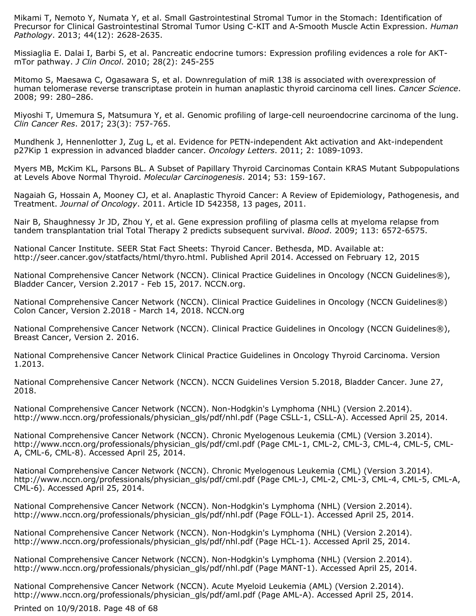Mikami T, Nemoto Y, Numata Y, et al. Small Gastrointestinal Stromal Tumor in the Stomach: Identification of Precursor for Clinical Gastrointestinal Stromal Tumor Using C-KIT and A-Smooth Muscle Actin Expression. *Human Pathology*. 2013; 44(12): 2628-2635.

Missiaglia E. Dalai I, Barbi S, et al. Pancreatic endocrine tumors: Expression profiling evidences a role for AKTmTor pathway. *J Clin Oncol*. 2010; 28(2): 245-255

Mitomo S, Maesawa C, Ogasawara S, et al. Downregulation of miR 138 is associated with overexpression of human telomerase reverse transcriptase protein in human anaplastic thyroid carcinoma cell lines. *Cancer Science*. 2008; 99: 280–286.

Miyoshi T, Umemura S, Matsumura Y, et al. Genomic profiling of large-cell neuroendocrine carcinoma of the lung. *Clin Cancer Res*. 2017; 23(3): 757-765.

Mundhenk J, Hennenlotter J, Zug L, et al. Evidence for PETN-independent Akt activation and Akt-independent p27Kip 1 expression in advanced bladder cancer. *Oncology Letters*. 2011; 2: 1089-1093.

Myers MB, McKim KL, Parsons BL. A Subset of Papillary Thyroid Carcinomas Contain KRAS Mutant Subpopulations at Levels Above Normal Thyroid. *Molecular Carcinogenesis*. 2014; 53: 159-167.

Nagaiah G, Hossain A, Mooney CJ, et al. Anaplastic Thyroid Cancer: A Review of Epidemiology, Pathogenesis, and Treatment. *Journal of Oncology*. 2011. Article ID 542358, 13 pages, 2011.

Nair B, Shaughnessy Jr JD, Zhou Y, et al. Gene expression profiling of plasma cells at myeloma relapse from tandem transplantation trial Total Therapy 2 predicts subsequent survival. *Blood*. 2009; 113: 6572-6575.

National Cancer Institute. SEER Stat Fact Sheets: Thyroid Cancer. Bethesda, MD. Available at: http://seer.cancer.gov/statfacts/html/thyro.html. Published April 2014. Accessed on February 12, 2015

National Comprehensive Cancer Network (NCCN). Clinical Practice Guidelines in Oncology (NCCN Guidelines®), Bladder Cancer, Version 2.2017 - Feb 15, 2017. NCCN.org.

National Comprehensive Cancer Network (NCCN). Clinical Practice Guidelines in Oncology (NCCN Guidelines®) Colon Cancer, Version 2.2018 - March 14, 2018. NCCN.org

National Comprehensive Cancer Network (NCCN). Clinical Practice Guidelines in Oncology (NCCN Guidelines®), Breast Cancer, Version 2. 2016.

National Comprehensive Cancer Network Clinical Practice Guidelines in Oncology Thyroid Carcinoma. Version 1.2013.

National Comprehensive Cancer Network (NCCN). NCCN Guidelines Version 5.2018, Bladder Cancer. June 27, 2018.

National Comprehensive Cancer Network (NCCN). Non-Hodgkin's Lymphoma (NHL) (Version 2.2014). http://www.nccn.org/professionals/physician\_gls/pdf/nhl.pdf (Page CSLL-1, CSLL-A). Accessed April 25, 2014.

National Comprehensive Cancer Network (NCCN). Chronic Myelogenous Leukemia (CML) (Version 3.2014). http://www.nccn.org/professionals/physician\_gls/pdf/cml.pdf (Page CML-1, CML-2, CML-3, CML-4, CML-5, CML-A, CML-6, CML-8). Accessed April 25, 2014.

National Comprehensive Cancer Network (NCCN). Chronic Myelogenous Leukemia (CML) (Version 3.2014). http://www.nccn.org/professionals/physician\_gls/pdf/cml.pdf (Page CML-J, CML-2, CML-3, CML-4, CML-5, CML-A, CML-6). Accessed April 25, 2014.

National Comprehensive Cancer Network (NCCN). Non-Hodgkin's Lymphoma (NHL) (Version 2.2014). http://www.nccn.org/professionals/physician\_gls/pdf/nhl.pdf (Page FOLL-1). Accessed April 25, 2014.

National Comprehensive Cancer Network (NCCN). Non-Hodgkin's Lymphoma (NHL) (Version 2.2014). http://www.nccn.org/professionals/physician\_gls/pdf/nhl.pdf (Page HCL-1). Accessed April 25, 2014.

National Comprehensive Cancer Network (NCCN). Non-Hodgkin's Lymphoma (NHL) (Version 2.2014). http://www.nccn.org/professionals/physician\_gls/pdf/nhl.pdf (Page MANT-1). Accessed April 25, 2014.

National Comprehensive Cancer Network (NCCN). Acute Myeloid Leukemia (AML) (Version 2.2014). http://www.nccn.org/professionals/physician\_gls/pdf/aml.pdf (Page AML-A). Accessed April 25, 2014.

Printed on 10/9/2018. Page 48 of 68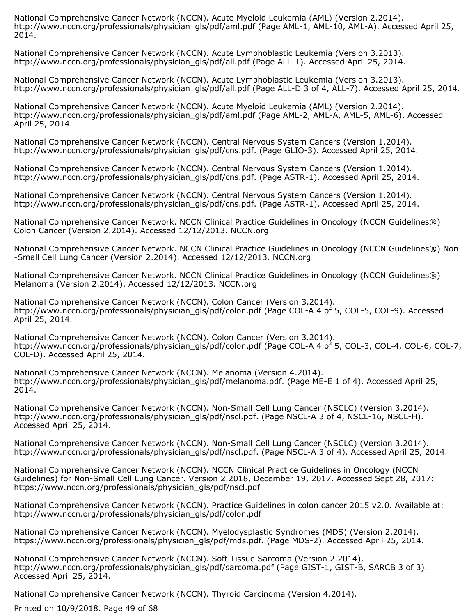National Comprehensive Cancer Network (NCCN). Acute Myeloid Leukemia (AML) (Version 2.2014). http://www.nccn.org/professionals/physician\_gls/pdf/aml.pdf (Page AML-1, AML-10, AML-A). Accessed April 25, 2014.

National Comprehensive Cancer Network (NCCN). Acute Lymphoblastic Leukemia (Version 3.2013). http://www.nccn.org/professionals/physician\_gls/pdf/all.pdf (Page ALL-1). Accessed April 25, 2014.

National Comprehensive Cancer Network (NCCN). Acute Lymphoblastic Leukemia (Version 3.2013). http://www.nccn.org/professionals/physician\_gls/pdf/all.pdf (Page ALL-D 3 of 4, ALL-7). Accessed April 25, 2014.

National Comprehensive Cancer Network (NCCN). Acute Myeloid Leukemia (AML) (Version 2.2014). http://www.nccn.org/professionals/physician\_gls/pdf/aml.pdf (Page AML-2, AML-A, AML-5, AML-6). Accessed April 25, 2014.

National Comprehensive Cancer Network (NCCN). Central Nervous System Cancers (Version 1.2014). http://www.nccn.org/professionals/physician\_gls/pdf/cns.pdf. (Page GLIO-3). Accessed April 25, 2014.

National Comprehensive Cancer Network (NCCN). Central Nervous System Cancers (Version 1.2014). http://www.nccn.org/professionals/physician\_gls/pdf/cns.pdf. (Page ASTR-1). Accessed April 25, 2014.

National Comprehensive Cancer Network (NCCN). Central Nervous System Cancers (Version 1.2014). http://www.nccn.org/professionals/physician\_gls/pdf/cns.pdf. (Page ASTR-1). Accessed April 25, 2014.

National Comprehensive Cancer Network. NCCN Clinical Practice Guidelines in Oncology (NCCN Guidelines®) Colon Cancer (Version 2.2014). Accessed 12/12/2013. NCCN.org

National Comprehensive Cancer Network. NCCN Clinical Practice Guidelines in Oncology (NCCN Guidelines®) Non -Small Cell Lung Cancer (Version 2.2014). Accessed 12/12/2013. NCCN.org

National Comprehensive Cancer Network. NCCN Clinical Practice Guidelines in Oncology (NCCN Guidelines®) Melanoma (Version 2.2014). Accessed 12/12/2013. NCCN.org

National Comprehensive Cancer Network (NCCN). Colon Cancer (Version 3.2014). http://www.nccn.org/professionals/physician\_gls/pdf/colon.pdf (Page COL-A 4 of 5, COL-5, COL-9). Accessed April 25, 2014.

National Comprehensive Cancer Network (NCCN). Colon Cancer (Version 3.2014). http://www.nccn.org/professionals/physician\_gls/pdf/colon.pdf (Page COL-A 4 of 5, COL-3, COL-4, COL-6, COL-7, COL-D). Accessed April 25, 2014.

National Comprehensive Cancer Network (NCCN). Melanoma (Version 4.2014). http://www.nccn.org/professionals/physician\_gls/pdf/melanoma.pdf. (Page ME-E 1 of 4). Accessed April 25, 2014.

National Comprehensive Cancer Network (NCCN). Non-Small Cell Lung Cancer (NSCLC) (Version 3.2014). http://www.nccn.org/professionals/physician\_gls/pdf/nscl.pdf. (Page NSCL-A 3 of 4, NSCL-16, NSCL-H). Accessed April 25, 2014.

National Comprehensive Cancer Network (NCCN). Non-Small Cell Lung Cancer (NSCLC) (Version 3.2014). http://www.nccn.org/professionals/physician\_gls/pdf/nscl.pdf. (Page NSCL-A 3 of 4). Accessed April 25, 2014.

National Comprehensive Cancer Network (NCCN). NCCN Clinical Practice Guidelines in Oncology (NCCN Guidelines) for Non-Small Cell Lung Cancer. Version 2.2018, December 19, 2017. Accessed Sept 28, 2017: https://www.nccn.org/professionals/physician\_gls/pdf/nscl.pdf

National Comprehensive Cancer Network (NCCN). Practice Guidelines in colon cancer 2015 v2.0. Available at: http://www.nccn.org/professionals/physician\_gls/pdf/colon.pdf

National Comprehensive Cancer Network (NCCN). Myelodysplastic Syndromes (MDS) (Version 2.2014). https://www.nccn.org/professionals/physician\_gls/pdf/mds.pdf. (Page MDS-2). Accessed April 25, 2014.

National Comprehensive Cancer Network (NCCN). Soft Tissue Sarcoma (Version 2.2014). http://www.nccn.org/professionals/physician\_gls/pdf/sarcoma.pdf (Page GIST-1, GIST-B, SARCB 3 of 3). Accessed April 25, 2014.

National Comprehensive Cancer Network (NCCN). Thyroid Carcinoma (Version 4.2014).

Printed on 10/9/2018. Page 49 of 68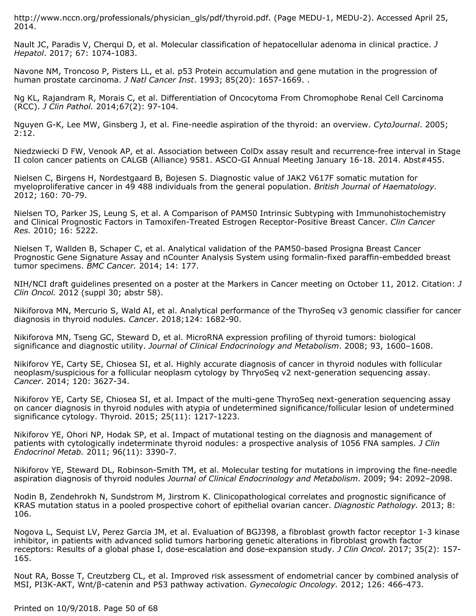http://www.nccn.org/professionals/physician\_gls/pdf/thyroid.pdf. (Page MEDU-1, MEDU-2). Accessed April 25, 2014.

Nault JC, Paradis V, Cherqui D, et al. Molecular classification of hepatocellular adenoma in clinical practice. *J Hepatol*. 2017; 67: 1074-1083.

Navone NM, Troncoso P, Pisters LL, et al. p53 Protein accumulation and gene mutation in the progression of human prostate carcinoma. *J Natl Cancer Inst*. 1993; 85(20): 1657-1669. .

Ng KL, Rajandram R, Morais C, et al. Differentiation of Oncocytoma From Chromophobe Renal Cell Carcinoma (RCC). *J Clin Pathol.* 2014;67(2): 97-104.

Nguyen G-K, Lee MW, Ginsberg J, et al. Fine-needle aspiration of the thyroid: an overview. *CytoJournal*. 2005; 2:12.

Niedzwiecki D FW, Venook AP, et al. Association between ColDx assay result and recurrence-free interval in Stage II colon cancer patients on CALGB (Alliance) 9581. ASCO-GI Annual Meeting January 16-18. 2014. Abst#455.

Nielsen C, Birgens H, Nordestgaard B, Bojesen S. Diagnostic value of JAK2 V617F somatic mutation for myeloproliferative cancer in 49 488 individuals from the general population. *British Journal of Haematology.* 2012; 160: 70-79.

Nielsen TO, Parker JS, Leung S, et al. A Comparison of PAM50 Intrinsic Subtyping with Immunohistochemistry and Clinical Prognostic Factors in Tamoxifen-Treated Estrogen Receptor-Positive Breast Cancer. *Clin Cancer Res.* 2010; 16: 5222.

Nielsen T, Wallden B, Schaper C, et al. Analytical validation of the PAM50-based Prosigna Breast Cancer Prognostic Gene Signature Assay and nCounter Analysis System using formalin-fixed paraffin-embedded breast tumor specimens. *BMC Cancer.* 2014; 14: 177.

NIH/NCI draft guidelines presented on a poster at the Markers in Cancer meeting on October 11, 2012. Citation: *J Clin Oncol.* 2012 (suppl 30; abstr 58).

Nikiforova MN, Mercurio S, Wald AI, et al. Analytical performance of the ThyroSeq v3 genomic classifier for cancer diagnosis in thyroid nodules. *Cancer*. 2018;124: 1682-90.

Nikiforova MN, Tseng GC, Steward D, et al. MicroRNA expression profiling of thyroid tumors: biological significance and diagnostic utility. *Journal of Clinical Endocrinology and Metabolism*. 2008; 93, 1600–1608.

Nikiforov YE, Carty SE, Chiosea SI, et al. Highly accurate diagnosis of cancer in thyroid nodules with follicular neoplasm/suspicious for a follicular neoplasm cytology by ThryoSeq v2 next-generation sequencing assay. *Cancer*. 2014; 120: 3627-34.

Nikiforov YE, Carty SE, Chiosea SI, et al. Impact of the multi-gene ThyroSeq next-generation sequencing assay on cancer diagnosis in thyroid nodules with atypia of undetermined significance/follicular lesion of undetermined significance cytology. Thyroid. 2015; 25(11): 1217-1223.

Nikiforov YE, Ohori NP, Hodak SP, et al. Impact of mutational testing on the diagnosis and management of patients with cytologically indeterminate thyroid nodules: a prospective analysis of 1056 FNA samples. *J Clin Endocrinol Metab.* 2011; 96(11): 3390-7.

Nikiforov YE, Steward DL, Robinson-Smith TM, et al. Molecular testing for mutations in improving the fine-needle aspiration diagnosis of thyroid nodules *Journal of Clinical Endocrinology and Metabolism*. 2009; 94: 2092–2098.

Nodin B, Zendehrokh N, Sundstrom M, Jirstrom K. Clinicopathological correlates and prognostic significance of KRAS mutation status in a pooled prospective cohort of epithelial ovarian cancer. *Diagnostic Pathology.* 2013; 8: 106.

Nogova L, Sequist LV, Perez Garcia JM, et al. Evaluation of BGJ398, a fibroblast growth factor receptor 1-3 kinase inhibitor, in patients with advanced solid tumors harboring genetic alterations in fibroblast growth factor receptors: Results of a global phase I, dose-escalation and dose-expansion study. *J Clin Oncol*. 2017; 35(2): 157- 165.

Nout RA, Bosse T, Creutzberg CL, et al. Improved risk assessment of endometrial cancer by combined analysis of MSI, PI3K-AKT, Wnt/β-catenin and P53 pathway activation. *Gynecologic Oncology.* 2012; 126: 466-473.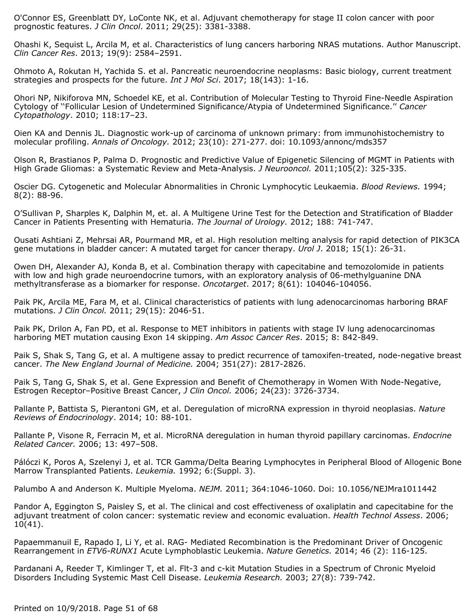O'Connor ES, Greenblatt DY, LoConte NK, et al. Adjuvant chemotherapy for stage II colon cancer with poor prognostic features. *J Clin Oncol*. 2011; 29(25): 3381-3388.

Ohashi K, Sequist L, Arcila M, et al. Characteristics of lung cancers harboring NRAS mutations. Author Manuscript. *Clin Cancer Res*. 2013; 19(9): 2584–2591.

Ohmoto A, Rokutan H, Yachida S. et al. Pancreatic neuroendocrine neoplasms: Basic biology, current treatment strategies and prospects for the future. *Int J Mol Sci*. 2017; 18(143): 1-16.

Ohori NP, Nikiforova MN, Schoedel KE, et al. Contribution of Molecular Testing to Thyroid Fine-Needle Aspiration Cytology of ''Follicular Lesion of Undetermined Significance/Atypia of Undetermined Significance.'' *Cancer Cytopathology*. 2010; 118:17–23.

Oien KA and Dennis JL. Diagnostic work-up of carcinoma of unknown primary: from immunohistochemistry to molecular profiling. *Annals of Oncology.* 2012; 23(10): 271-277. doi: 10.1093/annonc/mds357

Olson R, Brastianos P, Palma D. Prognostic and Predictive Value of Epigenetic Silencing of MGMT in Patients with High Grade Gliomas: a Systematic Review and Meta-Analysis. *J Neurooncol.* 2011;105(2): 325-335.

Oscier DG. Cytogenetic and Molecular Abnormalities in Chronic Lymphocytic Leukaemia. *Blood Reviews.* 1994; 8(2): 88-96.

O'Sullivan P, Sharples K, Dalphin M, et. al. A Multigene Urine Test for the Detection and Stratification of Bladder Cancer in Patients Presenting with Hematuria. *The Journal of Urology.* 2012; 188: 741-747.

Ousati Ashtiani Z, Mehrsai AR, Pourmand MR, et al. High resolution melting analysis for rapid detection of PIK3CA gene mutations in bladder cancer: A mutated target for cancer therapy. *Urol J*. 2018; 15(1): 26-31.

Owen DH, Alexander AJ, Konda B, et al. Combination therapy with capecitabine and temozolomide in patients with low and high grade neuroendocrine tumors, with an exploratory analysis of 06-methylguanine DNA methyltransferase as a biomarker for response. *Oncotarget*. 2017; 8(61): 104046-104056.

Paik PK, Arcila ME, Fara M, et al. Clinical characteristics of patients with lung adenocarcinomas harboring BRAF mutations. *J Clin Oncol.* 2011; 29(15): 2046-51.

Paik PK, Drilon A, Fan PD, et al. Response to MET inhibitors in patients with stage IV lung adenocarcinomas harboring MET mutation causing Exon 14 skipping. *Am Assoc Cancer Res*. 2015; 8: 842-849.

Paik S, Shak S, Tang G, et al. A multigene assay to predict recurrence of tamoxifen-treated, node-negative breast cancer. *The New England Journal of Medicine.* 2004; 351(27): 2817-2826.

Paik S, Tang G, Shak S, et al. Gene Expression and Benefit of Chemotherapy in Women With Node-Negative, Estrogen Receptor–Positive Breast Cancer, *J Clin Oncol.* 2006; 24(23): 3726-3734.

Pallante P, Battista S, Pierantoni GM, et al. Deregulation of microRNA expression in thyroid neoplasias. *Nature Reviews of Endocrinology*. 2014; 10: 88-101.

Pallante P, Visone R, Ferracin M, et al. MicroRNA deregulation in human thyroid papillary carcinomas. *Endocrine Related Cancer.* 2006; 13: 497–508.

Pálóczi K, Poros A, Szelenyi J, et al. TCR Gamma/Delta Bearing Lymphocytes in Peripheral Blood of Allogenic Bone Marrow Transplanted Patients. *Leukemia.* 1992; 6:(Suppl. 3).

Palumbo A and Anderson K. Multiple Myeloma. *NEJM.* 2011; 364:1046-1060. Doi: 10.1056/NEJMra1011442

Pandor A, Eggington S, Paisley S, et al. The clinical and cost effectiveness of oxaliplatin and capecitabine for the adjuvant treatment of colon cancer: systematic review and economic evaluation. *Health Technol Assess*. 2006;  $10(41)$ .

Papaemmanuil E, Rapado I, Li Y, et al. RAG- Mediated Recombination is the Predominant Driver of Oncogenic Rearrangement in *ETV6-RUNX1* Acute Lymphoblastic Leukemia. *Nature Genetics.* 2014; 46 (2): 116-125.

Pardanani A, Reeder T, Kimlinger T, et al. Flt-3 and c-kit Mutation Studies in a Spectrum of Chronic Myeloid Disorders Including Systemic Mast Cell Disease. *Leukemia Research.* 2003; 27(8): 739-742.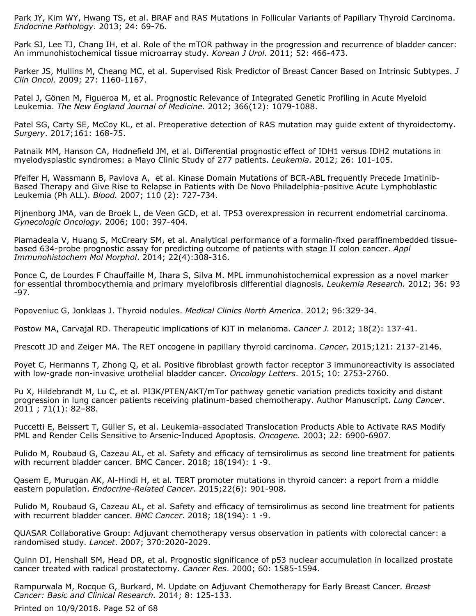Park JY, Kim WY, Hwang TS, et al. BRAF and RAS Mutations in Follicular Variants of Papillary Thyroid Carcinoma. *Endocrine Pathology*. 2013; 24: 69-76.

Park SJ, Lee TJ, Chang IH, et al. Role of the mTOR pathway in the progression and recurrence of bladder cancer: An immunohistochemical tissue microarray study. *Korean J Urol*. 2011; 52: 466-473.

Parker JS, Mullins M, Cheang MC, et al. Supervised Risk Predictor of Breast Cancer Based on Intrinsic Subtypes. *J Clin Oncol.* 2009; 27: 1160-1167.

Patel J, Gönen M, Figueroa M, et al. Prognostic Relevance of Integrated Genetic Profiling in Acute Myeloid Leukemia. *The New England Journal of Medicine.* 2012; 366(12): 1079-1088.

Patel SG, Carty SE, McCoy KL, et al. Preoperative detection of RAS mutation may guide extent of thyroidectomy. *Surgery*. 2017;161: 168-75.

Patnaik MM, Hanson CA, Hodnefield JM, et al. Differential prognostic effect of IDH1 versus IDH2 mutations in myelodysplastic syndromes: a Mayo Clinic Study of 277 patients. *Leukemia.* 2012; 26: 101-105.

Pfeifer H, Wassmann B, Pavlova A, et al. Kinase Domain Mutations of BCR-ABL frequently Precede Imatinib-Based Therapy and Give Rise to Relapse in Patients with De Novo Philadelphia-positive Acute Lymphoblastic Leukemia (Ph ALL). *Blood.* 2007; 110 (2): 727-734.

Pijnenborg JMA, van de Broek L, de Veen GCD, et al. TP53 overexpression in recurrent endometrial carcinoma. *Gynecologic Oncology.* 2006; 100: 397-404.

Plamadeala V, Huang S, McCreary SM, et al. Analytical performance of a formalin-fixed paraffinembedded tissuebased 634-probe prognostic assay for predicting outcome of patients with stage II colon cancer. *Appl Immunohistochem Mol Morphol*. 2014; 22(4):308-316.

Ponce C, de Lourdes F Chauffaille M, Ihara S, Silva M. MPL immunohistochemical expression as a novel marker for essential thrombocythemia and primary myelofibrosis differential diagnosis. *Leukemia Research.* 2012; 36: 93 -97.

Popoveniuc G, Jonklaas J. Thyroid nodules. *Medical Clinics North America*. 2012; 96:329-34.

Postow MA, Carvajal RD. Therapeutic implications of KIT in melanoma. *Cancer J.* 2012; 18(2): 137-41.

Prescott JD and Zeiger MA. The RET oncogene in papillary thyroid carcinoma. *Cancer*. 2015;121: 2137-2146.

Poyet C, Hermanns T, Zhong Q, et al. Positive fibroblast growth factor receptor 3 immunoreactivity is associated with low-grade non-invasive urothelial bladder cancer. *Oncology Letters*. 2015; 10: 2753-2760.

Pu X, Hildebrandt M, Lu C, et al. PI3K/PTEN/AKT/mTor pathway genetic variation predicts toxicity and distant progression in lung cancer patients receiving platinum-based chemotherapy. Author Manuscript. *Lung Cancer*. 2011 ; 71(1): 82–88.

Puccetti E, Beissert T, Güller S, et al. Leukemia-associated Translocation Products Able to Activate RAS Modify PML and Render Cells Sensitive to Arsenic-Induced Apoptosis. *Oncogene.* 2003; 22: 6900-6907.

Pulido M, Roubaud G, Cazeau AL, et al. Safety and efficacy of temsirolimus as second line treatment for patients with recurrent bladder cancer. BMC Cancer. 2018; 18(194): 1 -9.

Qasem E, Murugan AK, Al-Hindi H, et al. TERT promoter mutations in thyroid cancer: a report from a middle eastern population. *Endocrine-Related Cancer*. 2015;22(6): 901-908.

Pulido M, Roubaud G, Cazeau AL, et al. Safety and efficacy of temsirolimus as second line treatment for patients with recurrent bladder cancer. *BMC Cancer*. 2018; 18(194): 1 -9.

QUASAR Collaborative Group: Adjuvant chemotherapy versus observation in patients with colorectal cancer: a randomised study. *Lancet*. 2007; 370:2020-2029.

Quinn DI, Henshall SM, Head DR, et al. Prognostic significance of p53 nuclear accumulation in localized prostate cancer treated with radical prostatectomy. *Cancer Res*. 2000; 60: 1585-1594.

Rampurwala M, Rocque G, Burkard, M. Update on Adjuvant Chemotherapy for Early Breast Cancer. *Breast Cancer: Basic and Clinical Research.* 2014; 8: 125-133.

Printed on 10/9/2018. Page 52 of 68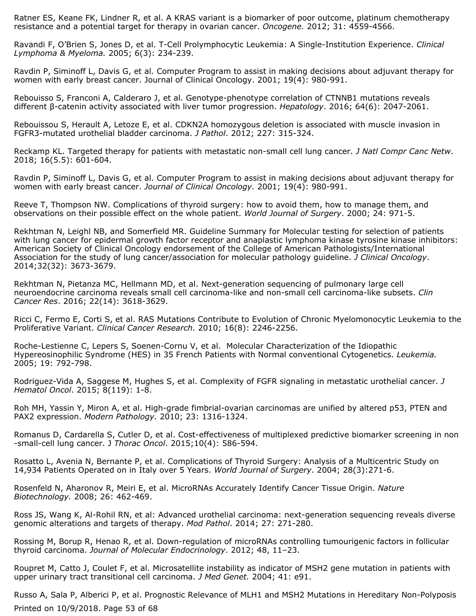Ratner ES, Keane FK, Lindner R, et al. A KRAS variant is a biomarker of poor outcome, platinum chemotherapy resistance and a potential target for therapy in ovarian cancer. *Oncogene.* 2012; 31: 4559-4566.

Ravandi F, O'Brien S, Jones D, et al. T-Cell Prolymphocytic Leukemia: A Single-Institution Experience. *Clinical Lymphoma & Myeloma.* 2005; 6(3): 234-239.

Ravdin P, Siminoff L, Davis G, et al. Computer Program to assist in making decisions about adjuvant therapy for women with early breast cancer. Journal of Clinical Oncology. 2001; 19(4): 980-991.

Rebouisso S, Franconi A, Calderaro J, et al. Genotype-phenotype correlation of CTNNB1 mutations reveals different β-catenin activity associated with liver tumor progression. *Hepatology*. 2016; 64(6): 2047-2061.

Rebouissou S, Herault A, Letoze E, et al. CDKN2A homozygous deletion is associated with muscle invasion in FGFR3-mutated urothelial bladder carcinoma. *J Pathol*. 2012; 227: 315-324.

Reckamp KL. Targeted therapy for patients with metastatic non-small cell lung cancer. *J Natl Compr Canc Netw*. 2018; 16(5.5): 601-604.

Ravdin P, Siminoff L, Davis G, et al. Computer Program to assist in making decisions about adjuvant therapy for women with early breast cancer. *Journal of Clinical Oncology.* 2001; 19(4): 980-991.

Reeve T, Thompson NW. Complications of thyroid surgery: how to avoid them, how to manage them, and observations on their possible effect on the whole patient. *World Journal of Surgery*. 2000; 24: 971-5.

Rekhtman N, Leighl NB, and Somerfield MR. Guideline Summary for Molecular testing for selection of patients with lung cancer for epidermal growth factor receptor and anaplastic lymphoma kinase tyrosine kinase inhibitors: American Society of Clinical Oncology endorsement of the College of American Pathologists/International Association for the study of lung cancer/association for molecular pathology guideline. *J Clinical Oncology*. 2014;32(32): 3673-3679.

Rekhtman N, Pietanza MC, Hellmann MD, et al. Next-generation sequencing of pulmonary large cell neuroendocrine carcinoma reveals small cell carcinoma-like and non-small cell carcinoma-like subsets. *Clin Cancer Res*. 2016; 22(14): 3618-3629.

Ricci C, Fermo E, Corti S, et al. RAS Mutations Contribute to Evolution of Chronic Myelomonocytic Leukemia to the Proliferative Variant. *Clinical Cancer Research.* 2010; 16(8): 2246-2256.

Roche-Lestienne C, Lepers S, Soenen-Cornu V, et al. Molecular Characterization of the Idiopathic Hypereosinophilic Syndrome (HES) in 35 French Patients with Normal conventional Cytogenetics. *Leukemia.* 2005; 19: 792-798.

Rodriguez-Vida A, Saggese M, Hughes S, et al. Complexity of FGFR signaling in metastatic urothelial cancer. *J Hematol Oncol*. 2015; 8(119): 1-8.

Roh MH, Yassin Y, Miron A, et al. High-grade fimbrial-ovarian carcinomas are unified by altered p53, PTEN and PAX2 expression. *Modern Pathology.* 2010; 23: 1316-1324.

Romanus D, Cardarella S, Cutler D, et al. Cost-effectiveness of multiplexed predictive biomarker screening in non -small-cell lung cancer. J *Thorac Oncol*. 2015;10(4): 586-594.

Rosatto L, Avenia N, Bernante P, et al. Complications of Thyroid Surgery: Analysis of a Multicentric Study on 14,934 Patients Operated on in Italy over 5 Years. *World Journal of Surgery*. 2004; 28(3):271-6.

Rosenfeld N, Aharonov R, Meiri E, et al. MicroRNAs Accurately Identify Cancer Tissue Origin. *Nature Biotechnology.* 2008; 26: 462-469.

Ross JS, Wang K, Al-Rohil RN, et al: Advanced urothelial carcinoma: next-generation sequencing reveals diverse genomic alterations and targets of therapy. *Mod Pathol*. 2014; 27: 271-280.

Rossing M, Borup R, Henao R, et al. Down-regulation of microRNAs controlling tumourigenic factors in follicular thyroid carcinoma. *Journal of Molecular Endocrinology*. 2012; 48, 11–23.

Roupret M, Catto J, Coulet F, et al. Microsatellite instability as indicator of MSH2 gene mutation in patients with upper urinary tract transitional cell carcinoma. *J Med Genet.* 2004; 41: e91.

Russo A, Sala P, Alberici P, et al. Prognostic Relevance of MLH1 and MSH2 Mutations in Hereditary Non-Polyposis Printed on 10/9/2018. Page 53 of 68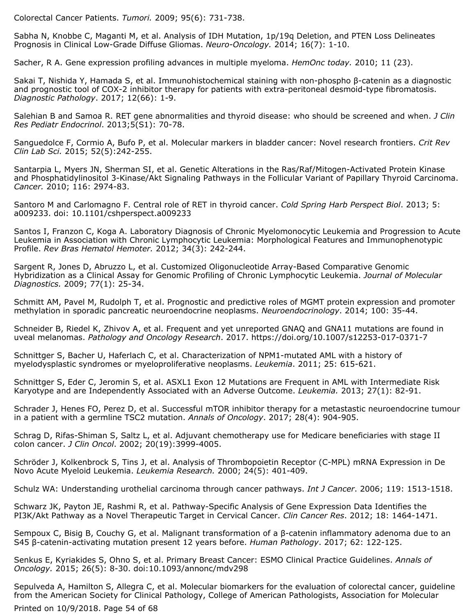Colorectal Cancer Patients. *Tumori.* 2009; 95(6): 731-738.

Sabha N, Knobbe C, Maganti M, et al. Analysis of IDH Mutation, 1p/19q Deletion, and PTEN Loss Delineates Prognosis in Clinical Low-Grade Diffuse Gliomas. *Neuro-Oncology.* 2014; 16(7): 1-10.

Sacher, R A. Gene expression profiling advances in multiple myeloma. *HemOnc today.* 2010; 11 (23).

Sakai T, Nishida Y, Hamada S, et al. Immunohistochemical staining with non-phospho β-catenin as a diagnostic and prognostic tool of COX-2 inhibitor therapy for patients with extra-peritoneal desmoid-type fibromatosis. *Diagnostic Pathology*. 2017; 12(66): 1-9.

Salehian B and Samoa R. RET gene abnormalities and thyroid disease: who should be screened and when. *J Clin Res Pediatr Endocrinol*. 2013;5(S1): 70-78.

Sanguedolce F, Cormio A, Bufo P, et al. Molecular markers in bladder cancer: Novel research frontiers. *Crit Rev Clin Lab Sci.* 2015; 52(5):242-255.

Santarpia L, Myers JN, Sherman SI, et al. Genetic Alterations in the Ras/Raf/Mitogen-Activated Protein Kinase and Phosphatidylinositol 3-Kinase/Akt Signaling Pathways in the Follicular Variant of Papillary Thyroid Carcinoma. *Cancer.* 2010; 116: 2974-83.

Santoro M and Carlomagno F. Central role of RET in thyroid cancer. *Cold Spring Harb Perspect Biol*. 2013; 5: a009233. doi: 10.1101/cshperspect.a009233

Santos I, Franzon C, Koga A. Laboratory Diagnosis of Chronic Myelomonocytic Leukemia and Progression to Acute Leukemia in Association with Chronic Lymphocytic Leukemia: Morphological Features and Immunophenotypic Profile. *Rev Bras Hematol Hemoter.* 2012; 34(3): 242-244.

Sargent R, Jones D, Abruzzo L, et al. Customized Oligonucleotide Array-Based Comparative Genomic Hybridization as a Clinical Assay for Genomic Profiling of Chronic Lymphocytic Leukemia. *Journal of Molecular Diagnostics.* 2009; 77(1): 25-34.

Schmitt AM, Pavel M, Rudolph T, et al. Prognostic and predictive roles of MGMT protein expression and promoter methylation in sporadic pancreatic neuroendocrine neoplasms. *Neuroendocrinology*. 2014; 100: 35-44.

Schneider B, Riedel K, Zhivov A, et al. Frequent and yet unreported GNAQ and GNA11 mutations are found in uveal melanomas. *Pathology and Oncology Research*. 2017. https://doi.org/10.1007/s12253-017-0371-7

Schnittger S, Bacher U, Haferlach C, et al. Characterization of NPM1-mutated AML with a history of myelodysplastic syndromes or myeloproliferative neoplasms. *Leukemia*. 2011; 25: 615-621.

Schnittger S, Eder C, Jeromin S, et al. ASXL1 Exon 12 Mutations are Frequent in AML with Intermediate Risk Karyotype and are Independently Associated with an Adverse Outcome. *Leukemia.* 2013; 27(1): 82-91.

Schrader J, Henes FO, Perez D, et al. Successful mTOR inhibitor therapy for a metastastic neuroendocrine tumour in a patient with a germline TSC2 mutation. *Annals of Oncology*. 2017; 28(4): 904-905.

Schrag D, Rifas-Shiman S, Saltz L, et al. Adjuvant chemotherapy use for Medicare beneficiaries with stage II colon cancer. *J Clin Oncol*. 2002; 20(19):3999-4005.

Schröder J, Kolkenbrock S, Tins J, et al. Analysis of Thrombopoietin Receptor (C-MPL) mRNA Expression in De Novo Acute Myeloid Leukemia. *Leukemia Research.* 2000; 24(5): 401-409.

Schulz WA: Understanding urothelial carcinoma through cancer pathways. *Int J Cancer*. 2006; 119: 1513-1518.

Schwarz JK, Payton JE, Rashmi R, et al. Pathway-Specific Analysis of Gene Expression Data Identifies the PI3K/Akt Pathway as a Novel Therapeutic Target in Cervical Cancer. *Clin Cancer Res*. 2012; 18: 1464-1471.

Sempoux C, Bisig B, Couchy G, et al. Malignant transformation of a β-catenin inflammatory adenoma due to an S45 β-catenin-activating mutation present 12 years before. *Human Pathology*. 2017; 62: 122-125.

Senkus E, Kyriakides S, Ohno S, et al. Primary Breast Cancer: ESMO Clinical Practice Guidelines. *Annals of Oncology.* 2015; 26(5): 8-30. doi:10.1093/annonc/mdv298

Sepulveda A, Hamilton S, Allegra C, et al. Molecular biomarkers for the evaluation of colorectal cancer, guideline from the American Society for Clinical Pathology, College of American Pathologists, Association for Molecular

Printed on 10/9/2018. Page 54 of 68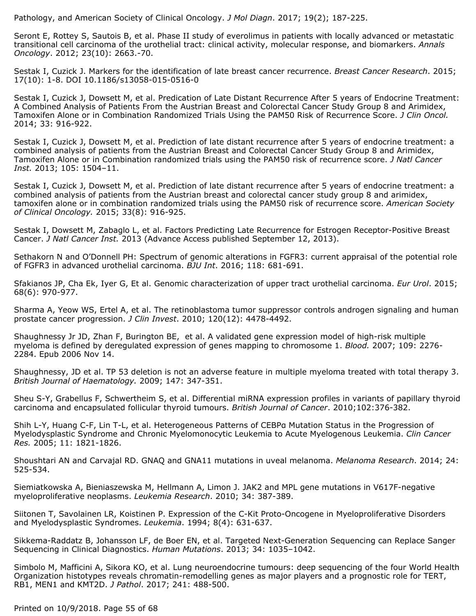Pathology, and American Society of Clinical Oncology. *J Mol Diagn*. 2017; 19(2); 187-225.

Seront E, Rottey S, Sautois B, et al. Phase II study of everolimus in patients with locally advanced or metastatic transitional cell carcinoma of the urothelial tract: clinical activity, molecular response, and biomarkers. *Annals Oncology*. 2012; 23(10): 2663.-70.

Sestak I, Cuzick J. Markers for the identification of late breast cancer recurrence. *Breast Cancer Research*. 2015; 17(10): 1-8. DOI 10.1186/s13058-015-0516-0

Sestak I, Cuzick J, Dowsett M, et al. Predication of Late Distant Recurrence After 5 years of Endocrine Treatment: A Combined Analysis of Patients From the Austrian Breast and Colorectal Cancer Study Group 8 and Arimidex, Tamoxifen Alone or in Combination Randomized Trials Using the PAM50 Risk of Recurrence Score. *J Clin Oncol.* 2014; 33: 916-922.

Sestak I, Cuzick J, Dowsett M, et al. Prediction of late distant recurrence after 5 years of endocrine treatment: a combined analysis of patients from the Austrian Breast and Colorectal Cancer Study Group 8 and Arimidex, Tamoxifen Alone or in Combination randomized trials using the PAM50 risk of recurrence score. *J Natl Cancer Inst.* 2013; 105: 1504–11.

Sestak I, Cuzick J, Dowsett M, et al. Prediction of late distant recurrence after 5 years of endocrine treatment: a combined analysis of patients from the Austrian breast and colorectal cancer study group 8 and arimidex, tamoxifen alone or in combination randomized trials using the PAM50 risk of recurrence score. *American Society of Clinical Oncology.* 2015; 33(8): 916-925.

Sestak I, Dowsett M, Zabaglo L, et al. Factors Predicting Late Recurrence for Estrogen Receptor-Positive Breast Cancer. *J Natl Cancer Inst.* 2013 (Advance Access published September 12, 2013).

Sethakorn N and O'Donnell PH: Spectrum of genomic alterations in FGFR3: current appraisal of the potential role of FGFR3 in advanced urothelial carcinoma. *BJU Int*. 2016; 118: 681-691.

Sfakianos JP, Cha Ek, Iyer G, Et al. Genomic characterization of upper tract urothelial carcinoma. *Eur Urol*. 2015; 68(6): 970-977.

Sharma A, Yeow WS, Ertel A, et al. The retinoblastoma tumor suppressor controls androgen signaling and human prostate cancer progression. *J Clin Invest*. 2010; 120(12): 4478-4492.

Shaughnessy Jr JD, Zhan F, Burington BE, et al. A validated gene expression model of high-risk multiple myeloma is defined by deregulated expression of genes mapping to chromosome 1. *Blood.* 2007; 109: 2276- 2284. Epub 2006 Nov 14.

Shaughnessy, JD et al. TP 53 deletion is not an adverse feature in multiple myeloma treated with total therapy 3. *British Journal of Haematology.* 2009; 147: 347-351.

Sheu S-Y, Grabellus F, Schwertheim S, et al. Differential miRNA expression profiles in variants of papillary thyroid carcinoma and encapsulated follicular thyroid tumours. *British Journal of Cancer*. 2010;102:376-382.

Shih L-Y, Huang C-F, Lin T-L, et al. Heterogeneous Patterns of CEBPα Mutation Status in the Progression of Myelodysplastic Syndrome and Chronic Myelomonocytic Leukemia to Acute Myelogenous Leukemia. *Clin Cancer Res.* 2005; 11: 1821-1826.

Shoushtari AN and Carvajal RD. GNAQ and GNA11 mutations in uveal melanoma. *Melanoma Research*. 2014; 24: 525-534.

Siemiatkowska A, Bieniaszewska M, Hellmann A, Limon J. JAK2 and MPL gene mutations in V617F-negative myeloproliferative neoplasms. *Leukemia Research*. 2010; 34: 387-389.

Siitonen T, Savolainen LR, Koistinen P. Expression of the C-Kit Proto-Oncogene in Myeloproliferative Disorders and Myelodysplastic Syndromes. *Leukemia*. 1994; 8(4): 631-637.

Sikkema-Raddatz B, Johansson LF, de Boer EN, et al. Targeted Next-Generation Sequencing can Replace Sanger Sequencing in Clinical Diagnostics. *Human Mutations*. 2013; 34: 1035–1042.

Simbolo M, Mafficini A, Sikora KO, et al. Lung neuroendocrine tumours: deep sequencing of the four World Health Organization histotypes reveals chromatin-remodelling genes as major players and a prognostic role for TERT, RB1, MEN1 and KMT2D. *J Pathol*. 2017; 241: 488-500.

Printed on 10/9/2018. Page 55 of 68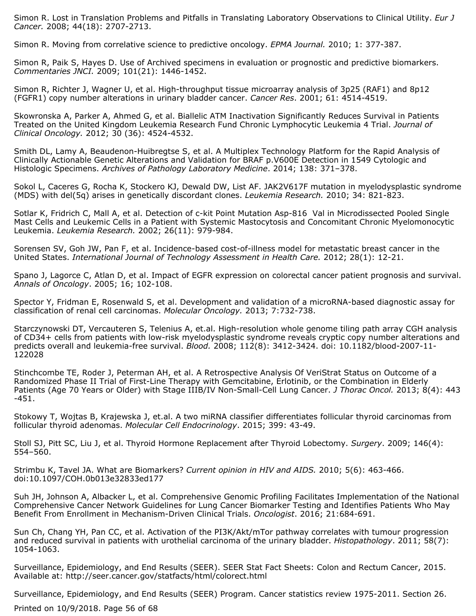Simon R. Lost in Translation Problems and Pitfalls in Translating Laboratory Observations to Clinical Utility. *Eur J Cancer.* 2008; 44(18): 2707-2713.

Simon R. Moving from correlative science to predictive oncology. *EPMA Journal.* 2010; 1: 377-387.

Simon R, Paik S, Hayes D. Use of Archived specimens in evaluation or prognostic and predictive biomarkers. *Commentaries JNCI.* 2009; 101(21): 1446-1452.

Simon R, Richter J, Wagner U, et al. High-throughput tissue microarray analysis of 3p25 (RAF1) and 8p12 (FGFR1) copy number alterations in urinary bladder cancer. *Cancer Res*. 2001; 61: 4514-4519.

Skowronska A, Parker A, Ahmed G, et al. Biallelic ATM Inactivation Significantly Reduces Survival in Patients Treated on the United Kingdom Leukemia Research Fund Chronic Lymphocytic Leukemia 4 Trial. *Journal of Clinical Oncology.* 2012; 30 (36): 4524-4532.

Smith DL, Lamy A, Beaudenon-Huibregtse S, et al. A Multiplex Technology Platform for the Rapid Analysis of Clinically Actionable Genetic Alterations and Validation for BRAF p.V600E Detection in 1549 Cytologic and Histologic Specimens. *Archives of Pathology Laboratory Medicine*. 2014; 138: 371–378.

Sokol L, Caceres G, Rocha K, Stockero KJ, Dewald DW, List AF. JAK2V617F mutation in myelodysplastic syndrome (MDS) with del(5q) arises in genetically discordant clones. *Leukemia Research.* 2010; 34: 821-823.

Sotlar K, Fridrich C, Mall A, et al. Detection of c-kit Point Mutation Asp-816 Val in Microdissected Pooled Single Mast Cells and Leukemic Cells in a Patient with Systemic Mastocytosis and Concomitant Chronic Myelomonocytic Leukemia. *Leukemia Research.* 2002; 26(11): 979-984.

Sorensen SV, Goh JW, Pan F, et al. Incidence-based cost-of-illness model for metastatic breast cancer in the United States. *International Journal of Technology Assessment in Health Care.* 2012; 28(1): 12-21.

Spano J, Lagorce C, Atlan D, et al. Impact of EGFR expression on colorectal cancer patient prognosis and survival. *Annals of Oncology*. 2005; 16; 102-108.

Spector Y, Fridman E, Rosenwald S, et al. Development and validation of a microRNA-based diagnostic assay for classification of renal cell carcinomas. *Molecular Oncology.* 2013; 7:732-738.

Starczynowski DT, Vercauteren S, Telenius A, et.al. High-resolution whole genome tiling path array CGH analysis of CD34+ cells from patients with low-risk myelodysplastic syndrome reveals cryptic copy number alterations and predicts overall and leukemia-free survival. *Blood.* 2008; 112(8): 3412-3424. doi: 10.1182/blood-2007-11- 122028

Stinchcombe TE, Roder J, Peterman AH, et al. A Retrospective Analysis Of VeriStrat Status on Outcome of a Randomized Phase II Trial of First-Line Therapy with Gemcitabine, Erlotinib, or the Combination in Elderly Patients (Age 70 Years or Older) with Stage IIIB/IV Non-Small-Cell Lung Cancer. *J Thorac Oncol.* 2013; 8(4): 443 -451.

Stokowy T, Wojtas B, Krajewska J, et.al. A two miRNA classifier differentiates follicular thyroid carcinomas from follicular thyroid adenomas. *Molecular Cell Endocrinology*. 2015; 399: 43-49.

Stoll SJ, Pitt SC, Liu J, et al. Thyroid Hormone Replacement after Thyroid Lobectomy. *Surgery*. 2009; 146(4): 554–560.

Strimbu K, Tavel JA. What are Biomarkers? *Current opinion in HIV and AIDS.* 2010; 5(6): 463-466. doi:10.1097/COH.0b013e32833ed177

Suh JH, Johnson A, Albacker L, et al. Comprehensive Genomic Profiling Facilitates Implementation of the National Comprehensive Cancer Network Guidelines for Lung Cancer Biomarker Testing and Identifies Patients Who May Benefit From Enrollment in Mechanism-Driven Clinical Trials. *Oncologist*. 2016; 21:684-691.

Sun Ch, Chang YH, Pan CC, et al. Activation of the PI3K/Akt/mTor pathway correlates with tumour progression and reduced survival in patients with urothelial carcinoma of the urinary bladder. *Histopathology*. 2011; 58(7): 1054-1063.

Surveillance, Epidemiology, and End Results (SEER). SEER Stat Fact Sheets: Colon and Rectum Cancer, 2015. Available at: http://seer.cancer.gov/statfacts/html/colorect.html

Surveillance, Epidemiology, and End Results (SEER) Program. Cancer statistics review 1975-2011. Section 26.

Printed on 10/9/2018. Page 56 of 68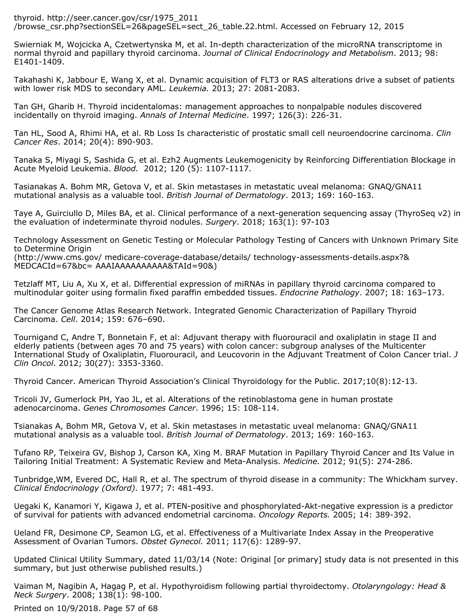thyroid. http://seer.cancer.gov/csr/1975\_2011 /browse\_csr.php?sectionSEL=26&pageSEL=sect\_26\_table.22.html. Accessed on February 12, 2015

Swierniak M, Wojcicka A, Czetwertynska M, et al. In-depth characterization of the microRNA transcriptome in normal thyroid and papillary thyroid carcinoma. *Journal of Clinical Endocrinology and Metabolism*. 2013; 98: E1401-1409.

Takahashi K, Jabbour E, Wang X, et al. Dynamic acquisition of FLT3 or RAS alterations drive a subset of patients with lower risk MDS to secondary AML. *Leukemia.* 2013; 27: 2081-2083.

Tan GH, Gharib H. Thyroid incidentalomas: management approaches to nonpalpable nodules discovered incidentally on thyroid imaging. *Annals of Internal Medicine*. 1997; 126(3): 226-31.

Tan HL, Sood A, Rhimi HA, et al. Rb Loss Is characteristic of prostatic small cell neuroendocrine carcinoma. *Clin Cancer Res*. 2014; 20(4): 890-903.

Tanaka S, Miyagi S, Sashida G, et al. Ezh2 Augments Leukemogenicity by Reinforcing Differentiation Blockage in Acute Myeloid Leukemia. *Blood.* 2012; 120 (5): 1107-1117.

Tasianakas A. Bohm MR, Getova V, et al. Skin metastases in metastatic uveal melanoma: GNAQ/GNA11 mutational analysis as a valuable tool. *British Journal of Dermatology*. 2013; 169: 160-163.

Taye A, Guirciullo D, Miles BA, et al. Clinical performance of a next-generation sequencing assay (ThyroSeq v2) in the evaluation of indeterminate thyroid nodules. *Surgery*. 2018; 163(1): 97-103

Technology Assessment on Genetic Testing or Molecular Pathology Testing of Cancers with Unknown Primary Site to Determine Origin

(http://www.cms.gov/ medicare-coverage-database/details/ technology-assessments-details.aspx?& MEDCACId=67&bc= AAAIAAAAAAAAAA&TAId=90&)

Tetzlaff MT, Liu A, Xu X, et al. Differential expression of miRNAs in papillary thyroid carcinoma compared to multinodular goiter using formalin fixed paraffin embedded tissues. *Endocrine Pathology*. 2007; 18: 163–173.

The Cancer Genome Atlas Research Network. Integrated Genomic Characterization of Papillary Thyroid Carcinoma. *Cell*. 2014; 159: 676–690.

Tournigand C, Andre T, Bonnetain F, et al: Adjuvant therapy with fluorouracil and oxaliplatin in stage II and elderly patients (between ages 70 and 75 years) with colon cancer: subgroup analyses of the Multicenter International Study of Oxaliplatin, Fluorouracil, and Leucovorin in the Adjuvant Treatment of Colon Cancer trial. *J Clin Oncol*. 2012; 30(27): 3353-3360.

Thyroid Cancer. American Thyroid Association's Clinical Thyroidology for the Public. 2017;10(8):12-13.

Tricoli JV, Gumerlock PH, Yao JL, et al. Alterations of the retinoblastoma gene in human prostate adenocarcinoma. *Genes Chromosomes Cancer*. 1996; 15: 108-114.

Tsianakas A, Bohm MR, Getova V, et al. Skin metastases in metastatic uveal melanoma: GNAQ/GNA11 mutational analysis as a valuable tool. *British Journal of Dermatology*. 2013; 169: 160-163.

Tufano RP, Teixeira GV, Bishop J, Carson KA, Xing M. BRAF Mutation in Papillary Thyroid Cancer and Its Value in Tailoring Initial Treatment: A Systematic Review and Meta-Analysis. *Medicine.* 2012; 91(5): 274-286.

Tunbridge,WM, Evered DC, Hall R, et al. The spectrum of thyroid disease in a community: The Whickham survey. *Clinical Endocrinology (Oxford)*. 1977; 7: 481-493.

Uegaki K, Kanamori Y, Kigawa J, et al. PTEN-positive and phosphorylated-Akt-negative expression is a predictor of survival for patients with advanced endometrial carcinoma. *Oncology Reports.* 2005; 14: 389-392.

Ueland FR, Desimone CP, Seamon LG, et al. Effectiveness of a Multivariate Index Assay in the Preoperative Assessment of Ovarian Tumors. *Obstet Gynecol.* 2011; 117(6): 1289-97.

Updated Clinical Utility Summary, dated 11/03/14 (Note: Original [or primary] study data is not presented in this summary, but just otherwise published results.)

Vaiman M, Nagibin A, Hagag P, et al. Hypothyroidism following partial thyroidectomy. *Otolaryngology: Head & Neck Surgery*. 2008; 138(1): 98-100.

Printed on 10/9/2018. Page 57 of 68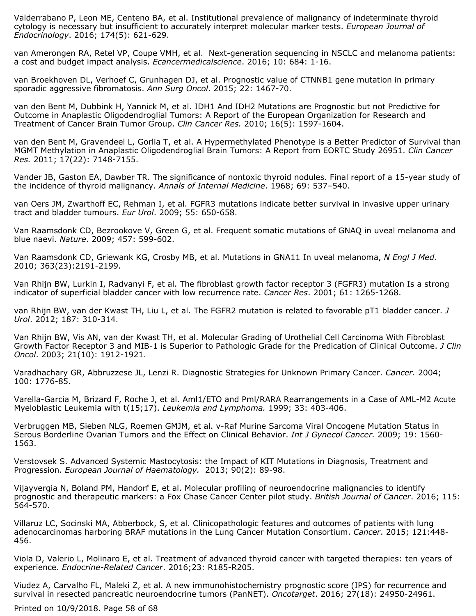Valderrabano P, Leon ME, Centeno BA, et al. Institutional prevalence of malignancy of indeterminate thyroid cytology is necessary but insufficient to accurately interpret molecular marker tests. *European Journal of Endocrinology*. 2016; 174(5): 621-629.

van Amerongen RA, Retel VP, Coupe VMH, et al. Next-generation sequencing in NSCLC and melanoma patients: a cost and budget impact analysis. *Ecancermedicalscience*. 2016; 10: 684: 1-16.

van Broekhoven DL, Verhoef C, Grunhagen DJ, et al. Prognostic value of CTNNB1 gene mutation in primary sporadic aggressive fibromatosis. *Ann Surg Oncol*. 2015; 22: 1467-70.

van den Bent M, Dubbink H, Yannick M, et al. IDH1 And IDH2 Mutations are Prognostic but not Predictive for Outcome in Anaplastic Oligodendroglial Tumors: A Report of the European Organization for Research and Treatment of Cancer Brain Tumor Group. *Clin Cancer Res.* 2010; 16(5): 1597-1604.

van den Bent M, Gravendeel L, Gorlia T, et al. A Hypermethylated Phenotype is a Better Predictor of Survival than MGMT Methylation in Anaplastic Oligodendroglial Brain Tumors: A Report from EORTC Study 26951. *Clin Cancer Res.* 2011; 17(22): 7148-7155.

Vander JB, Gaston EA, Dawber TR. The significance of nontoxic thyroid nodules. Final report of a 15-year study of the incidence of thyroid malignancy. *Annals of Internal Medicine*. 1968; 69: 537–540.

van Oers JM, Zwarthoff EC, Rehman I, et al. FGFR3 mutations indicate better survival in invasive upper urinary tract and bladder tumours. *Eur Urol*. 2009; 55: 650-658.

Van Raamsdonk CD, Bezrookove V, Green G, et al. Frequent somatic mutations of GNAQ in uveal melanoma and blue naevi. *Nature*. 2009; 457: 599-602.

Van Raamsdonk CD, Griewank KG, Crosby MB, et al. Mutations in GNA11 In uveal melanoma, *N Engl J Med*. 2010; 363(23):2191-2199.

Van Rhijn BW, Lurkin I, Radvanyi F, et al. The fibroblast growth factor receptor 3 (FGFR3) mutation Is a strong indicator of superficial bladder cancer with low recurrence rate. *Cancer Res*. 2001; 61: 1265-1268.

van Rhijn BW, van der Kwast TH, Liu L, et al. The FGFR2 mutation is related to favorable pT1 bladder cancer. *J Urol*. 2012; 187: 310-314.

Van Rhijn BW, Vis AN, van der Kwast TH, et al. Molecular Grading of Urothelial Cell Carcinoma With Fibroblast Growth Factor Receptor 3 and MIB-1 is Superior to Pathologic Grade for the Predication of Clinical Outcome. *J Clin Oncol*. 2003; 21(10): 1912-1921.

Varadhachary GR, Abbruzzese JL, Lenzi R. Diagnostic Strategies for Unknown Primary Cancer. *Cancer.* 2004; 100: 1776-85.

Varella-Garcia M, Brizard F, Roche J, et al. Aml1/ETO and Pml/RARA Rearrangements in a Case of AML-M2 Acute Myeloblastic Leukemia with t(15;17). *Leukemia and Lymphoma.* 1999; 33: 403-406.

Verbruggen MB, Sieben NLG, Roemen GMJM, et al. v-Raf Murine Sarcoma Viral Oncogene Mutation Status in Serous Borderline Ovarian Tumors and the Effect on Clinical Behavior. *Int J Gynecol Cancer.* 2009; 19: 1560- 1563.

Verstovsek S. Advanced Systemic Mastocytosis: the Impact of KIT Mutations in Diagnosis, Treatment and Progression. *European Journal of Haematology.* 2013; 90(2): 89-98.

Vijayvergia N, Boland PM, Handorf E, et al. Molecular profiling of neuroendocrine malignancies to identify prognostic and therapeutic markers: a Fox Chase Cancer Center pilot study. *British Journal of Cancer*. 2016; 115: 564-570.

Villaruz LC, Socinski MA, Abberbock, S, et al. Clinicopathologic features and outcomes of patients with lung adenocarcinomas harboring BRAF mutations in the Lung Cancer Mutation Consortium. *Cancer*. 2015; 121:448- 456.

Viola D, Valerio L, Molinaro E, et al. Treatment of advanced thyroid cancer with targeted therapies: ten years of experience. *Endocrine-Related Cancer*. 2016;23: R185-R205.

Viudez A, Carvalho FL, Maleki Z, et al. A new immunohistochemistry prognostic score (IPS) for recurrence and survival in resected pancreatic neuroendocrine tumors (PanNET). *Oncotarget*. 2016; 27(18): 24950-24961.

Printed on 10/9/2018. Page 58 of 68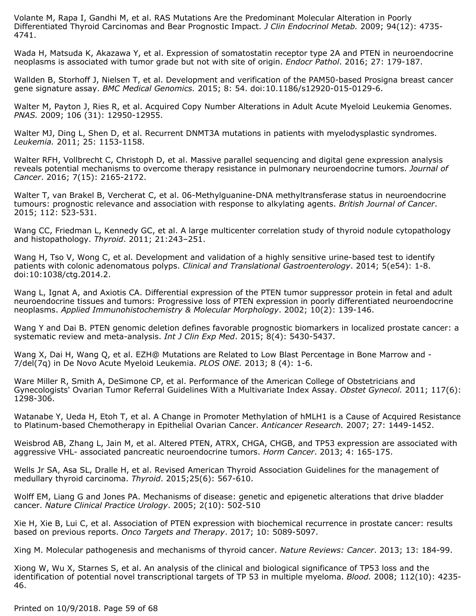Volante M, Rapa I, Gandhi M, et al. RAS Mutations Are the Predominant Molecular Alteration in Poorly Differentiated Thyroid Carcinomas and Bear Prognostic Impact. *J Clin Endocrinol Metab.* 2009; 94(12): 4735- 4741.

Wada H, Matsuda K, Akazawa Y, et al. Expression of somatostatin receptor type 2A and PTEN in neuroendocrine neoplasms is associated with tumor grade but not with site of origin. *Endocr Pathol*. 2016; 27: 179-187.

Wallden B, Storhoff J, Nielsen T, et al. Development and verification of the PAM50-based Prosigna breast cancer gene signature assay. *BMC Medical Genomics.* 2015; 8: 54. doi:10.1186/s12920-015-0129-6.

Walter M, Payton J, Ries R, et al. Acquired Copy Number Alterations in Adult Acute Myeloid Leukemia Genomes. *PNAS.* 2009; 106 (31): 12950-12955.

Walter MJ, Ding L, Shen D, et al. Recurrent DNMT3A mutations in patients with myelodysplastic syndromes. *Leukemia.* 2011; 25: 1153-1158.

Walter RFH, Vollbrecht C, Christoph D, et al. Massive parallel sequencing and digital gene expression analysis reveals potential mechanisms to overcome therapy resistance in pulmonary neuroendocrine tumors. *Journal of Cancer*. 2016; 7(15): 2165-2172.

Walter T, van Brakel B, Vercherat C, et al. 06-Methylguanine-DNA methyltransferase status in neuroendocrine tumours: prognostic relevance and association with response to alkylating agents. *British Journal of Cancer*. 2015; 112: 523-531.

Wang CC, Friedman L, Kennedy GC, et al. A large multicenter correlation study of thyroid nodule cytopathology and histopathology. *Thyroid*. 2011; 21:243–251.

Wang H, Tso V, Wong C, et al. Development and validation of a highly sensitive urine-based test to identify patients with colonic adenomatous polyps. *Clinical and Translational Gastroenterology*. 2014; 5(e54): 1-8. doi:10:1038/ctg.2014.2.

Wang L, Ignat A, and Axiotis CA. Differential expression of the PTEN tumor suppressor protein in fetal and adult neuroendocrine tissues and tumors: Progressive loss of PTEN expression in poorly differentiated neuroendocrine neoplasms. *Applied Immunohistochemistry & Molecular Morphology*. 2002; 10(2): 139-146.

Wang Y and Dai B. PTEN genomic deletion defines favorable prognostic biomarkers in localized prostate cancer: a systematic review and meta-analysis. *Int J Clin Exp Med*. 2015; 8(4): 5430-5437.

Wang X, Dai H, Wang Q, et al. EZH@ Mutations are Related to Low Blast Percentage in Bone Marrow and - 7/del(7q) in De Novo Acute Myeloid Leukemia. *PLOS ONE.* 2013; 8 (4): 1-6.

Ware Miller R, Smith A, DeSimone CP, et al. Performance of the American College of Obstetricians and Gynecologists' Ovarian Tumor Referral Guidelines With a Multivariate Index Assay. *Obstet Gynecol.* 2011; 117(6): 1298-306.

Watanabe Y, Ueda H, Etoh T, et al. A Change in Promoter Methylation of hMLH1 is a Cause of Acquired Resistance to Platinum-based Chemotherapy in Epithelial Ovarian Cancer. *Anticancer Research.* 2007; 27: 1449-1452.

Weisbrod AB, Zhang L, Jain M, et al. Altered PTEN, ATRX, CHGA, CHGB, and TP53 expression are associated with aggressive VHL- associated pancreatic neuroendocrine tumors. *Horm Cancer*. 2013; 4: 165-175.

Wells Jr SA, Asa SL, Dralle H, et al. Revised American Thyroid Association Guidelines for the management of medullary thyroid carcinoma. *Thyroid*. 2015;25(6): 567-610.

Wolff EM, Liang G and Jones PA. Mechanisms of disease: genetic and epigenetic alterations that drive bladder cancer. *Nature Clinical Practice Urology*. 2005; 2(10): 502-510

Xie H, Xie B, Lui C, et al. Association of PTEN expression with biochemical recurrence in prostate cancer: results based on previous reports. *Onco Targets and Therapy*. 2017; 10: 5089-5097.

Xing M. Molecular pathogenesis and mechanisms of thyroid cancer. *Nature Reviews: Cancer*. 2013; 13: 184-99.

Xiong W, Wu X, Starnes S, et al. An analysis of the clinical and biological significance of TP53 loss and the identification of potential novel transcriptional targets of TP 53 in multiple myeloma. *Blood.* 2008; 112(10): 4235- 46.

Printed on 10/9/2018. Page 59 of 68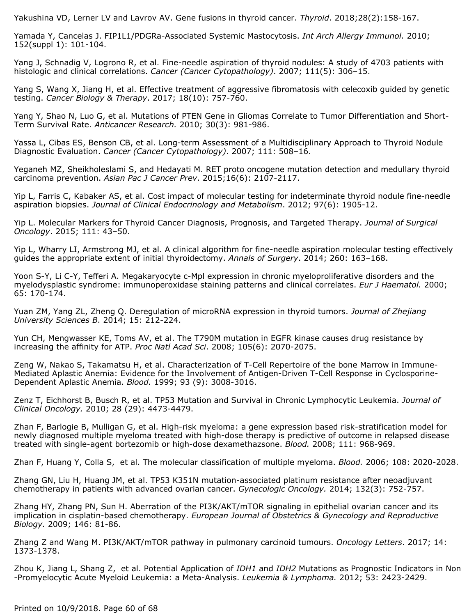Yakushina VD, Lerner LV and Lavrov AV. Gene fusions in thyroid cancer. *Thyroid*. 2018;28(2):158-167.

Yamada Y, Cancelas J. FIP1L1/PDGRa-Associated Systemic Mastocytosis. *Int Arch Allergy Immunol.* 2010; 152(suppl 1): 101-104.

Yang J, Schnadig V, Logrono R, et al. Fine-needle aspiration of thyroid nodules: A study of 4703 patients with histologic and clinical correlations. *Cancer (Cancer Cytopathology)*. 2007; 111(5): 306–15.

Yang S, Wang X, Jiang H, et al. Effective treatment of aggressive fibromatosis with celecoxib guided by genetic testing. *Cancer Biology & Therapy*. 2017; 18(10): 757-760.

Yang Y, Shao N, Luo G, et al. Mutations of PTEN Gene in Gliomas Correlate to Tumor Differentiation and Short-Term Survival Rate. *Anticancer Research.* 2010; 30(3): 981-986.

Yassa L, Cibas ES, Benson CB, et al. Long-term Assessment of a Multidisciplinary Approach to Thyroid Nodule Diagnostic Evaluation. *Cancer (Cancer Cytopathology)*. 2007; 111: 508–16.

Yeganeh MZ, Sheikholeslami S, and Hedayati M. RET proto oncogene mutation detection and medullary thyroid carcinoma prevention. *Asian Pac J Cancer Prev*. 2015;16(6): 2107-2117.

Yip L, Farris C, Kabaker AS, et al. Cost impact of molecular testing for indeterminate thyroid nodule fine-needle aspiration biopsies. *Journal of Clinical Endocrinology and Metabolism*. 2012; 97(6): 1905-12.

Yip L. Molecular Markers for Thyroid Cancer Diagnosis, Prognosis, and Targeted Therapy. *Journal of Surgical Oncology*. 2015; 111: 43–50.

Yip L, Wharry LI, Armstrong MJ, et al. A clinical algorithm for fine-needle aspiration molecular testing effectively guides the appropriate extent of initial thyroidectomy. *Annals of Surgery*. 2014; 260: 163–168.

Yoon S-Y, Li C-Y, Tefferi A. Megakaryocyte c-Mpl expression in chronic myeloproliferative disorders and the myelodysplastic syndrome: immunoperoxidase staining patterns and clinical correlates. *Eur J Haematol.* 2000; 65: 170-174.

Yuan ZM, Yang ZL, Zheng Q. Deregulation of microRNA expression in thyroid tumors. *Journal of Zhejiang University Sciences B*. 2014; 15: 212-224.

Yun CH, Mengwasser KE, Toms AV, et al. The T790M mutation in EGFR kinase causes drug resistance by increasing the affinity for ATP. *Proc Natl Acad Sci*. 2008; 105(6): 2070-2075.

Zeng W, Nakao S, Takamatsu H, et al. Characterization of T-Cell Repertoire of the bone Marrow in Immune-Mediated Aplastic Anemia: Evidence for the Involvement of Antigen-Driven T-Cell Response in Cyclosporine-Dependent Aplastic Anemia. *Blood.* 1999; 93 (9): 3008-3016.

Zenz T, Eichhorst B, Busch R, et al. TP53 Mutation and Survival in Chronic Lymphocytic Leukemia. *Journal of Clinical Oncology.* 2010; 28 (29): 4473-4479.

Zhan F, Barlogie B, Mulligan G, et al. High-risk myeloma: a gene expression based risk-stratification model for newly diagnosed multiple myeloma treated with high-dose therapy is predictive of outcome in relapsed disease treated with single-agent bortezomib or high-dose dexamethazsone. *Blood.* 2008; 111: 968-969.

Zhan F, Huang Y, Colla S, et al. The molecular classification of multiple myeloma. *Blood.* 2006; 108: 2020-2028.

Zhang GN, Liu H, Huang JM, et al. TP53 K351N mutation-associated platinum resistance after neoadjuvant chemotherapy in patients with advanced ovarian cancer. *Gynecologic Oncology.* 2014; 132(3): 752-757.

Zhang HY, Zhang PN, Sun H. Aberration of the PI3K/AKT/mTOR signaling in epithelial ovarian cancer and its implication in cisplatin-based chemotherapy. *European Journal of Obstetrics & Gynecology and Reproductive Biology.* 2009; 146: 81-86.

Zhang Z and Wang M. PI3K/AKT/mTOR pathway in pulmonary carcinoid tumours. *Oncology Letters*. 2017; 14: 1373-1378.

Zhou K, Jiang L, Shang Z, et al. Potential Application of *IDH1* and *IDH2* Mutations as Prognostic Indicators in Non -Promyelocytic Acute Myeloid Leukemia: a Meta-Analysis. *Leukemia & Lymphoma.* 2012; 53: 2423-2429.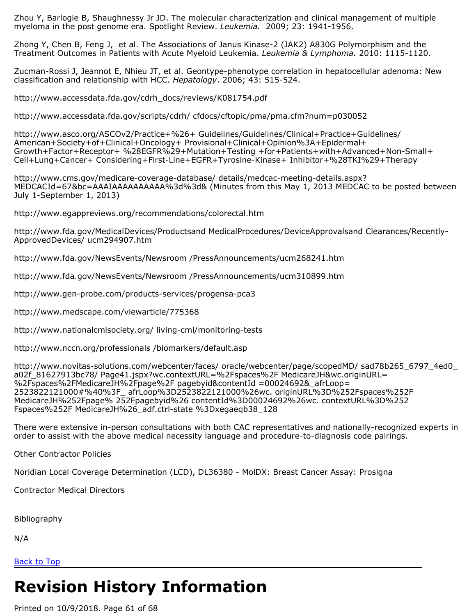Zhou Y, Barlogie B, Shaughnessy Jr JD. The molecular characterization and clinical management of multiple myeloma in the post genome era. Spotlight Review. *Leukemia.* 2009; 23: 1941-1956.

Zhong Y, Chen B, Feng J, et al. The Associations of Janus Kinase-2 (JAK2) A830G Polymorphism and the Treatment Outcomes in Patients with Acute Myeloid Leukemia. *Leukemia & Lymphoma.* 2010: 1115-1120.

Zucman-Rossi J, Jeannot E, Nhieu JT, et al. Geontype-phenotype correlation in hepatocellular adenoma: New classification and relationship with HCC. *Hepatology*. 2006; 43: 515-524.

http://www.accessdata.fda.gov/cdrh\_docs/reviews/K081754.pdf

http://www.accessdata.fda.gov/scripts/cdrh/ cfdocs/cftopic/pma/pma.cfm?num=p030052

http://www.asco.org/ASCOv2/Practice+%26+ Guidelines/Guidelines/Clinical+Practice+Guidelines/ American+Society+of+Clinical+Oncology+ Provisional+Clinical+Opinion%3A+Epidermal+ Growth+Factor+Receptor+ %28EGFR%29+Mutation+Testing +for+Patients+with+Advanced+Non-Small+ Cell+Lung+Cancer+ Considering+First-Line+EGFR+Tyrosine-Kinase+ Inhibitor+%28TKI%29+Therapy

http://www.cms.gov/medicare-coverage-database/ details/medcac-meeting-details.aspx? MEDCACId=67&bc=AAAIAAAAAAAAAA%3d%3d& (Minutes from this May 1, 2013 MEDCAC to be posted between July 1-September 1, 2013)

http://www.egappreviews.org/recommendations/colorectal.htm

http://www.fda.gov/MedicalDevices/Productsand MedicalProcedures/DeviceApprovalsand Clearances/Recently-ApprovedDevices/ ucm294907.htm

http://www.fda.gov/NewsEvents/Newsroom /PressAnnouncements/ucm268241.htm

http://www.fda.gov/NewsEvents/Newsroom /PressAnnouncements/ucm310899.htm

http://www.gen-probe.com/products-services/progensa-pca3

http://www.medscape.com/viewarticle/775368

http://www.nationalcmlsociety.org/ living-cml/monitoring-tests

http://www.nccn.org/professionals /biomarkers/default.asp

http://www.novitas-solutions.com/webcenter/faces/ oracle/webcenter/page/scopedMD/ sad78b265\_6797\_4ed0\_ a02f 81627913bc78/ Page41.jspx?wc.contextURL=%2Fspaces%2F MedicareJH&wc.originURL= %2Fspaces%2FMedicareJH%2Fpage%2F pagebyid&contentId =00024692&\_afrLoop= 2523822121000#%40%3F\_ afrLoop%3D2523822121000%26wc. originURL%3D%252Fspaces%252F MedicareJH%252Fpage% 252Fpagebyid%26 contentId%3D00024692%26wc. contextURL%3D%252 Fspaces%252F MedicareJH%26\_adf.ctrl-state %3Dxegaeqb38\_128

There were extensive in-person consultations with both CAC representatives and nationally-recognized experts in order to assist with the above medical necessity language and procedure-to-diagnosis code pairings.

Other Contractor Policies

Noridian Local Coverage Determination (LCD), DL36380 - MolDX: Breast Cancer Assay: Prosigna

Contractor Medical Directors

Bibliography

N/A

[Back to Top](#page-0-0)

# **Revision History Information**

Printed on 10/9/2018. Page 61 of 68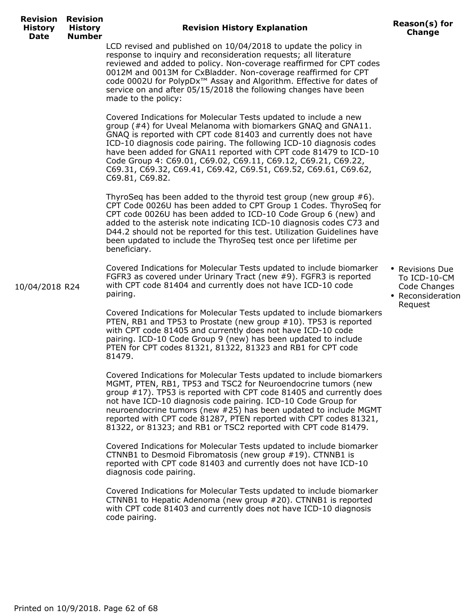10/04/2018 R24

## **Revision History Explanation Reason(s) for**

**Change**

LCD revised and published on 10/04/2018 to update the policy in response to inquiry and reconsideration requests; all literature reviewed and added to policy. Non-coverage reaffirmed for CPT codes 0012M and 0013M for CxBladder. Non-coverage reaffirmed for CPT code 0002U for PolypDx™ Assay and Algorithm. Effective for dates of service on and after 05/15/2018 the following changes have been made to the policy:

Covered Indications for Molecular Tests updated to include a new group (#4) for Uveal Melanoma with biomarkers GNAQ and GNA11. GNAQ is reported with CPT code 81403 and currently does not have ICD-10 diagnosis code pairing. The following ICD-10 diagnosis codes have been added for GNA11 reported with CPT code 81479 to ICD-10 Code Group 4: C69.01, C69.02, C69.11, C69.12, C69.21, C69.22, C69.31, C69.32, C69.41, C69.42, C69.51, C69.52, C69.61, C69.62, C69.81, C69.82.

ThyroSeq has been added to the thyroid test group (new group #6). CPT Code 0026U has been added to CPT Group 1 Codes. ThyroSeq for CPT code 0026U has been added to ICD-10 Code Group 6 (new) and added to the asterisk note indicating ICD-10 diagnosis codes C73 and D44.2 should not be reported for this test. Utilization Guidelines have been updated to include the ThyroSeq test once per lifetime per beneficiary.

Covered Indications for Molecular Tests updated to include biomarker FGFR3 as covered under Urinary Tract (new #9). FGFR3 is reported with CPT code 81404 and currently does not have ICD-10 code pairing.

Covered Indications for Molecular Tests updated to include biomarkers PTEN, RB1 and TP53 to Prostate (new group #10). TP53 is reported with CPT code 81405 and currently does not have ICD-10 code pairing. ICD-10 Code Group 9 (new) has been updated to include PTEN for CPT codes 81321, 81322, 81323 and RB1 for CPT code 81479.

Covered Indications for Molecular Tests updated to include biomarkers MGMT, PTEN, RB1, TP53 and TSC2 for Neuroendocrine tumors (new group #17). TP53 is reported with CPT code 81405 and currently does not have ICD-10 diagnosis code pairing. ICD-10 Code Group for neuroendocrine tumors (new #25) has been updated to include MGMT reported with CPT code 81287, PTEN reported with CPT codes 81321, 81322, or 81323; and RB1 or TSC2 reported with CPT code 81479.

Covered Indications for Molecular Tests updated to include biomarker CTNNB1 to Desmoid Fibromatosis (new group #19). CTNNB1 is reported with CPT code 81403 and currently does not have ICD-10 diagnosis code pairing.

Covered Indications for Molecular Tests updated to include biomarker CTNNB1 to Hepatic Adenoma (new group #20). CTNNB1 is reported with CPT code 81403 and currently does not have ICD-10 diagnosis code pairing.

- Revisions Due To ICD-10-CM Code Changes
- Reconsideration Request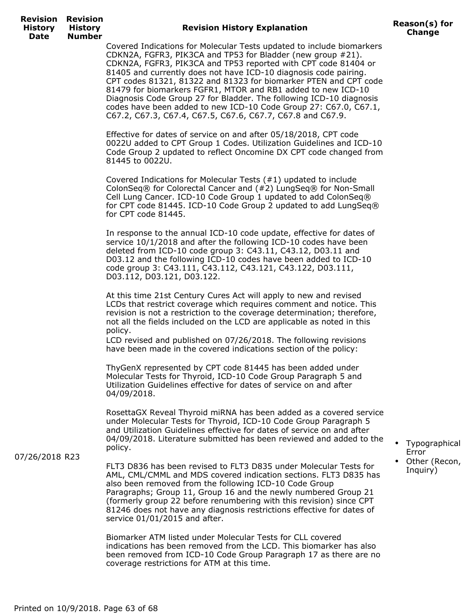## **Revision History Explanation Reason(s) for**

Covered Indications for Molecular Tests updated to include biomarkers CDKN2A, FGFR3, PIK3CA and TP53 for Bladder (new group #21). CDKN2A, FGFR3, PIK3CA and TP53 reported with CPT code 81404 or 81405 and currently does not have ICD-10 diagnosis code pairing. CPT codes 81321, 81322 and 81323 for biomarker PTEN and CPT code 81479 for biomarkers FGFR1, MTOR and RB1 added to new ICD-10 Diagnosis Code Group 27 for Bladder. The following ICD-10 diagnosis codes have been added to new ICD-10 Code Group 27: C67.0, C67.1, C67.2, C67.3, C67.4, C67.5, C67.6, C67.7, C67.8 and C67.9.

Effective for dates of service on and after 05/18/2018, CPT code 0022U added to CPT Group 1 Codes. Utilization Guidelines and ICD-10 Code Group 2 updated to reflect Oncomine DX CPT code changed from 81445 to 0022U.

Covered Indications for Molecular Tests (#1) updated to include ColonSeq® for Colorectal Cancer and (#2) LungSeq® for Non-Small Cell Lung Cancer. ICD-10 Code Group 1 updated to add ColonSeq® for CPT code 81445. ICD-10 Code Group 2 updated to add LungSeq® for CPT code 81445.

In response to the annual ICD-10 code update, effective for dates of service 10/1/2018 and after the following ICD-10 codes have been deleted from ICD-10 code group 3: C43.11, C43.12, D03.11 and D03.12 and the following ICD-10 codes have been added to ICD-10 code group 3: C43.111, C43.112, C43.121, C43.122, D03.111, D03.112, D03.121, D03.122.

At this time 21st Century Cures Act will apply to new and revised LCDs that restrict coverage which requires comment and notice. This revision is not a restriction to the coverage determination; therefore, not all the fields included on the LCD are applicable as noted in this policy.

LCD revised and published on 07/26/2018. The following revisions have been made in the covered indications section of the policy:

ThyGenX represented by CPT code 81445 has been added under Molecular Tests for Thyroid, ICD-10 Code Group Paragraph 5 and Utilization Guidelines effective for dates of service on and after 04/09/2018.

RosettaGX Reveal Thyroid miRNA has been added as a covered service under Molecular Tests for Thyroid, ICD-10 Code Group Paragraph 5 and Utilization Guidelines effective for dates of service on and after 04/09/2018. Literature submitted has been reviewed and added to the policy.

07/26/2018 R23

FLT3 D836 has been revised to FLT3 D835 under Molecular Tests for AML, CML/CMML and MDS covered indication sections. FLT3 D835 has also been removed from the following ICD-10 Code Group Paragraphs; Group 11, Group 16 and the newly numbered Group 21 (formerly group 22 before renumbering with this revision) since CPT 81246 does not have any diagnosis restrictions effective for dates of service 01/01/2015 and after.

Biomarker ATM listed under Molecular Tests for CLL covered indications has been removed from the LCD. This biomarker has also been removed from ICD-10 Code Group Paragraph 17 as there are no coverage restrictions for ATM at this time.

- Typographical Error
- Other (Recon, Inquiry)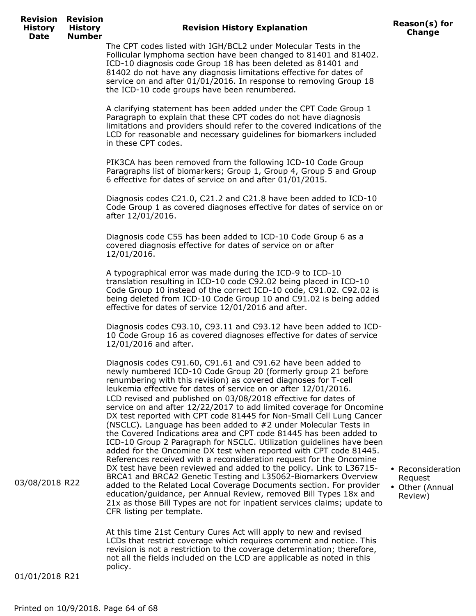## **Revision History Explanation Reason(s) for**

• Reconsideration Request • Other (Annual Review)

The CPT codes listed with IGH/BCL2 under Molecular Tests in the Follicular lymphoma section have been changed to 81401 and 81402. ICD-10 diagnosis code Group 18 has been deleted as 81401 and 81402 do not have any diagnosis limitations effective for dates of service on and after 01/01/2016. In response to removing Group 18 the ICD-10 code groups have been renumbered.

A clarifying statement has been added under the CPT Code Group 1 Paragraph to explain that these CPT codes do not have diagnosis limitations and providers should refer to the covered indications of the LCD for reasonable and necessary guidelines for biomarkers included in these CPT codes.

PIK3CA has been removed from the following ICD-10 Code Group Paragraphs list of biomarkers; Group 1, Group 4, Group 5 and Group 6 effective for dates of service on and after 01/01/2015.

Diagnosis codes C21.0, C21.2 and C21.8 have been added to ICD-10 Code Group 1 as covered diagnoses effective for dates of service on or after 12/01/2016.

Diagnosis code C55 has been added to ICD-10 Code Group 6 as a covered diagnosis effective for dates of service on or after 12/01/2016.

A typographical error was made during the ICD-9 to ICD-10 translation resulting in ICD-10 code C92.02 being placed in ICD-10 Code Group 10 instead of the correct ICD-10 code, C91.02. C92.02 is being deleted from ICD-10 Code Group 10 and C91.02 is being added effective for dates of service 12/01/2016 and after.

Diagnosis codes C93.10, C93.11 and C93.12 have been added to ICD-10 Code Group 16 as covered diagnoses effective for dates of service 12/01/2016 and after.

Diagnosis codes C91.60, C91.61 and C91.62 have been added to newly numbered ICD-10 Code Group 20 (formerly group 21 before renumbering with this revision) as covered diagnoses for T-cell leukemia effective for dates of service on or after 12/01/2016. LCD revised and published on 03/08/2018 effective for dates of service on and after 12/22/2017 to add limited coverage for Oncomine DX test reported with CPT code 81445 for Non-Small Cell Lung Cancer (NSCLC). Language has been added to #2 under Molecular Tests in the Covered Indications area and CPT code 81445 has been added to ICD-10 Group 2 Paragraph for NSCLC. Utilization guidelines have been added for the Oncomine DX test when reported with CPT code 81445. References received with a reconsideration request for the Oncomine DX test have been reviewed and added to the policy. Link to L36715- BRCA1 and BRCA2 Genetic Testing and L35062-Biomarkers Overview added to the Related Local Coverage Documents section. For provider education/guidance, per Annual Review, removed Bill Types 18x and 21x as those Bill Types are not for inpatient services claims; update to CFR listing per template.

03/08/2018 R22

At this time 21st Century Cures Act will apply to new and revised LCDs that restrict coverage which requires comment and notice. This revision is not a restriction to the coverage determination; therefore, not all the fields included on the LCD are applicable as noted in this policy.

01/01/2018 R21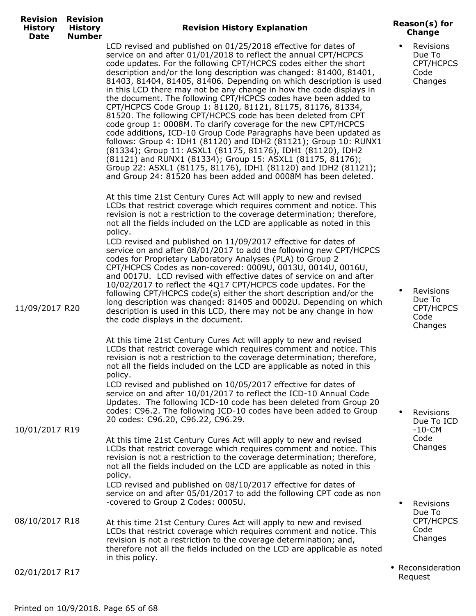| <b>Revision Revision</b><br><b>History</b><br><b>History</b><br><b>Number</b><br>Date | <b>Revision History Explanation</b>                                                                                                                                                                                                                                                                                                                                                                                                                                                                                                                                                                                                                                                                                                                                                                                                                                                                                                                                                                                                                                                                   | Reason(s) for<br><b>Change</b>                      |
|---------------------------------------------------------------------------------------|-------------------------------------------------------------------------------------------------------------------------------------------------------------------------------------------------------------------------------------------------------------------------------------------------------------------------------------------------------------------------------------------------------------------------------------------------------------------------------------------------------------------------------------------------------------------------------------------------------------------------------------------------------------------------------------------------------------------------------------------------------------------------------------------------------------------------------------------------------------------------------------------------------------------------------------------------------------------------------------------------------------------------------------------------------------------------------------------------------|-----------------------------------------------------|
|                                                                                       | LCD revised and published on 01/25/2018 effective for dates of<br>service on and after 01/01/2018 to reflect the annual CPT/HCPCS<br>code updates. For the following CPT/HCPCS codes either the short<br>description and/or the long description was changed: 81400, 81401,<br>81403, 81404, 81405, 81406. Depending on which description is used<br>in this LCD there may not be any change in how the code displays in<br>the document. The following CPT/HCPCS codes have been added to<br>CPT/HCPCS Code Group 1: 81120, 81121, 81175, 81176, 81334,<br>81520. The following CPT/HCPCS code has been deleted from CPT<br>code group 1: 0008M. To clarify coverage for the new CPT/HCPCS<br>code additions, ICD-10 Group Code Paragraphs have been updated as<br>follows: Group 4: IDH1 (81120) and IDH2 (81121); Group 10: RUNX1<br>(81334); Group 11: ASXL1 (81175, 81176), IDH1 (81120), IDH2<br>(81121) and RUNX1 (81334); Group 15: ASXL1 (81175, 81176);<br>Group 22: ASXL1 (81175, 81176), IDH1 (81120) and IDH2 (81121);<br>and Group 24: 81520 has been added and 0008M has been deleted. | Revisions<br>Due To<br>CPT/HCPCS<br>Code<br>Changes |
|                                                                                       | At this time 21st Century Cures Act will apply to new and revised<br>LCDs that restrict coverage which requires comment and notice. This<br>revision is not a restriction to the coverage determination; therefore,<br>not all the fields included on the LCD are applicable as noted in this<br>policy.                                                                                                                                                                                                                                                                                                                                                                                                                                                                                                                                                                                                                                                                                                                                                                                              |                                                     |
| 11/09/2017 R20                                                                        | LCD revised and published on 11/09/2017 effective for dates of<br>service on and after 08/01/2017 to add the following new CPT/HCPCS<br>codes for Proprietary Laboratory Analyses (PLA) to Group 2<br>CPT/HCPCS Codes as non-covered: 0009U, 0013U, 0014U, 0016U,<br>and 0017U. LCD revised with effective dates of service on and after<br>10/02/2017 to reflect the 4Q17 CPT/HCPCS code updates. For the<br>following CPT/HCPCS code(s) either the short description and/or the<br>long description was changed: 81405 and 0002U. Depending on which<br>description is used in this LCD, there may not be any change in how<br>the code displays in the document.                                                                                                                                                                                                                                                                                                                                                                                                                                   | Revisions<br>Due To<br>CPT/HCPCS<br>Code<br>Changes |
|                                                                                       | At this time 21st Century Cures Act will apply to new and revised<br>LCDs that restrict coverage which requires comment and notice. This<br>revision is not a restriction to the coverage determination; therefore,<br>not all the fields included on the LCD are applicable as noted in this<br>policy.                                                                                                                                                                                                                                                                                                                                                                                                                                                                                                                                                                                                                                                                                                                                                                                              |                                                     |
|                                                                                       | LCD revised and published on 10/05/2017 effective for dates of<br>service on and after 10/01/2017 to reflect the ICD-10 Annual Code<br>Updates. The following ICD-10 code has been deleted from Group 20<br>codes: C96.2. The following ICD-10 codes have been added to Group<br>20 codes: C96.20, C96.22, C96.29.                                                                                                                                                                                                                                                                                                                                                                                                                                                                                                                                                                                                                                                                                                                                                                                    | Revisions<br>Due To ICD                             |
| 10/01/2017 R19                                                                        | At this time 21st Century Cures Act will apply to new and revised<br>LCDs that restrict coverage which requires comment and notice. This<br>revision is not a restriction to the coverage determination; therefore,<br>not all the fields included on the LCD are applicable as noted in this<br>policy.                                                                                                                                                                                                                                                                                                                                                                                                                                                                                                                                                                                                                                                                                                                                                                                              | $-10 - CM$<br>Code<br>Changes                       |
|                                                                                       | LCD revised and published on 08/10/2017 effective for dates of<br>service on and after 05/01/2017 to add the following CPT code as non<br>-covered to Group 2 Codes: 0005U.                                                                                                                                                                                                                                                                                                                                                                                                                                                                                                                                                                                                                                                                                                                                                                                                                                                                                                                           | Revisions<br>Due To                                 |
| 08/10/2017 R18                                                                        | At this time 21st Century Cures Act will apply to new and revised<br>LCDs that restrict coverage which requires comment and notice. This<br>revision is not a restriction to the coverage determination; and,<br>therefore not all the fields included on the LCD are applicable as noted<br>in this policy.                                                                                                                                                                                                                                                                                                                                                                                                                                                                                                                                                                                                                                                                                                                                                                                          | CPT/HCPCS<br>Code<br>Changes                        |
| 02/01/2017 R17                                                                        |                                                                                                                                                                                                                                                                                                                                                                                                                                                                                                                                                                                                                                                                                                                                                                                                                                                                                                                                                                                                                                                                                                       | • Reconsideration<br>Request                        |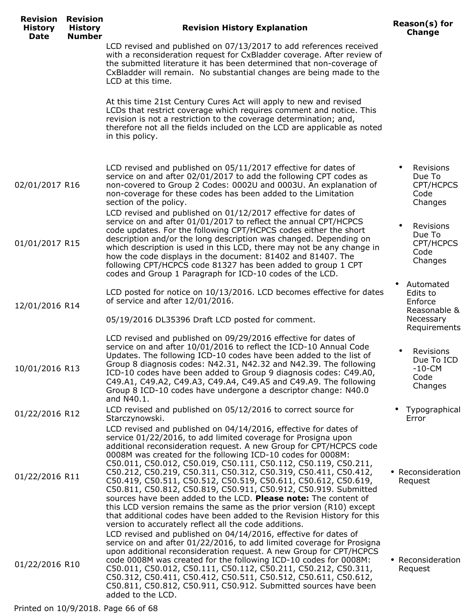| <b>Revision</b><br><b>History</b><br><b>Date</b> | <b>Revision</b><br><b>History</b><br><b>Number</b> | <b>Revision History Explanation</b>                                                                                                                                                                                                                                                                                                                                                                                                                                                                                                                                                                                                                                                                                                                                                                                         | Reason(s) for<br><b>Change</b>                                                |
|--------------------------------------------------|----------------------------------------------------|-----------------------------------------------------------------------------------------------------------------------------------------------------------------------------------------------------------------------------------------------------------------------------------------------------------------------------------------------------------------------------------------------------------------------------------------------------------------------------------------------------------------------------------------------------------------------------------------------------------------------------------------------------------------------------------------------------------------------------------------------------------------------------------------------------------------------------|-------------------------------------------------------------------------------|
|                                                  |                                                    | LCD revised and published on 07/13/2017 to add references received<br>with a reconsideration request for CxBladder coverage. After review of<br>the submitted literature it has been determined that non-coverage of<br>CxBladder will remain. No substantial changes are being made to the<br>LCD at this time.                                                                                                                                                                                                                                                                                                                                                                                                                                                                                                            |                                                                               |
|                                                  |                                                    | At this time 21st Century Cures Act will apply to new and revised<br>LCDs that restrict coverage which requires comment and notice. This<br>revision is not a restriction to the coverage determination; and,<br>therefore not all the fields included on the LCD are applicable as noted<br>in this policy.                                                                                                                                                                                                                                                                                                                                                                                                                                                                                                                |                                                                               |
| 02/01/2017 R16                                   |                                                    | LCD revised and published on 05/11/2017 effective for dates of<br>service on and after 02/01/2017 to add the following CPT codes as<br>non-covered to Group 2 Codes: 0002U and 0003U. An explanation of<br>non-coverage for these codes has been added to the Limitation<br>section of the policy.                                                                                                                                                                                                                                                                                                                                                                                                                                                                                                                          | Revisions<br>Due To<br>CPT/HCPCS<br>Code<br>Changes                           |
| 01/01/2017 R15                                   |                                                    | LCD revised and published on 01/12/2017 effective for dates of<br>service on and after 01/01/2017 to reflect the annual CPT/HCPCS<br>code updates. For the following CPT/HCPCS codes either the short<br>description and/or the long description was changed. Depending on<br>which description is used in this LCD, there may not be any change in<br>how the code displays in the document: 81402 and 81407. The<br>following CPT/HCPCS code 81327 has been added to group 1 CPT<br>codes and Group 1 Paragraph for ICD-10 codes of the LCD.                                                                                                                                                                                                                                                                              | Revisions<br>Due To<br>CPT/HCPCS<br>Code<br>Changes                           |
| 12/01/2016 R14                                   |                                                    | LCD posted for notice on 10/13/2016. LCD becomes effective for dates<br>of service and after 12/01/2016.<br>05/19/2016 DL35396 Draft LCD posted for comment.                                                                                                                                                                                                                                                                                                                                                                                                                                                                                                                                                                                                                                                                | Automated<br>Edits to<br>Enforce<br>Reasonable &<br>Necessary<br>Requirements |
| 10/01/2016 R13                                   |                                                    | LCD revised and published on 09/29/2016 effective for dates of<br>service on and after 10/01/2016 to reflect the ICD-10 Annual Code<br>Updates. The following ICD-10 codes have been added to the list of<br>Group 8 diagnosis codes: N42.31, N42.32 and N42.39. The following<br>ICD-10 codes have been added to Group 9 diagnosis codes: C49.A0,<br>C49.A1, C49.A2, C49.A3, C49.A4, C49.A5 and C49.A9. The following<br>Group 8 ICD-10 codes have undergone a descriptor change: N40.0<br>and N40.1.                                                                                                                                                                                                                                                                                                                      | Revisions<br>Due To ICD<br>$-10 - CM$<br>Code<br>Changes                      |
| 01/22/2016 R12                                   |                                                    | LCD revised and published on 05/12/2016 to correct source for<br>Starczynowski.                                                                                                                                                                                                                                                                                                                                                                                                                                                                                                                                                                                                                                                                                                                                             | Typographical<br>Error                                                        |
| 01/22/2016 R11                                   |                                                    | LCD revised and published on 04/14/2016, effective for dates of<br>service 01/22/2016, to add limited coverage for Prosigna upon<br>additional reconsideration request. A new Group for CPT/HCPCS code<br>0008M was created for the following ICD-10 codes for 0008M:<br>C50.011, C50.012, C50.019, C50.111, C50.112, C50.119, C50.211,<br>C50.212, C50.219, C50.311, C50.312, C50.319, C50.411, C50.412,<br>C50.419, C50.511, C50.512, C50.519, C50.611, C50.612, C50.619,<br>C50.811, C50.812, C50.819, C50.911, C50.912, C50.919. Submitted<br>sources have been added to the LCD. Please note: The content of<br>this LCD version remains the same as the prior version (R10) except<br>that additional codes have been added to the Revision History for this<br>version to accurately reflect all the code additions. | • Reconsideration<br>Request                                                  |
| 01/22/2016 R10                                   |                                                    | LCD revised and published on 04/14/2016, effective for dates of<br>service on and after 01/22/2016, to add limited coverage for Prosigna<br>upon additional reconsideration request. A new Group for CPT/HCPCS<br>code 0008M was created for the following ICD-10 codes for 0008M:<br>C50.011, C50.012, C50.111, C50.112, C50.211, C50.212, C50.311,<br>C50.312, C50.411, C50.412, C50.511, C50.512, C50.611, C50.612,<br>C50.811, C50.812, C50.911, C50.912. Submitted sources have been<br>added to the LCD.                                                                                                                                                                                                                                                                                                              | • Reconsideration<br>Request                                                  |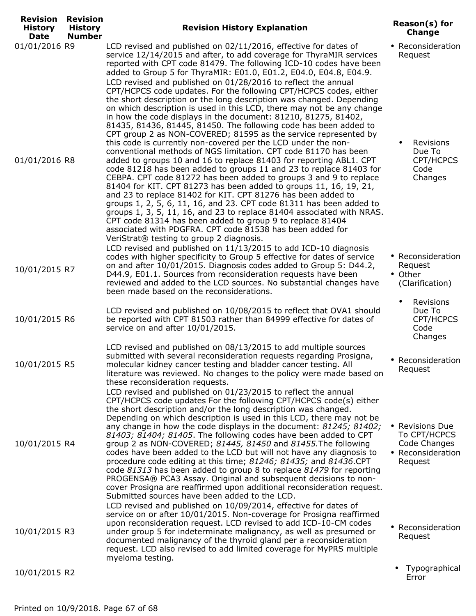| <b>Revision</b><br><b>History</b><br>Date | <b>Revision</b><br><b>History</b><br><b>Number</b> | <b>Revision History Explanation</b>                                                                                                                                                                                                                                                                                                                                                                                                                                                                                                                                                                                                                                                                                                                                                                                                                                                                                                                                                                                                                                                                                                                                                                                                                                                                                                                                                                                                                                                                                                                                                               | Reason(s) for<br><b>Change</b>                                                      |
|-------------------------------------------|----------------------------------------------------|---------------------------------------------------------------------------------------------------------------------------------------------------------------------------------------------------------------------------------------------------------------------------------------------------------------------------------------------------------------------------------------------------------------------------------------------------------------------------------------------------------------------------------------------------------------------------------------------------------------------------------------------------------------------------------------------------------------------------------------------------------------------------------------------------------------------------------------------------------------------------------------------------------------------------------------------------------------------------------------------------------------------------------------------------------------------------------------------------------------------------------------------------------------------------------------------------------------------------------------------------------------------------------------------------------------------------------------------------------------------------------------------------------------------------------------------------------------------------------------------------------------------------------------------------------------------------------------------------|-------------------------------------------------------------------------------------|
| 01/01/2016 R9<br>01/01/2016 R8            |                                                    | LCD revised and published on 02/11/2016, effective for dates of<br>service 12/14/2015 and after, to add coverage for ThyraMIR services<br>reported with CPT code 81479. The following ICD-10 codes have been<br>added to Group 5 for ThyraMIR: E01.0, E01.2, E04.0, E04.8, E04.9.<br>LCD revised and published on 01/28/2016 to reflect the annual<br>CPT/HCPCS code updates. For the following CPT/HCPCS codes, either<br>the short description or the long description was changed. Depending<br>on which description is used in this LCD, there may not be any change<br>in how the code displays in the document: 81210, 81275, 81402,<br>81435, 81436, 81445, 81450. The following code has been added to<br>CPT group 2 as NON-COVERED; 81595 as the service represented by<br>this code is currently non-covered per the LCD under the non-<br>conventional methods of NGS limitation. CPT code 81170 has been<br>added to groups 10 and 16 to replace 81403 for reporting ABL1. CPT<br>code 81218 has been added to groups 11 and 23 to replace 81403 for<br>CEBPA. CPT code 81272 has been added to groups 3 and 9 to replace<br>81404 for KIT. CPT 81273 has been added to groups 11, 16, 19, 21,<br>and 23 to replace 81402 for KIT. CPT 81276 has been added to<br>groups 1, 2, 5, 6, 11, 16, and 23. CPT code 81311 has been added to<br>groups 1, 3, 5, 11, 16, and 23 to replace 81404 associated with NRAS.<br>CPT code 81314 has been added to group 9 to replace 81404<br>associated with PDGFRA. CPT code 81538 has been added for<br>VeriStrat® testing to group 2 diagnosis. | • Reconsideration<br>Request<br>Revisions<br>Due To<br>CPT/HCPCS<br>Code<br>Changes |
| 10/01/2015 R7                             |                                                    | LCD revised and published on 11/13/2015 to add ICD-10 diagnosis<br>codes with higher specificity to Group 5 effective for dates of service<br>on and after 10/01/2015. Diagnosis codes added to Group 5: D44.2,<br>D44.9, E01.1. Sources from reconsideration requests have been<br>reviewed and added to the LCD sources. No substantial changes have<br>been made based on the reconsiderations.                                                                                                                                                                                                                                                                                                                                                                                                                                                                                                                                                                                                                                                                                                                                                                                                                                                                                                                                                                                                                                                                                                                                                                                                | • Reconsideration<br>Request<br>• Other<br>(Clarification)                          |
| 10/01/2015 R6                             |                                                    | LCD revised and published on 10/08/2015 to reflect that OVA1 should<br>be reported with CPT 81503 rather than 84999 effective for dates of<br>service on and after 10/01/2015.                                                                                                                                                                                                                                                                                                                                                                                                                                                                                                                                                                                                                                                                                                                                                                                                                                                                                                                                                                                                                                                                                                                                                                                                                                                                                                                                                                                                                    | Revisions<br>Due To<br>CPT/HCPCS<br>Code<br>Changes                                 |
| 10/01/2015 R5                             |                                                    | LCD revised and published on 08/13/2015 to add multiple sources<br>submitted with several reconsideration requests regarding Prosigna,<br>molecular kidney cancer testing and bladder cancer testing. All<br>literature was reviewed. No changes to the policy were made based on<br>these reconsideration requests.                                                                                                                                                                                                                                                                                                                                                                                                                                                                                                                                                                                                                                                                                                                                                                                                                                                                                                                                                                                                                                                                                                                                                                                                                                                                              | • Reconsideration<br>Request                                                        |
| 10/01/2015 R4                             |                                                    | LCD revised and published on 01/23/2015 to reflect the annual<br>CPT/HCPCS code updates For the following CPT/HCPCS code(s) either<br>the short description and/or the long description was changed.<br>Depending on which description is used in this LCD, there may not be<br>any change in how the code displays in the document: 81245; 81402;<br>81403; 81404; 81405. The following codes have been added to CPT<br>group 2 as NON-COVERED; 81445, 81450 and 81455. The following<br>codes have been added to the LCD but will not have any diagnosis to<br>procedure code editing at this time; 81246; 81435; and 81436.CPT<br>code 81313 has been added to group 8 to replace 81479 for reporting<br>PROGENSA® PCA3 Assay. Original and subsequent decisions to non-<br>cover Prosigna are reaffirmed upon additional reconsideration request.<br>Submitted sources have been added to the LCD.<br>LCD revised and published on 10/09/2014, effective for dates of<br>service on or after 10/01/2015. Non-coverage for Prosigna reaffirmed                                                                                                                                                                                                                                                                                                                                                                                                                                                                                                                                                 | • Revisions Due<br>To CPT/HCPCS<br>Code Changes<br>• Reconsideration<br>Request     |
| 10/01/2015 R3                             |                                                    | upon reconsideration request. LCD revised to add ICD-10-CM codes<br>under group 5 for indeterminate malignancy, as well as presumed or<br>documented malignancy of the thyroid gland per a reconsideration<br>request. LCD also revised to add limited coverage for MyPRS multiple<br>myeloma testing.                                                                                                                                                                                                                                                                                                                                                                                                                                                                                                                                                                                                                                                                                                                                                                                                                                                                                                                                                                                                                                                                                                                                                                                                                                                                                            | • Reconsideration<br>Request                                                        |
| 10/01/2015 R2                             |                                                    |                                                                                                                                                                                                                                                                                                                                                                                                                                                                                                                                                                                                                                                                                                                                                                                                                                                                                                                                                                                                                                                                                                                                                                                                                                                                                                                                                                                                                                                                                                                                                                                                   | Typographical<br>Error                                                              |